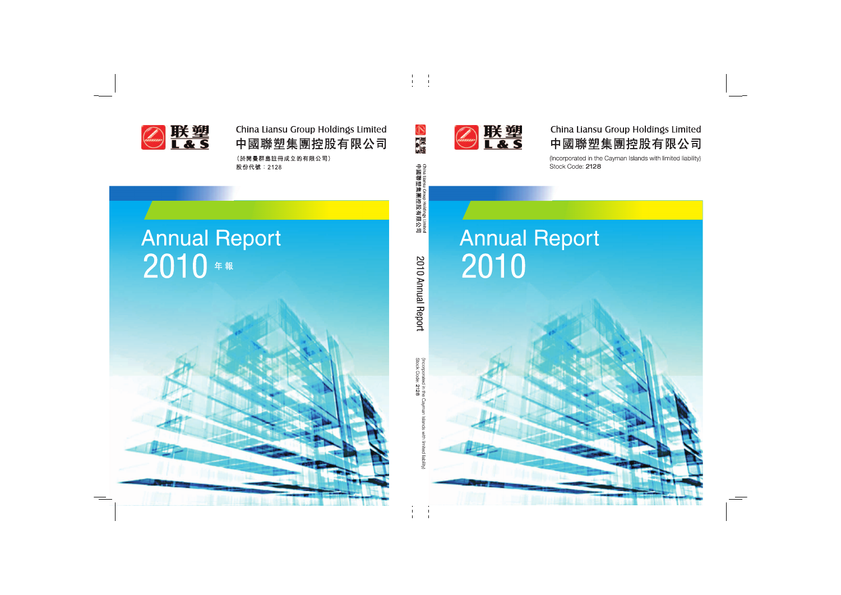

# China Liansu Group Holdings Limited 中國聯塑集團控股有限公司

(Incorporated in the Cayman Islands with limited liability) Stock Code: 2128

# **Annual Report** 2010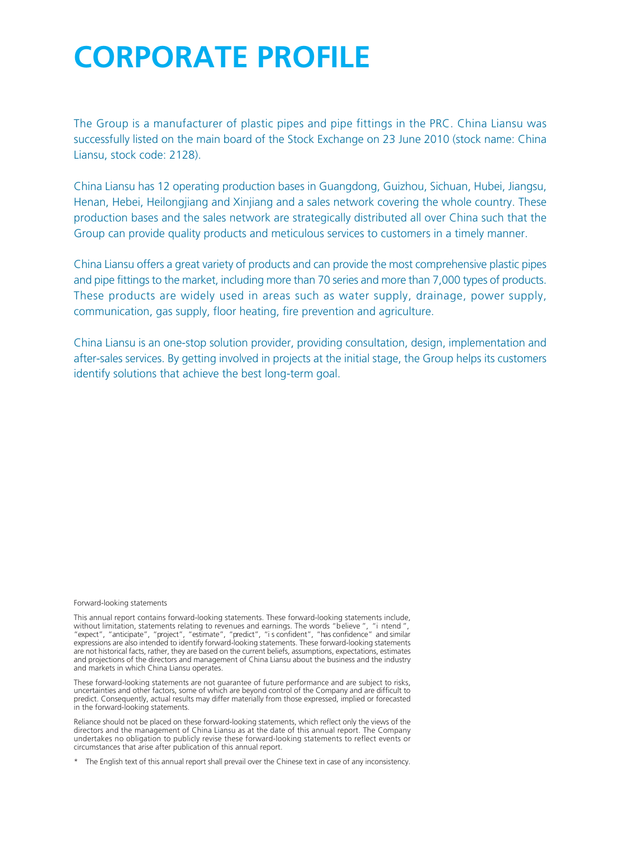# **CORPORATE PROFILE**

The Group is a manufacturer of plastic pipes and pipe fittings in the PRC. China Liansu was successfully listed on the main board of the Stock Exchange on 23 June 2010 (stock name: China Liansu, stock code: 2128).

China Liansu has 12 operating production bases in Guangdong, Guizhou, Sichuan, Hubei, Jiangsu, Henan, Hebei, Heilongjiang and Xinjiang and a sales network covering the whole country. These production bases and the sales network are strategically distributed all over China such that the Group can provide quality products and meticulous services to customers in a timely manner.

China Liansu offers a great variety of products and can provide the most comprehensive plastic pipes and pipe fittings to the market, including more than 70 series and more than 7,000 types of products. These products are widely used in areas such as water supply, drainage, power supply, communication, gas supply, floor heating, fire prevention and agriculture.

China Liansu is an one-stop solution provider, providing consultation, design, implementation and after-sales services. By getting involved in projects at the initial stage, the Group helps its customers identify solutions that achieve the best long-term goal.

#### Forward-looking statements

These forward-looking statements are not guarantee of future performance and are subject to risks, uncertainties and other factors, some of which are beyond control of the Company and are difficult to predict. Consequently, actual results may differ materially from those expressed, implied or forecasted in the forward-looking statements.

Reliance should not be placed on these forward-looking statements, which reflect only the views of the directors and the management of China Liansu as at the date of this annual report. The Company undertakes no obligation to publicly revise these forward-looking statements to reflect events or circumstances that arise after publication of this annual report.

This annual report contains forward-looking statements. These forward-looking statements include, without limitation, statements relating to revenues and earnings. The words "believe ", "i ntend ", "expect", "anticipate", "project", "estimate", "predict", "i s confident", "has confidence" and similar expressions are also intended to identify forward-looking statements. These forward-looking statements are not historical facts, rather, they are based on the current beliefs, assumptions, expectations, estimates and projections of the directors and management of China Liansu about the business and the industry and markets in which China Liansu operates.

<sup>\*</sup> The English text of this annual report shall prevail over the Chinese text in case of any inconsistency.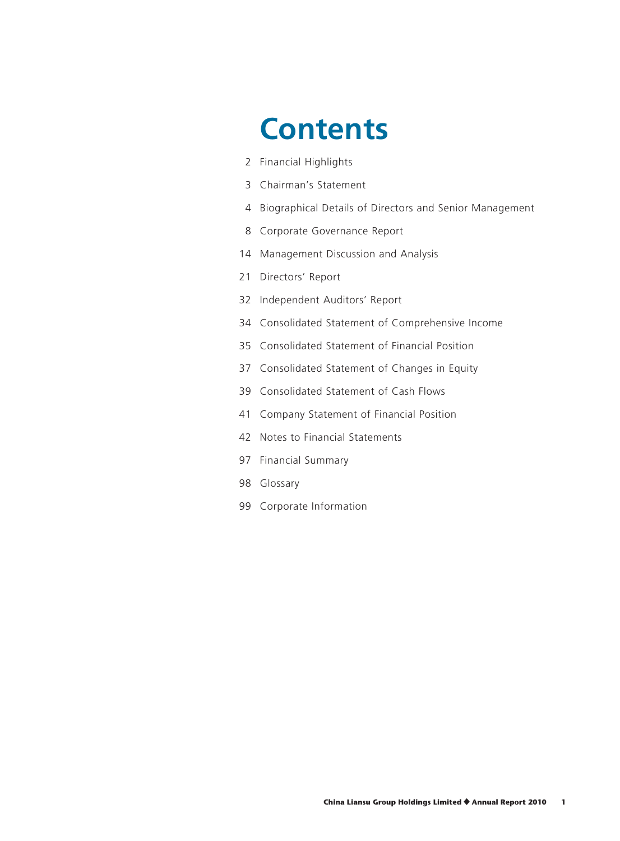# **Contents**

- 2 Financial Highlights
- 3 Chairman's Statement
- 4 Biographical Details of Directors and Senior Management
- 8 Corporate Governance Report
- 14 Management Discussion and Analysis
- 21 Directors' Report
- 32 Independent Auditors' Report
- 34 Consolidated Statement of Comprehensive Income
- 35 Consolidated Statement of Financial Position
- 37 Consolidated Statement of Changes in Equity
- 39 Consolidated Statement of Cash Flows
- 41 Company Statement of Financial Position
- 42 Notes to Financial Statements
- 97 Financial Summary
- 98 Glossary
- 99 Corporate Information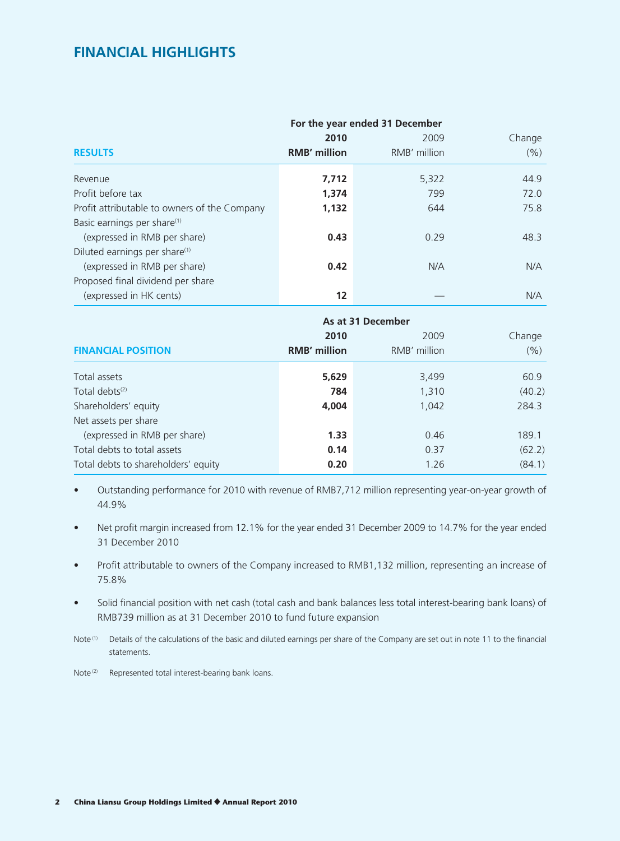# **FINANCIAL HIGHLIGHTS**

|                                              | For the year ended 31 December |              |        |  |  |
|----------------------------------------------|--------------------------------|--------------|--------|--|--|
|                                              | 2010                           | 2009         | Change |  |  |
| <b>RESULTS</b>                               | <b>RMB'</b> million            | RMB' million | (% )   |  |  |
| Revenue                                      | 7,712                          | 5,322        | 44.9   |  |  |
| Profit before tax                            | 1,374                          | 799          | 72.0   |  |  |
| Profit attributable to owners of the Company | 1,132                          | 644          | 75.8   |  |  |
| Basic earnings per share <sup>(1)</sup>      |                                |              |        |  |  |
| (expressed in RMB per share)                 | 0.43                           | 0.29         | 48.3   |  |  |
| Diluted earnings per share <sup>(1)</sup>    |                                |              |        |  |  |
| (expressed in RMB per share)                 | 0.42                           | N/A          | N/A    |  |  |
| Proposed final dividend per share            |                                |              |        |  |  |
| (expressed in HK cents)                      | 12                             |              | N/A    |  |  |

|                                     | As at 31 December   |              |        |  |  |
|-------------------------------------|---------------------|--------------|--------|--|--|
|                                     | 2010                | 2009         | Change |  |  |
| <b>FINANCIAL POSITION</b>           | <b>RMB' million</b> | RMB' million | (%)    |  |  |
| Total assets                        | 5,629               | 3,499        | 60.9   |  |  |
| Total debts <sup>(2)</sup>          | 784                 | 1,310        | (40.2) |  |  |
| Shareholders' equity                | 4,004               | 1,042        | 284.3  |  |  |
| Net assets per share                |                     |              |        |  |  |
| (expressed in RMB per share)        | 1.33                | 0.46         | 189.1  |  |  |
| Total debts to total assets         | 0.14                | 0.37         | (62.2) |  |  |
| Total debts to shareholders' equity | 0.20                | 1.26         | (84.1) |  |  |

• Outstanding performance for 2010 with revenue of RMB7,712 million representing year-on-year growth of 44.9%

• Net profit margin increased from 12.1% for the year ended 31 December 2009 to 14.7% for the year ended 31 December 2010

- Profit attributable to owners of the Company increased to RMB1,132 million, representing an increase of 75.8%
- Solid financial position with net cash (total cash and bank balances less total interest-bearing bank loans) of RMB739 million as at 31 December 2010 to fund future expansion
- Note<sup>(1)</sup> Details of the calculations of the basic and diluted earnings per share of the Company are set out in note 11 to the financial statements.

Note<sup>(2)</sup> Represented total interest-bearing bank loans.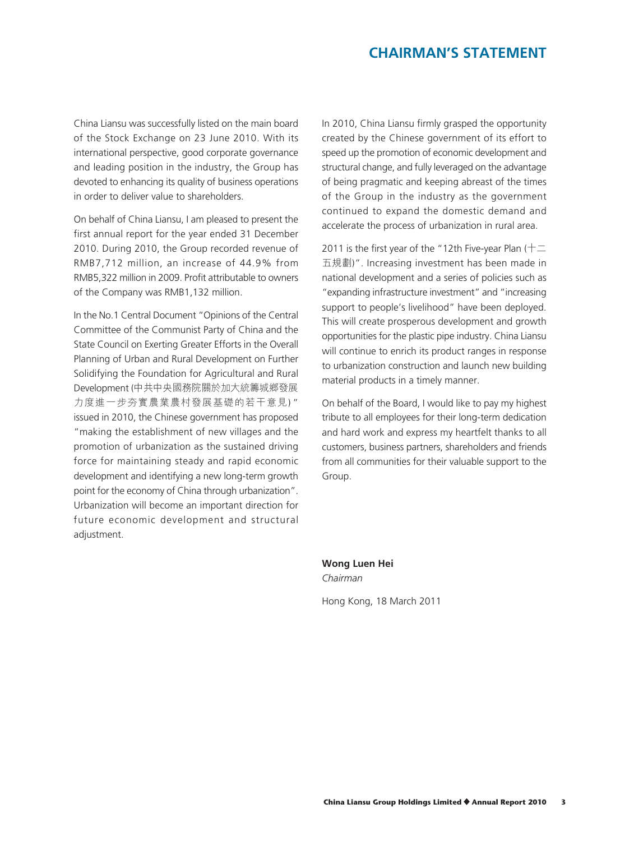### **CHAIRMAN'S STATEMENT**

China Liansu was successfully listed on the main board of the Stock Exchange on 23 June 2010. With its international perspective, good corporate governance and leading position in the industry, the Group has devoted to enhancing its quality of business operations in order to deliver value to shareholders.

On behalf of China Liansu, I am pleased to present the first annual report for the year ended 31 December 2010. During 2010, the Group recorded revenue of RMB7,712 million, an increase of 44.9% from RMB5,322 million in 2009. Profit attributable to owners of the Company was RMB1,132 million.

In the No.1 Central Document "Opinions of the Central Committee of the Communist Party of China and the State Council on Exerting Greater Efforts in the Overall Planning of Urban and Rural Development on Further Solidifying the Foundation for Agricultural and Rural Development (中共中央國務院關於加大統籌城鄉發展 力度進一步夯實農業農村發展基礎的若干意見) " issued in 2010, the Chinese government has proposed "making the establishment of new villages and the promotion of urbanization as the sustained driving force for maintaining steady and rapid economic development and identifying a new long-term growth point for the economy of China through urbanization". Urbanization will become an important direction for future economic development and structural adjustment.

In 2010, China Liansu firmly grasped the opportunity created by the Chinese government of its effort to speed up the promotion of economic development and structural change, and fully leveraged on the advantage of being pragmatic and keeping abreast of the times of the Group in the industry as the government continued to expand the domestic demand and accelerate the process of urbanization in rural area.

2011 is the first year of the "12th Five-year Plan ( $\pm\pm$ 五規劃)". Increasing investment has been made in national development and a series of policies such as "expanding infrastructure investment" and "increasing support to people's livelihood" have been deployed. This will create prosperous development and growth opportunities for the plastic pipe industry. China Liansu will continue to enrich its product ranges in response to urbanization construction and launch new building material products in a timely manner.

On behalf of the Board, I would like to pay my highest tribute to all employees for their long-term dedication and hard work and express my heartfelt thanks to all customers, business partners, shareholders and friends from all communities for their valuable support to the Group.

**Wong Luen Hei** *Chairman*

Hong Kong, 18 March 2011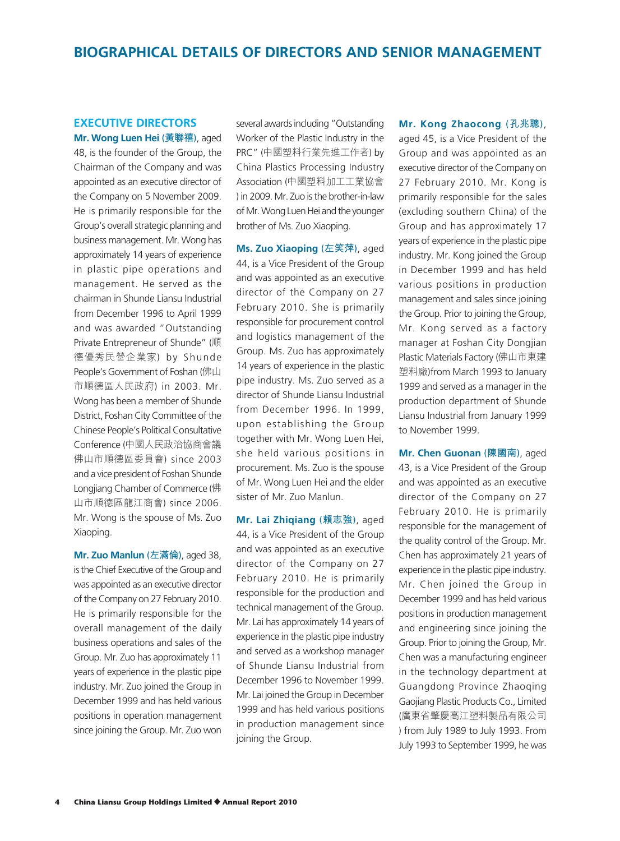#### **EXECUTIVE DIRECTORS**

**Mr. Wong Luen Hei** (**黃聯禧**), aged 48, is the founder of the Group, the Chairman of the Company and was appointed as an executive director of the Company on 5 November 2009. He is primarily responsible for the Group's overall strategic planning and business management. Mr. Wong has approximately 14 years of experience in plastic pipe operations and management. He served as the chairman in Shunde Liansu Industrial from December 1996 to April 1999 and was awarded "Outstanding Private Entrepreneur of Shunde" (順 德優秀民營企業家) by Shunde People's Government of Foshan (佛山 市順德區人民政府) in 2003. Mr. Wong has been a member of Shunde District, Foshan City Committee of the Chinese People's Political Consultative Conference (中國人民政治協商會議 佛山市順德區委員會) since 2003 and a vice president of Foshan Shunde Longjiang Chamber of Commerce (佛 山市順德區龍江商會) since 2006. Mr. Wong is the spouse of Ms. Zuo Xiaoping.

**Mr. Zuo Manlun** (**左滿倫**), aged 38, is the Chief Executive of the Group and was appointed as an executive director of the Company on 27 February 2010. He is primarily responsible for the overall management of the daily business operations and sales of the Group. Mr. Zuo has approximately 11 years of experience in the plastic pipe industry. Mr. Zuo joined the Group in December 1999 and has held various positions in operation management since joining the Group. Mr. Zuo won several awards including "Outstanding Worker of the Plastic Industry in the PRC" (中國塑料行業先進工作者) by China Plastics Processing Industry Association (中國塑料加工工業協會 ) in 2009. Mr. Zuo is the brother-in-law of Mr. Wong Luen Hei and the younger brother of Ms. Zuo Xiaoping.

**Ms. Zuo Xiaoping** (**左笑萍**), aged 44, is a Vice President of the Group and was appointed as an executive director of the Company on 27 February 2010. She is primarily responsible for procurement control and logistics management of the Group. Ms. Zuo has approximately 14 years of experience in the plastic pipe industry. Ms. Zuo served as a director of Shunde Liansu Industrial from December 1996. In 1999, upon establishing the Group together with Mr. Wong Luen Hei, she held various positions in procurement. Ms. Zuo is the spouse of Mr. Wong Luen Hei and the elder sister of Mr. Zuo Manlun.

**Mr. Lai Zhiqiang** (**賴志強**), aged 44, is a Vice President of the Group and was appointed as an executive director of the Company on 27 February 2010. He is primarily responsible for the production and technical management of the Group. Mr. Lai has approximately 14 years of experience in the plastic pipe industry and served as a workshop manager of Shunde Liansu Industrial from December 1996 to November 1999. Mr. Lai joined the Group in December 1999 and has held various positions in production management since joining the Group.

#### **Mr. Kong Zhaocong** (**孔兆聰**),

aged 45, is a Vice President of the Group and was appointed as an executive director of the Company on 27 February 2010. Mr. Kong is primarily responsible for the sales (excluding southern China) of the Group and has approximately 17 years of experience in the plastic pipe industry. Mr. Kong joined the Group in December 1999 and has held various positions in production management and sales since joining the Group. Prior to joining the Group, Mr. Kong served as a factory manager at Foshan City Dongjian Plastic Materials Factory (佛山市東建 塑料廠)from March 1993 to January 1999 and served as a manager in the production department of Shunde Liansu Industrial from January 1999 to November 1999.

**Mr. Chen Guonan** (**陳國南**), aged 43, is a Vice President of the Group and was appointed as an executive director of the Company on 27 February 2010. He is primarily responsible for the management of the quality control of the Group. Mr. Chen has approximately 21 years of experience in the plastic pipe industry. Mr. Chen joined the Group in December 1999 and has held various positions in production management and engineering since joining the Group. Prior to joining the Group, Mr. Chen was a manufacturing engineer in the technology department at Guangdong Province Zhaoqing Gaojiang Plastic Products Co., Limited (廣東省肇慶高江塑料製品有限公司 ) from July 1989 to July 1993. From July 1993 to September 1999, he was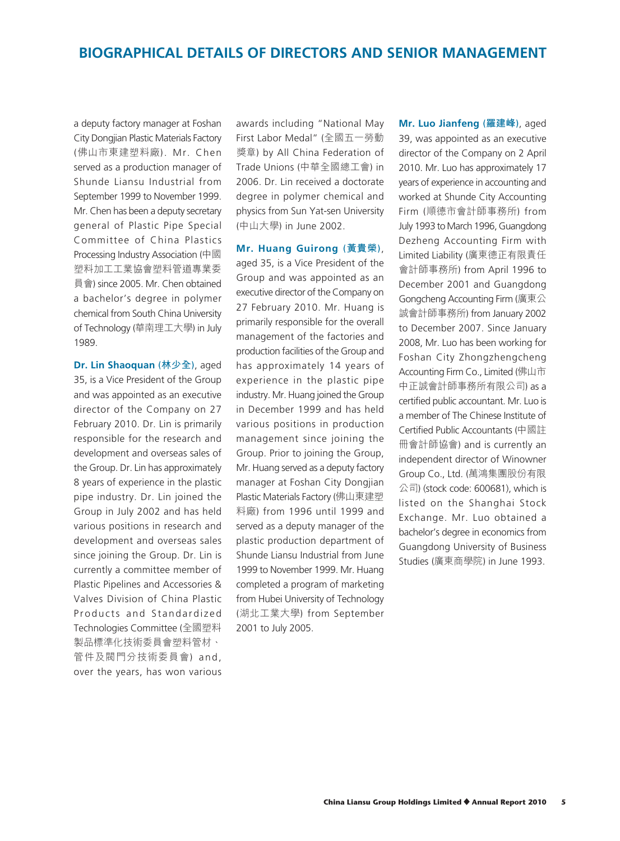# **BIOGRAPHICAL DETAILS OF DIRECTORS AND SENIOR MANAGEMENT**

a deputy factory manager at Foshan City Dongjian Plastic Materials Factory (佛山市東建塑料廠). Mr. Chen served as a production manager of Shunde Liansu Industrial from September 1999 to November 1999. Mr. Chen has been a deputy secretary general of Plastic Pipe Special Committee of China Plastics Processing Industry Association (中國 塑料加工工業協會塑料管道專業委 員會) since 2005. Mr. Chen obtained a bachelor's degree in polymer chemical from South China University of Technology (華南理工大學) in July 1989.

**Dr. Lin Shaoquan** (**林少全**), aged 35, is a Vice President of the Group and was appointed as an executive director of the Company on 27 February 2010. Dr. Lin is primarily responsible for the research and development and overseas sales of the Group. Dr. Lin has approximately 8 years of experience in the plastic pipe industry. Dr. Lin joined the Group in July 2002 and has held various positions in research and development and overseas sales since joining the Group. Dr. Lin is currently a committee member of Plastic Pipelines and Accessories & Valves Division of China Plastic Products and Standardized Technologies Committee (全國塑料 製品標準化技術委員會塑料管材、 管件及閥門分技術委員會) and, over the years, has won various

awards including "National May First Labor Medal" (全國五一勞動 獎章) by All China Federation of Trade Unions (中華全國總工會) in 2006. Dr. Lin received a doctorate degree in polymer chemical and physics from Sun Yat-sen University (中山大學) in June 2002.

**Mr. Huang Guirong** (**黃貴榮**),

aged 35, is a Vice President of the Group and was appointed as an executive director of the Company on 27 February 2010. Mr. Huang is primarily responsible for the overall management of the factories and production facilities of the Group and has approximately 14 years of experience in the plastic pipe industry. Mr. Huang joined the Group in December 1999 and has held various positions in production management since joining the Group. Prior to joining the Group, Mr. Huang served as a deputy factory manager at Foshan City Dongjian Plastic Materials Factory (佛山東建塑 料廠) from 1996 until 1999 and served as a deputy manager of the plastic production department of Shunde Liansu Industrial from June 1999 to November 1999. Mr. Huang completed a program of marketing from Hubei University of Technology (湖北工業大學) from September 2001 to July 2005.

**Mr. Luo Jianfeng** (**羅建峰**), aged 39, was appointed as an executive director of the Company on 2 April 2010. Mr. Luo has approximately 17 years of experience in accounting and worked at Shunde City Accounting Firm (順德市會計師事務所) from July 1993 to March 1996, Guangdong Dezheng Accounting Firm with Limited Liability (廣東德正有限責任 會計師事務所) from April 1996 to December 2001 and Guangdong Gongcheng Accounting Firm (廣東公 誠會計師事務所) from January 2002 to December 2007. Since January 2008, Mr. Luo has been working for Foshan City Zhongzhengcheng Accounting Firm Co., Limited (佛山市 中正誠會計師事務所有限公司) as a certified public accountant. Mr. Luo is a member of The Chinese Institute of Certified Public Accountants (中國註 冊會計師協會) and is currently an independent director of Winowner Group Co., Ltd. (萬鴻集團股份有限  $\mathfrak{B}$ ) (stock code: 600681), which is listed on the Shanghai Stock Exchange. Mr. Luo obtained a bachelor's degree in economics from Guangdong University of Business Studies (廣東商學院) in June 1993.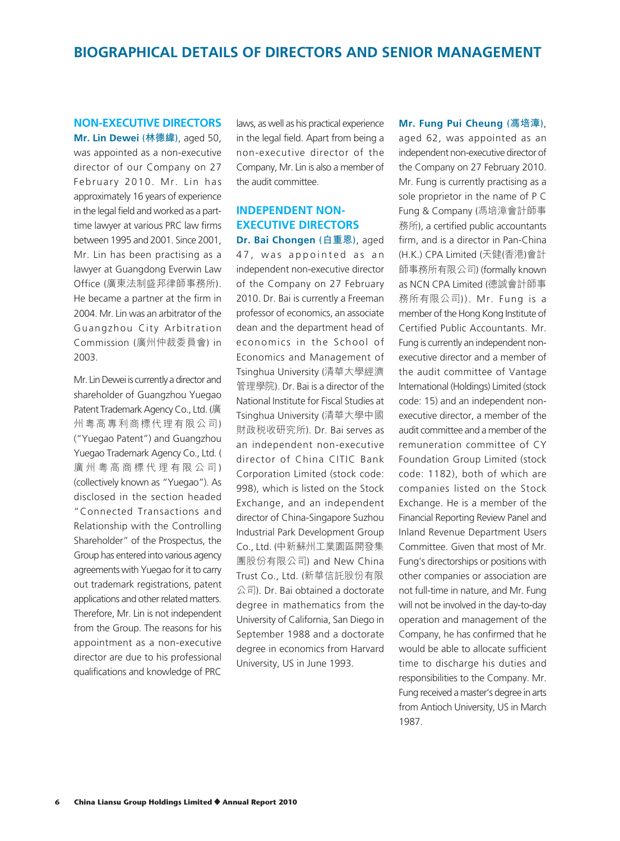# **BIOGRAPHICAL DETAILS OF DIRECTORS AND SENIOR MANAGEMENT**

#### **NON-EXECUTIVE DIRECTORS**

**Mr. Lin Dewei** (**林德緯**), aged 50, was appointed as a non-executive director of our Company on 27 February 2010. Mr. Lin has approximately 16 years of experience in the legal field and worked as a parttime lawyer at various PRC law firms between 1995 and 2001. Since 2001, Mr. Lin has been practising as a lawyer at Guangdong Everwin Law Office (廣東法制盛邦律師事務所). He became a partner at the firm in 2004. Mr. Lin was an arbitrator of the Guangzhou City Arbitration Commission (廣州仲裁委員會) in 2003.

Mr. Lin Dewei is currently a director and shareholder of Guangzhou Yuegao Patent Trademark Agency Co., Ltd. (廣 州粵高專利商標代理有限公司) ("Yuegao Patent") and Guangzhou Yuegao Trademark Agency Co., Ltd. ( 廣州 粵高商標代理有限公司) (collectively known as "Yuegao"). As disclosed in the section headed "Connected Transactions and Relationship with the Controlling Shareholder" of the Prospectus, the Group has entered into various agency agreements with Yuegao for it to carry out trademark registrations, patent applications and other related matters. Therefore, Mr. Lin is not independent from the Group. The reasons for his appointment as a non-executive director are due to his professional qualifications and knowledge of PRC

laws, as well as his practical experience in the legal field. Apart from being a non-executive director of the Company, Mr. Lin is also a member of the audit committee.

# **INDEPENDENT NON-EXECUTIVE DIRECTORS**

**Dr. Bai Chongen** (**白重恩**), aged 47, was appointed as an independent non-executive director of the Company on 27 February 2010. Dr. Bai is currently a Freeman professor of economics, an associate dean and the department head of economics in the School of Economics and Management of Tsinghua University (清華大學經濟 管理學院). Dr. Bai is a director of the National Institute for Fiscal Studies at Tsinghua University (清華大學中國 財政稅收研究所). Dr. Bai serves as an independent non-executive director of China CITIC Bank Corporation Limited (stock code: 998), which is listed on the Stock Exchange, and an independent director of China-Singapore Suzhou Industrial Park Development Group Co., Ltd. (中新蘇州工業園區開發集 團股份有限公司) and New China Trust Co., Ltd. (新華信託股份有限 公司). Dr. Bai obtained a doctorate degree in mathematics from the University of California, San Diego in September 1988 and a doctorate degree in economics from Harvard University, US in June 1993.

#### **Mr. Fung Pui Cheung** (**馮培漳**),

aged 62, was appointed as an independent non-executive director of the Company on 27 February 2010. Mr. Fung is currently practising as a sole proprietor in the name of P C Fung & Company (馮培漳會計師事 務所), a certified public accountants firm, and is a director in Pan-China (H.K.) CPA Limited (天健(香港)會計 師事務所有限公司) (formally known as NCN CPA Limited (德誠會計師事 務所有限公司)). Mr. Fung is a member of the Hong Kong Institute of Certified Public Accountants. Mr. Fung is currently an independent nonexecutive director and a member of the audit committee of Vantage International (Holdings) Limited (stock code: 15) and an independent nonexecutive director, a member of the audit committee and a member of the remuneration committee of CY Foundation Group Limited (stock code: 1182), both of which are companies listed on the Stock Exchange. He is a member of the Financial Reporting Review Panel and Inland Revenue Department Users Committee. Given that most of Mr. Fung's directorships or positions with other companies or association are not full-time in nature, and Mr. Fung will not be involved in the day-to-day operation and management of the Company, he has confirmed that he would be able to allocate sufficient time to discharge his duties and responsibilities to the Company. Mr. Fung received a master's degree in arts from Antioch University, US in March 1987.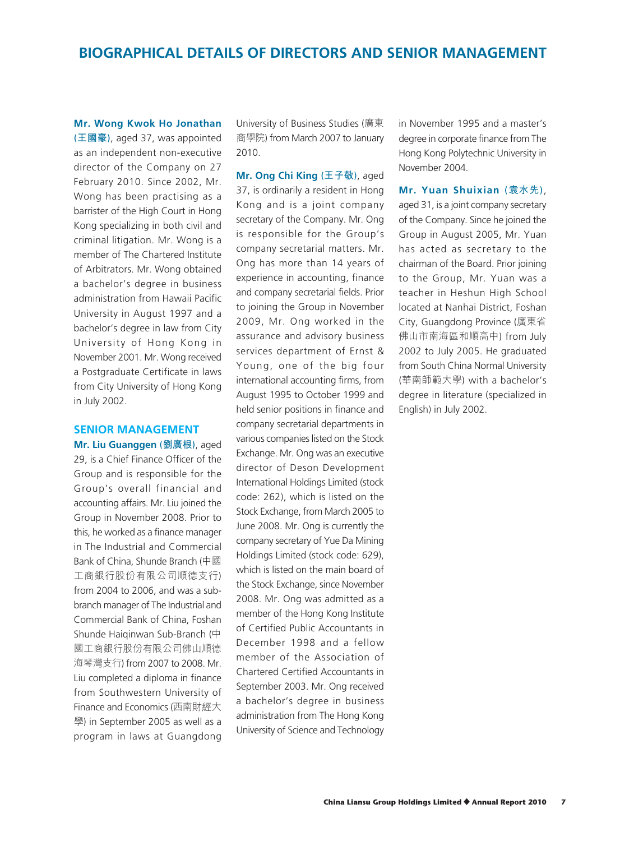# **BIOGRAPHICAL DETAILS OF DIRECTORS AND SENIOR MANAGEMENT**

#### **Mr. Wong Kwok Ho Jonathan**

(**王國豪**), aged 37, was appointed as an independent non-executive director of the Company on 27 February 2010. Since 2002, Mr. Wong has been practising as a barrister of the High Court in Hong Kong specializing in both civil and criminal litigation. Mr. Wong is a member of The Chartered Institute of Arbitrators. Mr. Wong obtained a bachelor's degree in business administration from Hawaii Pacific University in August 1997 and a bachelor's degree in law from City University of Hong Kong in November 2001. Mr. Wong received a Postgraduate Certificate in laws from City University of Hong Kong in July 2002.

#### **SENIOR MANAGEMENT Mr. Liu Guanggen** (**劉廣根**), aged

29, is a Chief Finance Officer of the Group and is responsible for the Group's overall financial and accounting affairs. Mr. Liu joined the Group in November 2008. Prior to this, he worked as a finance manager in The Industrial and Commercial Bank of China, Shunde Branch (中國 工商銀行股份有限公司順德支行) from 2004 to 2006, and was a subbranch manager of The Industrial and Commercial Bank of China, Foshan Shunde Haiqinwan Sub-Branch (中 國工商銀行股份有限公司佛山順德 海琴灣支行) from 2007 to 2008. Mr. Liu completed a diploma in finance from Southwestern University of Finance and Economics (西南財經大 學) in September 2005 as well as a program in laws at Guangdong

University of Business Studies (廣東 商學院) from March 2007 to January 2010.

**Mr. Ong Chi King** (**王子敬**), aged 37, is ordinarily a resident in Hong Kong and is a joint company secretary of the Company. Mr. Ong is responsible for the Group's company secretarial matters. Mr. Ong has more than 14 years of experience in accounting, finance and company secretarial fields. Prior to joining the Group in November 2009, Mr. Ong worked in the assurance and advisory business services department of Ernst & Young, one of the big four international accounting firms, from August 1995 to October 1999 and held senior positions in finance and company secretarial departments in various companies listed on the Stock Exchange. Mr. Ong was an executive director of Deson Development International Holdings Limited (stock code: 262), which is listed on the Stock Exchange, from March 2005 to June 2008. Mr. Ong is currently the company secretary of Yue Da Mining Holdings Limited (stock code: 629), which is listed on the main board of the Stock Exchange, since November 2008. Mr. Ong was admitted as a member of the Hong Kong Institute of Certified Public Accountants in December 1998 and a fellow member of the Association of Chartered Certified Accountants in September 2003. Mr. Ong received a bachelor's degree in business administration from The Hong Kong University of Science and Technology

in November 1995 and a master's degree in corporate finance from The Hong Kong Polytechnic University in November 2004.

#### **Mr. Yuan Shuixian** (**袁水先**),

aged 31, is a joint company secretary of the Company. Since he joined the Group in August 2005, Mr. Yuan has acted as secretary to the chairman of the Board. Prior joining to the Group, Mr. Yuan was a teacher in Heshun High School located at Nanhai District, Foshan City, Guangdong Province (廣東省 佛山市南海區和順高中) from July 2002 to July 2005. He graduated from South China Normal University (華南師範大學) with a bachelor's degree in literature (specialized in English) in July 2002.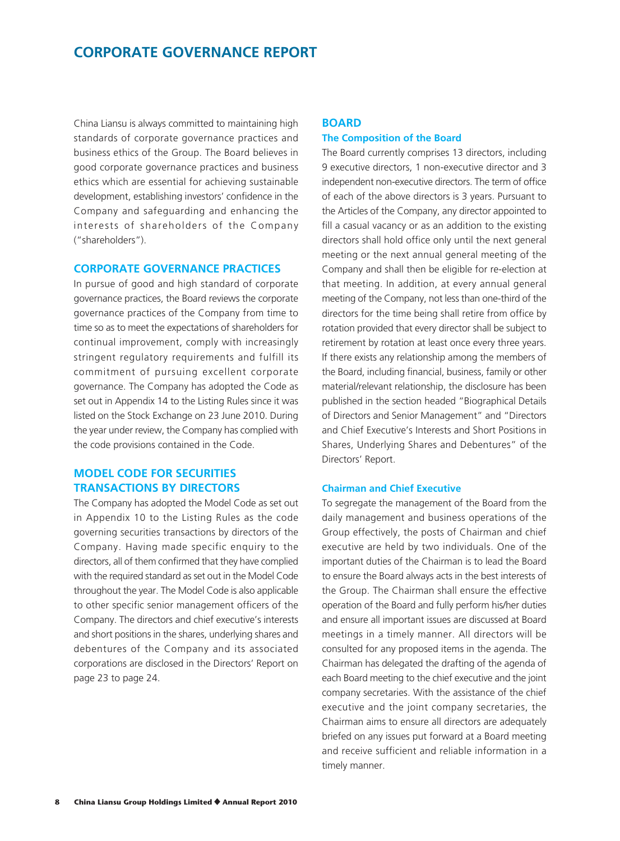China Liansu is always committed to maintaining high standards of corporate governance practices and business ethics of the Group. The Board believes in good corporate governance practices and business ethics which are essential for achieving sustainable development, establishing investors' confidence in the Company and safeguarding and enhancing the interests of shareholders of the Company ("shareholders").

#### **CORPORATE GOVERNANCE PRACTICES**

In pursue of good and high standard of corporate governance practices, the Board reviews the corporate governance practices of the Company from time to time so as to meet the expectations of shareholders for continual improvement, comply with increasingly stringent regulatory requirements and fulfill its commitment of pursuing excellent corporate governance. The Company has adopted the Code as set out in Appendix 14 to the Listing Rules since it was listed on the Stock Exchange on 23 June 2010. During the year under review, the Company has complied with the code provisions contained in the Code.

#### **MODEL CODE FOR SECURITIES TRANSACTIONS BY DIRECTORS**

The Company has adopted the Model Code as set out in Appendix 10 to the Listing Rules as the code governing securities transactions by directors of the Company. Having made specific enquiry to the directors, all of them confirmed that they have complied with the required standard as set out in the Model Code throughout the year. The Model Code is also applicable to other specific senior management officers of the Company. The directors and chief executive's interests and short positions in the shares, underlying shares and debentures of the Company and its associated corporations are disclosed in the Directors' Report on page 23 to page 24.

#### **BOARD**

#### **The Composition of the Board**

The Board currently comprises 13 directors, including 9 executive directors, 1 non-executive director and 3 independent non-executive directors. The term of office of each of the above directors is 3 years. Pursuant to the Articles of the Company, any director appointed to fill a casual vacancy or as an addition to the existing directors shall hold office only until the next general meeting or the next annual general meeting of the Company and shall then be eligible for re-election at that meeting. In addition, at every annual general meeting of the Company, not less than one-third of the directors for the time being shall retire from office by rotation provided that every director shall be subject to retirement by rotation at least once every three years. If there exists any relationship among the members of the Board, including financial, business, family or other material/relevant relationship, the disclosure has been published in the section headed "Biographical Details of Directors and Senior Management" and "Directors and Chief Executive's Interests and Short Positions in Shares, Underlying Shares and Debentures" of the Directors' Report.

#### **Chairman and Chief Executive**

To segregate the management of the Board from the daily management and business operations of the Group effectively, the posts of Chairman and chief executive are held by two individuals. One of the important duties of the Chairman is to lead the Board to ensure the Board always acts in the best interests of the Group. The Chairman shall ensure the effective operation of the Board and fully perform his/her duties and ensure all important issues are discussed at Board meetings in a timely manner. All directors will be consulted for any proposed items in the agenda. The Chairman has delegated the drafting of the agenda of each Board meeting to the chief executive and the joint company secretaries. With the assistance of the chief executive and the joint company secretaries, the Chairman aims to ensure all directors are adequately briefed on any issues put forward at a Board meeting and receive sufficient and reliable information in a timely manner.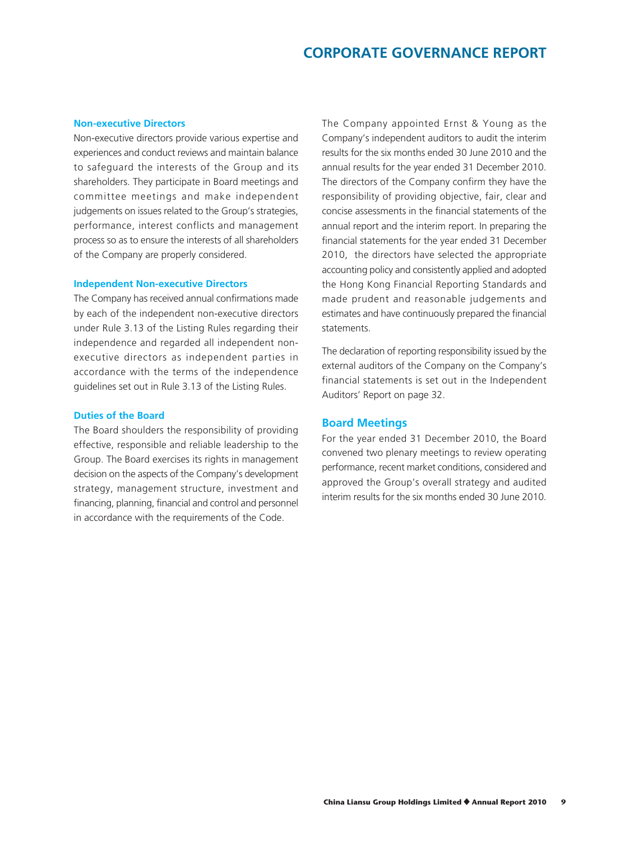#### **Non-executive Directors**

Non-executive directors provide various expertise and experiences and conduct reviews and maintain balance to safeguard the interests of the Group and its shareholders. They participate in Board meetings and committee meetings and make independent judgements on issues related to the Group's strategies, performance, interest conflicts and management process so as to ensure the interests of all shareholders of the Company are properly considered.

#### **Independent Non-executive Directors**

The Company has received annual confirmations made by each of the independent non-executive directors under Rule 3.13 of the Listing Rules regarding their independence and regarded all independent nonexecutive directors as independent parties in accordance with the terms of the independence guidelines set out in Rule 3.13 of the Listing Rules.

#### **Duties of the Board**

The Board shoulders the responsibility of providing effective, responsible and reliable leadership to the Group. The Board exercises its rights in management decision on the aspects of the Company's development strategy, management structure, investment and financing, planning, financial and control and personnel in accordance with the requirements of the Code.

The Company appointed Ernst & Young as the Company's independent auditors to audit the interim results for the six months ended 30 June 2010 and the annual results for the year ended 31 December 2010. The directors of the Company confirm they have the responsibility of providing objective, fair, clear and concise assessments in the financial statements of the annual report and the interim report. In preparing the financial statements for the year ended 31 December 2010, the directors have selected the appropriate accounting policy and consistently applied and adopted the Hong Kong Financial Reporting Standards and made prudent and reasonable judgements and estimates and have continuously prepared the financial statements.

The declaration of reporting responsibility issued by the external auditors of the Company on the Company's financial statements is set out in the Independent Auditors' Report on page 32.

#### **Board Meetings**

For the year ended 31 December 2010, the Board convened two plenary meetings to review operating performance, recent market conditions, considered and approved the Group's overall strategy and audited interim results for the six months ended 30 June 2010.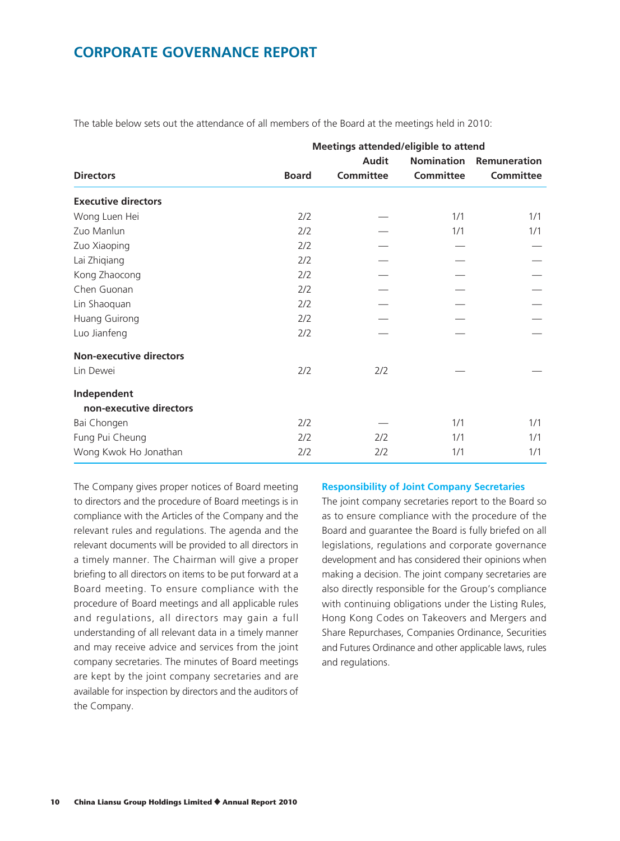|                                | Meetings attended/eligible to attend |                  |                   |                     |  |  |
|--------------------------------|--------------------------------------|------------------|-------------------|---------------------|--|--|
|                                |                                      | <b>Audit</b>     | <b>Nomination</b> | <b>Remuneration</b> |  |  |
| <b>Directors</b>               | <b>Board</b>                         | <b>Committee</b> | <b>Committee</b>  | Committee           |  |  |
| <b>Executive directors</b>     |                                      |                  |                   |                     |  |  |
| Wong Luen Hei                  | 2/2                                  |                  | 1/1               | 1/1                 |  |  |
| Zuo Manlun                     | 2/2                                  |                  | 1/1               | 1/1                 |  |  |
| Zuo Xiaoping                   | 2/2                                  |                  |                   |                     |  |  |
| Lai Zhiqiang                   | 2/2                                  |                  |                   |                     |  |  |
| Kong Zhaocong                  | 2/2                                  |                  |                   |                     |  |  |
| Chen Guonan                    | 2/2                                  |                  |                   |                     |  |  |
| Lin Shaoquan                   | 2/2                                  |                  |                   |                     |  |  |
| Huang Guirong                  | 2/2                                  |                  |                   |                     |  |  |
| Luo Jianfeng                   | 2/2                                  |                  |                   |                     |  |  |
| <b>Non-executive directors</b> |                                      |                  |                   |                     |  |  |
| Lin Dewei                      | 2/2                                  | 2/2              |                   |                     |  |  |
| Independent                    |                                      |                  |                   |                     |  |  |
| non-executive directors        |                                      |                  |                   |                     |  |  |
| Bai Chongen                    | 2/2                                  |                  | 1/1               | 1/1                 |  |  |
| Fung Pui Cheung                | 2/2                                  | 2/2              | 1/1               | 1/1                 |  |  |
| Wong Kwok Ho Jonathan          | 2/2                                  | 2/2              | 1/1               | 1/1                 |  |  |

The table below sets out the attendance of all members of the Board at the meetings held in 2010:

The Company gives proper notices of Board meeting to directors and the procedure of Board meetings is in compliance with the Articles of the Company and the relevant rules and regulations. The agenda and the relevant documents will be provided to all directors in a timely manner. The Chairman will give a proper briefing to all directors on items to be put forward at a Board meeting. To ensure compliance with the procedure of Board meetings and all applicable rules and regulations, all directors may gain a full understanding of all relevant data in a timely manner and may receive advice and services from the joint company secretaries. The minutes of Board meetings are kept by the joint company secretaries and are available for inspection by directors and the auditors of the Company.

#### **Responsibility of Joint Company Secretaries**

The joint company secretaries report to the Board so as to ensure compliance with the procedure of the Board and guarantee the Board is fully briefed on all legislations, regulations and corporate governance development and has considered their opinions when making a decision. The joint company secretaries are also directly responsible for the Group's compliance with continuing obligations under the Listing Rules, Hong Kong Codes on Takeovers and Mergers and Share Repurchases, Companies Ordinance, Securities and Futures Ordinance and other applicable laws, rules and regulations.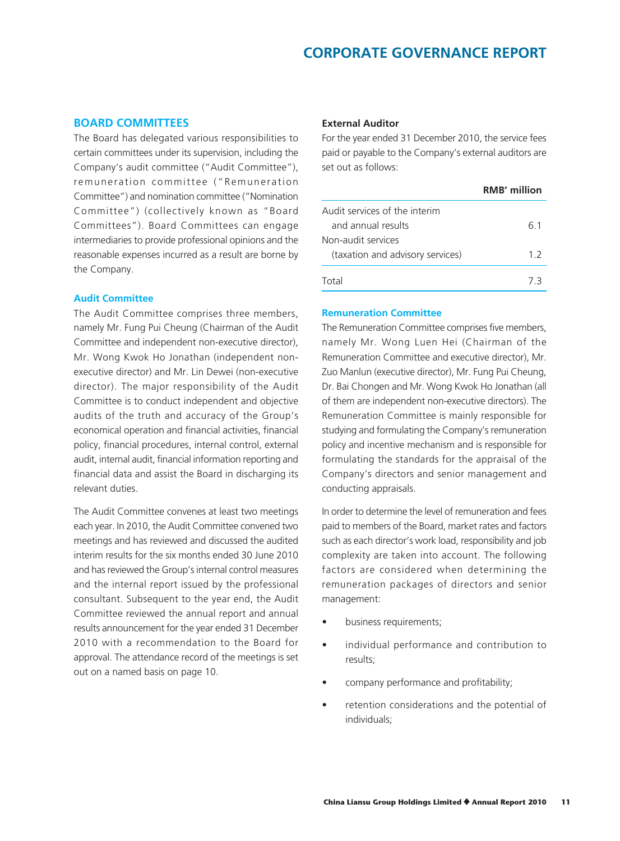#### **BOARD COMMITTEES**

The Board has delegated various responsibilities to certain committees under its supervision, including the Company's audit committee ("Audit Committee"), remuneration committee ("Remuneration Committee") and nomination committee ("Nomination Committee") (collectively known as "Board Committees"). Board Committees can engage intermediaries to provide professional opinions and the reasonable expenses incurred as a result are borne by the Company.

#### **Audit Committee**

The Audit Committee comprises three members, namely Mr. Fung Pui Cheung (Chairman of the Audit Committee and independent non-executive director), Mr. Wong Kwok Ho Jonathan (independent nonexecutive director) and Mr. Lin Dewei (non-executive director). The major responsibility of the Audit Committee is to conduct independent and objective audits of the truth and accuracy of the Group's economical operation and financial activities, financial policy, financial procedures, internal control, external audit, internal audit, financial information reporting and financial data and assist the Board in discharging its relevant duties.

The Audit Committee convenes at least two meetings each year. In 2010, the Audit Committee convened two meetings and has reviewed and discussed the audited interim results for the six months ended 30 June 2010 and has reviewed the Group's internal control measures and the internal report issued by the professional consultant. Subsequent to the year end, the Audit Committee reviewed the annual report and annual results announcement for the year ended 31 December 2010 with a recommendation to the Board for approval. The attendance record of the meetings is set out on a named basis on page 10.

#### **External Auditor**

For the year ended 31 December 2010, the service fees paid or payable to the Company's external auditors are set out as follows:

|                                  | <b>RMB' million</b> |
|----------------------------------|---------------------|
| Audit services of the interim    |                     |
| and annual results               | 6.1                 |
| Non-audit services               |                     |
| (taxation and advisory services) | 12                  |
| Total                            |                     |

#### **Remuneration Committee**

The Remuneration Committee comprises five members, namely Mr. Wong Luen Hei (Chairman of the Remuneration Committee and executive director), Mr. Zuo Manlun (executive director), Mr. Fung Pui Cheung, Dr. Bai Chongen and Mr. Wong Kwok Ho Jonathan (all of them are independent non-executive directors). The Remuneration Committee is mainly responsible for studying and formulating the Company's remuneration policy and incentive mechanism and is responsible for formulating the standards for the appraisal of the Company's directors and senior management and conducting appraisals.

In order to determine the level of remuneration and fees paid to members of the Board, market rates and factors such as each director's work load, responsibility and job complexity are taken into account. The following factors are considered when determining the remuneration packages of directors and senior management:

- business requirements;
- individual performance and contribution to results;
- company performance and profitability;
- retention considerations and the potential of individuals;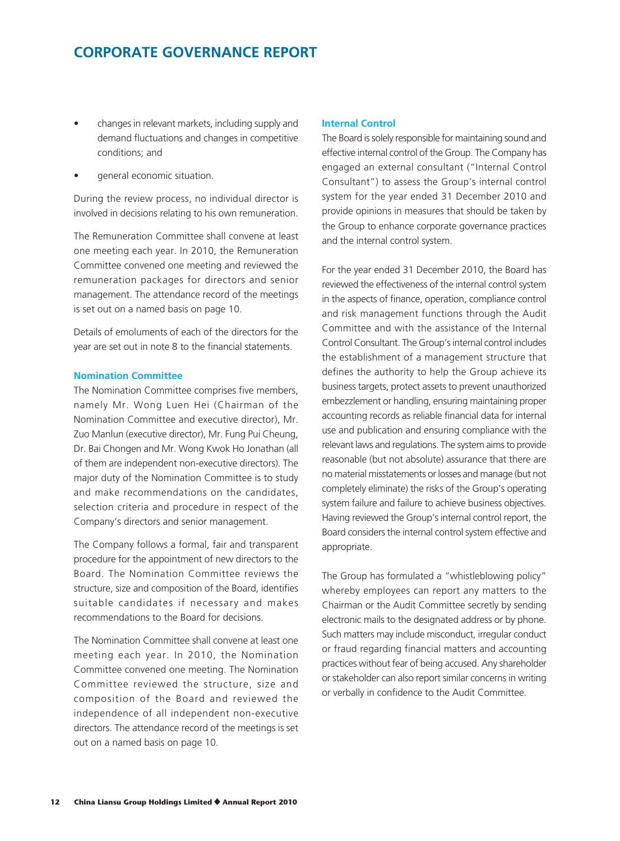- changes in relevant markets, including supply and demand fluctuations and changes in competitive conditions; and
- general economic situation.

During the review process, no individual director is involved in decisions relating to his own remuneration.

The Remuneration Committee shall convene at least one meeting each year. In 2010, the Remuneration Committee convened one meeting and reviewed the remuneration packages for directors and senior management. The attendance record of the meetings is set out on a named basis on page 10.

Details of emoluments of each of the directors for the year are set out in note 8 to the financial statements.

#### **Nomination Committee**

The Nomination Committee comprises five members, namely Mr. Wong Luen Hei (Chairman of the Nomination Committee and executive director), Mr. Zuo Manlun (executive director), Mr. Fung Pui Cheung, Dr. Bai Chongen and Mr. Wong Kwok Ho Jonathan (all of them are independent non-executive directors). The major duty of the Nomination Committee is to study and make recommendations on the candidates, selection criteria and procedure in respect of the Company's directors and senior management.

The Company follows a formal, fair and transparent procedure for the appointment of new directors to the Board. The Nomination Committee reviews the structure, size and composition of the Board, identifies suitable candidates if necessary and makes recommendations to the Board for decisions.

The Nomination Committee shall convene at least one meeting each year. In 2010, the Nomination Committee convened one meeting. The Nomination Committee reviewed the structure, size and composition of the Board and reviewed the independence of all independent non-executive directors. The attendance record of the meetings is set out on a named basis on page 10.

#### **Internal Control**

The Board is solely responsible for maintaining sound and effective internal control of the Group. The Company has engaged an external consultant ("Internal Control Consultant") to assess the Group's internal control system for the year ended 31 December 2010 and provide opinions in measures that should be taken by the Group to enhance corporate governance practices and the internal control system.

For the year ended 31 December 2010, the Board has reviewed the effectiveness of the internal control system in the aspects of finance, operation, compliance control and risk management functions through the Audit Committee and with the assistance of the Internal Control Consultant. The Group's internal control includes the establishment of a management structure that defines the authority to help the Group achieve its business targets, protect assets to prevent unauthorized embezzlement or handling, ensuring maintaining proper accounting records as reliable financial data for internal use and publication and ensuring compliance with the relevant laws and regulations. The system aims to provide reasonable (but not absolute) assurance that there are no material misstatements or losses and manage (but not completely eliminate) the risks of the Group's operating system failure and failure to achieve business objectives. Having reviewed the Group's internal control report, the Board considers the internal control system effective and appropriate.

The Group has formulated a "whistleblowing policy" whereby employees can report any matters to the Chairman or the Audit Committee secretly by sending electronic mails to the designated address or by phone. Such matters may include misconduct, irregular conduct or fraud regarding financial matters and accounting practices without fear of being accused. Any shareholder or stakeholder can also report similar concerns in writing or verbally in confidence to the Audit Committee.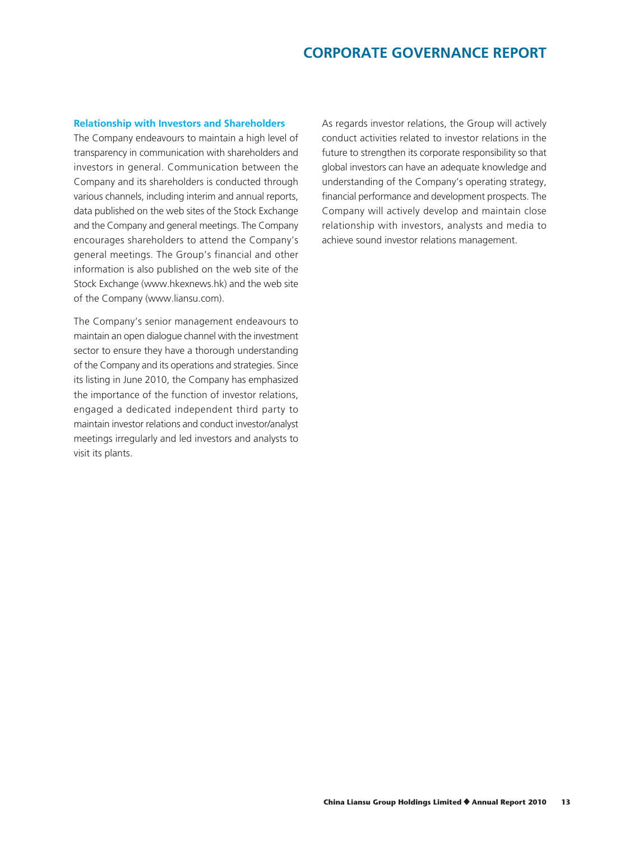#### **Relationship with Investors and Shareholders**

The Company endeavours to maintain a high level of transparency in communication with shareholders and investors in general. Communication between the Company and its shareholders is conducted through various channels, including interim and annual reports, data published on the web sites of the Stock Exchange and the Company and general meetings. The Company encourages shareholders to attend the Company's general meetings. The Group's financial and other information is also published on the web site of the Stock Exchange (www.hkexnews.hk) and the web site of the Company (www.liansu.com).

The Company's senior management endeavours to maintain an open dialogue channel with the investment sector to ensure they have a thorough understanding of the Company and its operations and strategies. Since its listing in June 2010, the Company has emphasized the importance of the function of investor relations, engaged a dedicated independent third party to maintain investor relations and conduct investor/analyst meetings irregularly and led investors and analysts to visit its plants.

As regards investor relations, the Group will actively conduct activities related to investor relations in the future to strengthen its corporate responsibility so that global investors can have an adequate knowledge and understanding of the Company's operating strategy, financial performance and development prospects. The Company will actively develop and maintain close relationship with investors, analysts and media to achieve sound investor relations management.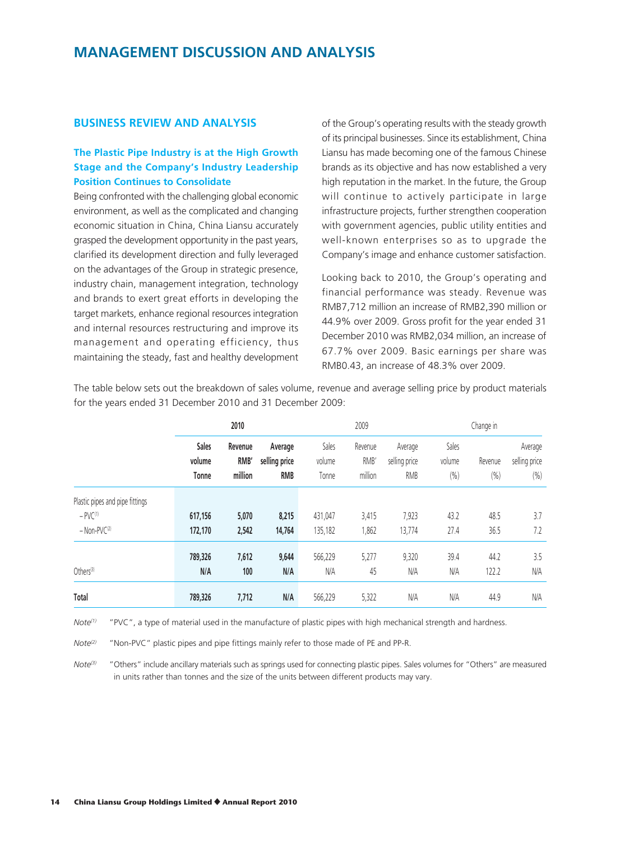#### **BUSINESS REVIEW AND ANALYSIS**

#### **The Plastic Pipe Industry is at the High Growth Stage and the Company's Industry Leadership Position Continues to Consolidate**

Being confronted with the challenging global economic environment, as well as the complicated and changing economic situation in China, China Liansu accurately grasped the development opportunity in the past years, clarified its development direction and fully leveraged on the advantages of the Group in strategic presence, industry chain, management integration, technology and brands to exert great efforts in developing the target markets, enhance regional resources integration and internal resources restructuring and improve its management and operating efficiency, thus maintaining the steady, fast and healthy development of the Group's operating results with the steady growth of its principal businesses. Since its establishment, China Liansu has made becoming one of the famous Chinese brands as its objective and has now established a very high reputation in the market. In the future, the Group will continue to actively participate in large infrastructure projects, further strengthen cooperation with government agencies, public utility entities and well-known enterprises so as to upgrade the Company's image and enhance customer satisfaction.

Looking back to 2010, the Group's operating and financial performance was steady. Revenue was RMB7,712 million an increase of RMB2,390 million or 44.9% over 2009. Gross profit for the year ended 31 December 2010 was RMB2,034 million, an increase of 67.7% over 2009. Basic earnings per share was RMB0.43, an increase of 48.3% over 2009.

The table below sets out the breakdown of sales volume, revenue and average selling price by product materials for the years ended 31 December 2010 and 31 December 2009:

|                                 | 2010                                   |                            |                     |         | 2009          |        |                                   | Change in         |         |               |         |         |       |  |         |
|---------------------------------|----------------------------------------|----------------------------|---------------------|---------|---------------|--------|-----------------------------------|-------------------|---------|---------------|---------|---------|-------|--|---------|
|                                 | <b>Sales</b><br>volume<br><b>Tonne</b> | Revenue<br>RMB'<br>million |                     |         |               |        |                                   |                   | Average | Sales         | Revenue | Average | Sales |  | Average |
|                                 |                                        |                            |                     |         | selling price | volume | RMB <sup>'</sup><br>selling price | Revenue<br>volume |         | selling price |         |         |       |  |         |
|                                 |                                        |                            | <b>RMB</b><br>Tonne | million | <b>RMB</b>    | (% )   | (% )                              | (% )              |         |               |         |         |       |  |         |
| Plastic pipes and pipe fittings |                                        |                            |                     |         |               |        |                                   |                   |         |               |         |         |       |  |         |
| $-$ PVC $(1)$                   | 617,156                                | 5,070                      | 8,215               | 431,047 | 3,415         | 7,923  | 43.2                              | 48.5              | 3.7     |               |         |         |       |  |         |
| $-$ Non-PVC <sup>(2)</sup>      | 172,170                                | 2,542                      | 14,764              | 135,182 | 1,862         | 13,774 | 27.4                              | 36.5              | 7.2     |               |         |         |       |  |         |
|                                 | 789,326                                | 7,612                      | 9,644               | 566,229 | 5,277         | 9,320  | 39.4                              | 44.2              | 3.5     |               |         |         |       |  |         |
| Others <sup>(3)</sup>           | N/A                                    | 100                        | N/A                 | N/A     | 45            | N/A    | N/A                               | 122.2             | N/A     |               |         |         |       |  |         |
| Total                           | 789,326                                | 7,712                      | N/A                 | 566,229 | 5,322         | N/A    | N/A                               | 44.9              | N/A     |               |         |         |       |  |         |

*Note(1)* "PVC", a type of material used in the manufacture of plastic pipes with high mechanical strength and hardness.

*Note<sup>(2)</sup>* "Non-PVC" plastic pipes and pipe fittings mainly refer to those made of PE and PP-R.

*Note(3)* "Others" include ancillary materials such as springs used for connecting plastic pipes. Sales volumes for "Others" are measured in units rather than tonnes and the size of the units between different products may vary.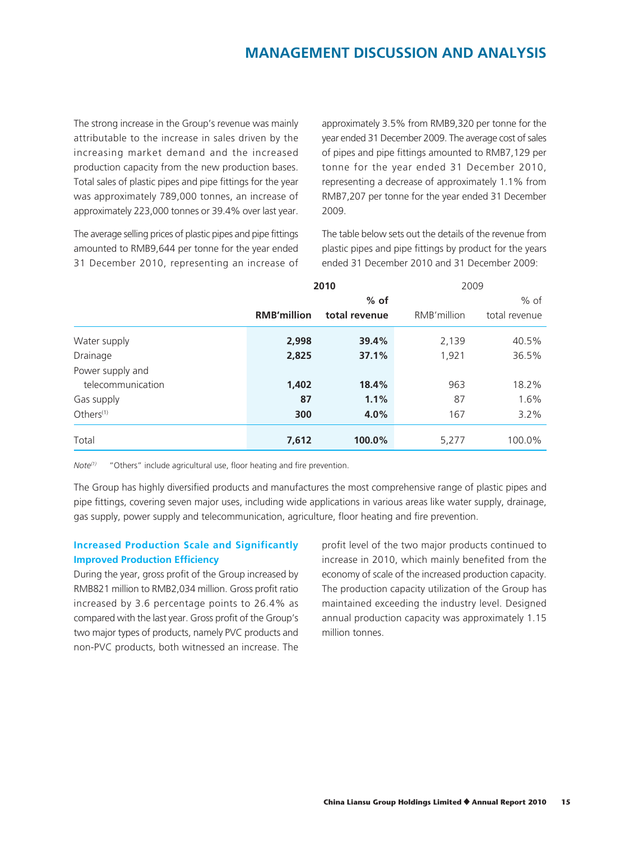The strong increase in the Group's revenue was mainly attributable to the increase in sales driven by the increasing market demand and the increased production capacity from the new production bases. Total sales of plastic pipes and pipe fittings for the year was approximately 789,000 tonnes, an increase of approximately 223,000 tonnes or 39.4% over last year.

The average selling prices of plastic pipes and pipe fittings amounted to RMB9,644 per tonne for the year ended 31 December 2010, representing an increase of

approximately 3.5% from RMB9,320 per tonne for the year ended 31 December 2009. The average cost of sales of pipes and pipe fittings amounted to RMB7,129 per tonne for the year ended 31 December 2010, representing a decrease of approximately 1.1% from RMB7,207 per tonne for the year ended 31 December 2009.

The table below sets out the details of the revenue from plastic pipes and pipe fittings by product for the years ended 31 December 2010 and 31 December 2009:

|                       |                    | 2010          | 2009        |               |
|-----------------------|--------------------|---------------|-------------|---------------|
|                       |                    | $%$ of        |             | $%$ of        |
|                       | <b>RMB'million</b> | total revenue | RMB'million | total revenue |
| Water supply          | 2,998              | 39.4%         | 2,139       | 40.5%         |
| Drainage              | 2,825              | 37.1%         | 1,921       | 36.5%         |
| Power supply and      |                    |               |             |               |
| telecommunication     | 1,402              | 18.4%         | 963         | 18.2%         |
| Gas supply            | 87                 | 1.1%          | 87          | 1.6%          |
| Others <sup>(1)</sup> | 300                | 4.0%          | 167         | 3.2%          |
| Total                 | 7,612              | 100.0%        | 5,277       | 100.0%        |

*Note*<sup>(1)</sup> "Others" include agricultural use, floor heating and fire prevention.

The Group has highly diversified products and manufactures the most comprehensive range of plastic pipes and pipe fittings, covering seven major uses, including wide applications in various areas like water supply, drainage, gas supply, power supply and telecommunication, agriculture, floor heating and fire prevention.

#### **Increased Production Scale and Significantly Improved Production Efficiency**

During the year, gross profit of the Group increased by RMB821 million to RMB2,034 million. Gross profit ratio increased by 3.6 percentage points to 26.4% as compared with the last year. Gross profit of the Group's two major types of products, namely PVC products and non-PVC products, both witnessed an increase. The

profit level of the two major products continued to increase in 2010, which mainly benefited from the economy of scale of the increased production capacity. The production capacity utilization of the Group has maintained exceeding the industry level. Designed annual production capacity was approximately 1.15 million tonnes.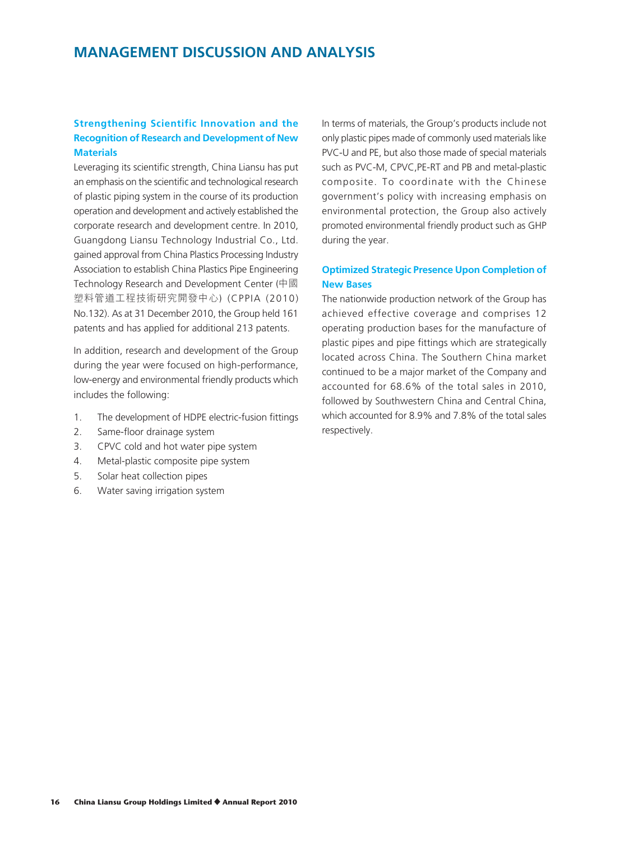#### **Strengthening Scientific Innovation and the Recognition of Research and Development of New Materials**

Leveraging its scientific strength, China Liansu has put an emphasis on the scientific and technological research of plastic piping system in the course of its production operation and development and actively established the corporate research and development centre. In 2010, Guangdong Liansu Technology Industrial Co., Ltd. gained approval from China Plastics Processing Industry Association to establish China Plastics Pipe Engineering Technology Research and Development Center (中國 塑料管道工程技術研究開發中心) (CPPIA (2010) No.132). As at 31 December 2010, the Group held 161 patents and has applied for additional 213 patents.

In addition, research and development of the Group during the year were focused on high-performance, low-energy and environmental friendly products which includes the following:

- 1. The development of HDPE electric-fusion fittings
- 2. Same-floor drainage system
- 3. CPVC cold and hot water pipe system
- 4. Metal-plastic composite pipe system
- 5. Solar heat collection pipes
- 6. Water saving irrigation system

In terms of materials, the Group's products include not only plastic pipes made of commonly used materials like PVC-U and PE, but also those made of special materials such as PVC-M, CPVC,PE-RT and PB and metal-plastic composite. To coordinate with the Chinese government's policy with increasing emphasis on environmental protection, the Group also actively promoted environmental friendly product such as GHP during the year.

#### **Optimized Strategic Presence Upon Completion of New Bases**

The nationwide production network of the Group has achieved effective coverage and comprises 12 operating production bases for the manufacture of plastic pipes and pipe fittings which are strategically located across China. The Southern China market continued to be a major market of the Company and accounted for 68.6% of the total sales in 2010, followed by Southwestern China and Central China, which accounted for 8.9% and 7.8% of the total sales respectively.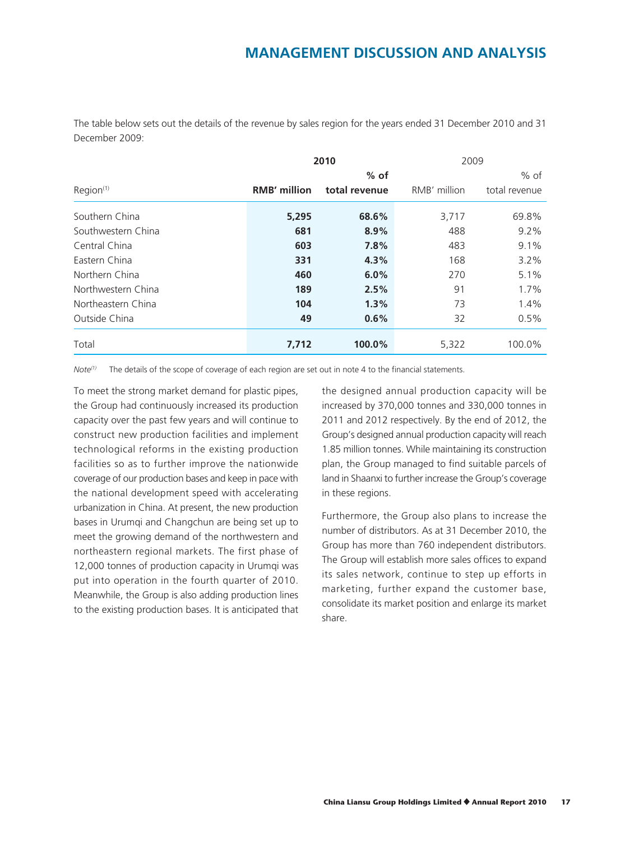The table below sets out the details of the revenue by sales region for the years ended 31 December 2010 and 31 December 2009:

|                    |                     | 2010          | 2009         |               |
|--------------------|---------------------|---------------|--------------|---------------|
|                    |                     | $%$ of        |              | $%$ of        |
| Region(1)          | <b>RMB' million</b> | total revenue | RMB' million | total revenue |
| Southern China     | 5,295               | 68.6%         | 3,717        | 69.8%         |
| Southwestern China | 681                 | 8.9%          | 488          | 9.2%          |
| Central China      | 603                 | 7.8%          | 483          | 9.1%          |
| Eastern China      | 331                 | 4.3%          | 168          | 3.2%          |
| Northern China     | 460                 | 6.0%          | 270          | 5.1%          |
| Northwestern China | 189                 | 2.5%          | 91           | 1.7%          |
| Northeastern China | 104                 | 1.3%          | 73           | 1.4%          |
| Outside China      | 49                  | 0.6%          | 32           | 0.5%          |
| Total              | 7,712               | 100.0%        | 5,322        | 100.0%        |

*Note*<sup>(1)</sup> The details of the scope of coverage of each region are set out in note 4 to the financial statements.

To meet the strong market demand for plastic pipes, the Group had continuously increased its production capacity over the past few years and will continue to construct new production facilities and implement technological reforms in the existing production facilities so as to further improve the nationwide coverage of our production bases and keep in pace with the national development speed with accelerating urbanization in China. At present, the new production bases in Urumqi and Changchun are being set up to meet the growing demand of the northwestern and northeastern regional markets. The first phase of 12,000 tonnes of production capacity in Urumqi was put into operation in the fourth quarter of 2010. Meanwhile, the Group is also adding production lines to the existing production bases. It is anticipated that the designed annual production capacity will be increased by 370,000 tonnes and 330,000 tonnes in 2011 and 2012 respectively. By the end of 2012, the Group's designed annual production capacity will reach 1.85 million tonnes. While maintaining its construction plan, the Group managed to find suitable parcels of land in Shaanxi to further increase the Group's coverage in these regions.

Furthermore, the Group also plans to increase the number of distributors. As at 31 December 2010, the Group has more than 760 independent distributors. The Group will establish more sales offices to expand its sales network, continue to step up efforts in marketing, further expand the customer base, consolidate its market position and enlarge its market share.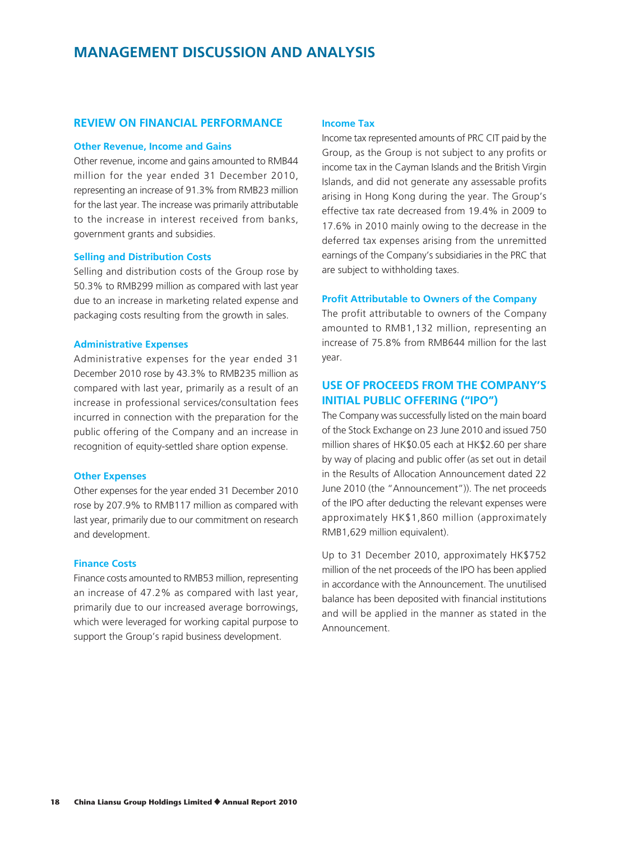#### **REVIEW ON FINANCIAL PERFORMANCE**

#### **Other Revenue, Income and Gains**

Other revenue, income and gains amounted to RMB44 million for the year ended 31 December 2010, representing an increase of 91.3% from RMB23 million for the last year. The increase was primarily attributable to the increase in interest received from banks, government grants and subsidies.

#### **Selling and Distribution Costs**

Selling and distribution costs of the Group rose by 50.3% to RMB299 million as compared with last year due to an increase in marketing related expense and packaging costs resulting from the growth in sales.

#### **Administrative Expenses**

Administrative expenses for the year ended 31 December 2010 rose by 43.3% to RMB235 million as compared with last year, primarily as a result of an increase in professional services/consultation fees incurred in connection with the preparation for the public offering of the Company and an increase in recognition of equity-settled share option expense.

#### **Other Expenses**

Other expenses for the year ended 31 December 2010 rose by 207.9% to RMB117 million as compared with last year, primarily due to our commitment on research and development.

#### **Finance Costs**

Finance costs amounted to RMB53 million, representing an increase of 47.2% as compared with last year, primarily due to our increased average borrowings, which were leveraged for working capital purpose to support the Group's rapid business development.

#### **Income Tax**

Income tax represented amounts of PRC CIT paid by the Group, as the Group is not subject to any profits or income tax in the Cayman Islands and the British Virgin Islands, and did not generate any assessable profits arising in Hong Kong during the year. The Group's effective tax rate decreased from 19.4% in 2009 to 17.6% in 2010 mainly owing to the decrease in the deferred tax expenses arising from the unremitted earnings of the Company's subsidiaries in the PRC that are subject to withholding taxes.

#### **Profit Attributable to Owners of the Company**

The profit attributable to owners of the Company amounted to RMB1,132 million, representing an increase of 75.8% from RMB644 million for the last year.

#### **USE OF PROCEEDS FROM THE COMPANY'S INITIAL PUBLIC OFFERING ("IPO")**

The Company was successfully listed on the main board of the Stock Exchange on 23 June 2010 and issued 750 million shares of HK\$0.05 each at HK\$2.60 per share by way of placing and public offer (as set out in detail in the Results of Allocation Announcement dated 22 June 2010 (the "Announcement")). The net proceeds of the IPO after deducting the relevant expenses were approximately HK\$1,860 million (approximately RMB1,629 million equivalent).

Up to 31 December 2010, approximately HK\$752 million of the net proceeds of the IPO has been applied in accordance with the Announcement. The unutilised balance has been deposited with financial institutions and will be applied in the manner as stated in the Announcement.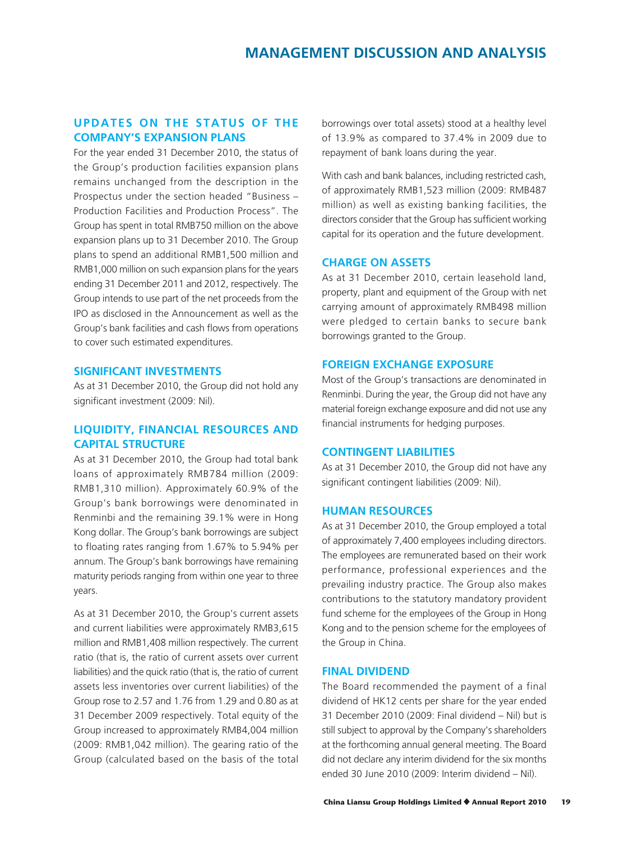#### **UPDATES ON THE STATUS OF THE COMPANY'S EXPANSION PLANS**

For the year ended 31 December 2010, the status of the Group's production facilities expansion plans remains unchanged from the description in the Prospectus under the section headed "Business – Production Facilities and Production Process". The Group has spent in total RMB750 million on the above expansion plans up to 31 December 2010. The Group plans to spend an additional RMB1,500 million and RMB1,000 million on such expansion plans for the years ending 31 December 2011 and 2012, respectively. The Group intends to use part of the net proceeds from the IPO as disclosed in the Announcement as well as the Group's bank facilities and cash flows from operations to cover such estimated expenditures.

#### **SIGNIFICANT INVESTMENTS**

As at 31 December 2010, the Group did not hold any significant investment (2009: Nil).

#### **LIQUIDITY, FINANCIAL RESOURCES AND CAPITAL STRUCTURE**

As at 31 December 2010, the Group had total bank loans of approximately RMB784 million (2009: RMB1,310 million). Approximately 60.9% of the Group's bank borrowings were denominated in Renminbi and the remaining 39.1% were in Hong Kong dollar. The Group's bank borrowings are subject to floating rates ranging from 1.67% to 5.94% per annum. The Group's bank borrowings have remaining maturity periods ranging from within one year to three years.

As at 31 December 2010, the Group's current assets and current liabilities were approximately RMB3,615 million and RMB1,408 million respectively. The current ratio (that is, the ratio of current assets over current liabilities) and the quick ratio (that is, the ratio of current assets less inventories over current liabilities) of the Group rose to 2.57 and 1.76 from 1.29 and 0.80 as at 31 December 2009 respectively. Total equity of the Group increased to approximately RMB4,004 million (2009: RMB1,042 million). The gearing ratio of the Group (calculated based on the basis of the total

borrowings over total assets) stood at a healthy level of 13.9% as compared to 37.4% in 2009 due to repayment of bank loans during the year.

With cash and bank balances, including restricted cash, of approximately RMB1,523 million (2009: RMB487 million) as well as existing banking facilities, the directors consider that the Group has sufficient working capital for its operation and the future development.

#### **CHARGE ON ASSETS**

As at 31 December 2010, certain leasehold land, property, plant and equipment of the Group with net carrying amount of approximately RMB498 million were pledged to certain banks to secure bank borrowings granted to the Group.

#### **FOREIGN EXCHANGE EXPOSURE**

Most of the Group's transactions are denominated in Renminbi. During the year, the Group did not have any material foreign exchange exposure and did not use any financial instruments for hedging purposes.

#### **CONTINGENT LIABILITIES**

As at 31 December 2010, the Group did not have any significant contingent liabilities (2009: Nil).

#### **HUMAN RESOURCES**

As at 31 December 2010, the Group employed a total of approximately 7,400 employees including directors. The employees are remunerated based on their work performance, professional experiences and the prevailing industry practice. The Group also makes contributions to the statutory mandatory provident fund scheme for the employees of the Group in Hong Kong and to the pension scheme for the employees of the Group in China.

#### **FINAL DIVIDEND**

The Board recommended the payment of a final dividend of HK12 cents per share for the year ended 31 December 2010 (2009: Final dividend – Nil) but is still subject to approval by the Company's shareholders at the forthcoming annual general meeting. The Board did not declare any interim dividend for the six months ended 30 June 2010 (2009: Interim dividend – Nil).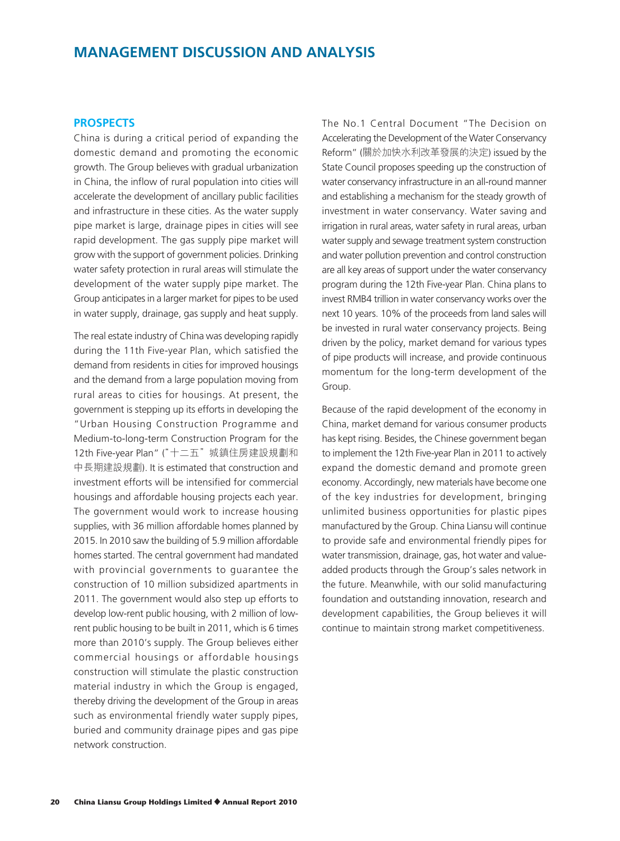#### **PROSPECTS**

China is during a critical period of expanding the domestic demand and promoting the economic growth. The Group believes with gradual urbanization in China, the inflow of rural population into cities will accelerate the development of ancillary public facilities and infrastructure in these cities. As the water supply pipe market is large, drainage pipes in cities will see rapid development. The gas supply pipe market will grow with the support of government policies. Drinking water safety protection in rural areas will stimulate the development of the water supply pipe market. The Group anticipates in a larger market for pipes to be used in water supply, drainage, gas supply and heat supply.

The real estate industry of China was developing rapidly during the 11th Five-year Plan, which satisfied the demand from residents in cities for improved housings and the demand from a large population moving from rural areas to cities for housings. At present, the government is stepping up its efforts in developing the "Urban Housing Construction Programme and Medium-to-long-term Construction Program for the 12th Five-year Plan" ("十二五"城鎮住房建設規劃和 中長期建設規劃). It is estimated that construction and investment efforts will be intensified for commercial housings and affordable housing projects each year. The government would work to increase housing supplies, with 36 million affordable homes planned by 2015. In 2010 saw the building of 5.9 million affordable homes started. The central government had mandated with provincial governments to guarantee the construction of 10 million subsidized apartments in 2011. The government would also step up efforts to develop low-rent public housing, with 2 million of lowrent public housing to be built in 2011, which is 6 times more than 2010's supply. The Group believes either commercial housings or affordable housings construction will stimulate the plastic construction material industry in which the Group is engaged, thereby driving the development of the Group in areas such as environmental friendly water supply pipes, buried and community drainage pipes and gas pipe network construction.

The No.1 Central Document "The Decision on Accelerating the Development of the Water Conservancy Reform" (關於加快水利改革發展的決定) issued by the State Council proposes speeding up the construction of water conservancy infrastructure in an all-round manner and establishing a mechanism for the steady growth of investment in water conservancy. Water saving and irrigation in rural areas, water safety in rural areas, urban water supply and sewage treatment system construction and water pollution prevention and control construction are all key areas of support under the water conservancy program during the 12th Five-year Plan. China plans to invest RMB4 trillion in water conservancy works over the next 10 years. 10% of the proceeds from land sales will be invested in rural water conservancy projects. Being driven by the policy, market demand for various types of pipe products will increase, and provide continuous momentum for the long-term development of the Group.

Because of the rapid development of the economy in China, market demand for various consumer products has kept rising. Besides, the Chinese government began to implement the 12th Five-year Plan in 2011 to actively expand the domestic demand and promote green economy. Accordingly, new materials have become one of the key industries for development, bringing unlimited business opportunities for plastic pipes manufactured by the Group. China Liansu will continue to provide safe and environmental friendly pipes for water transmission, drainage, gas, hot water and valueadded products through the Group's sales network in the future. Meanwhile, with our solid manufacturing foundation and outstanding innovation, research and development capabilities, the Group believes it will continue to maintain strong market competitiveness.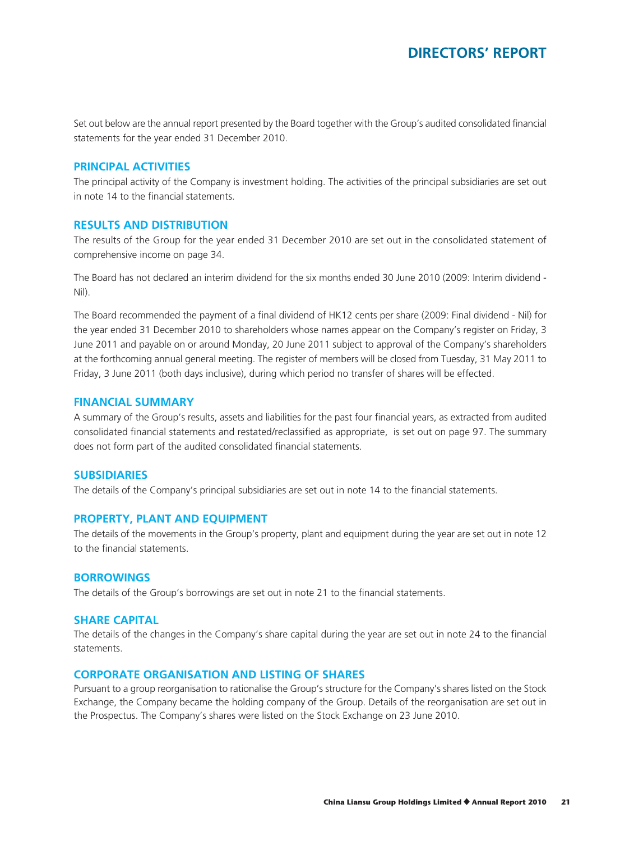Set out below are the annual report presented by the Board together with the Group's audited consolidated financial statements for the year ended 31 December 2010.

#### **PRINCIPAL ACTIVITIES**

The principal activity of the Company is investment holding. The activities of the principal subsidiaries are set out in note 14 to the financial statements.

#### **RESULTS AND DISTRIBUTION**

The results of the Group for the year ended 31 December 2010 are set out in the consolidated statement of comprehensive income on page 34.

The Board has not declared an interim dividend for the six months ended 30 June 2010 (2009: Interim dividend - Nil).

The Board recommended the payment of a final dividend of HK12 cents per share (2009: Final dividend - Nil) for the year ended 31 December 2010 to shareholders whose names appear on the Company's register on Friday, 3 June 2011 and payable on or around Monday, 20 June 2011 subject to approval of the Company's shareholders at the forthcoming annual general meeting. The register of members will be closed from Tuesday, 31 May 2011 to Friday, 3 June 2011 (both days inclusive), during which period no transfer of shares will be effected.

#### **FINANCIAL SUMMARY**

A summary of the Group's results, assets and liabilities for the past four financial years, as extracted from audited consolidated financial statements and restated/reclassified as appropriate, is set out on page 97. The summary does not form part of the audited consolidated financial statements.

#### **SUBSIDIARIES**

The details of the Company's principal subsidiaries are set out in note 14 to the financial statements.

#### **PROPERTY, PLANT AND EQUIPMENT**

The details of the movements in the Group's property, plant and equipment during the year are set out in note 12 to the financial statements.

#### **BORROWINGS**

The details of the Group's borrowings are set out in note 21 to the financial statements.

#### **SHARE CAPITAL**

The details of the changes in the Company's share capital during the year are set out in note 24 to the financial statements.

#### **CORPORATE ORGANISATION AND LISTING OF SHARES**

Pursuant to a group reorganisation to rationalise the Group's structure for the Company's shares listed on the Stock Exchange, the Company became the holding company of the Group. Details of the reorganisation are set out in the Prospectus. The Company's shares were listed on the Stock Exchange on 23 June 2010.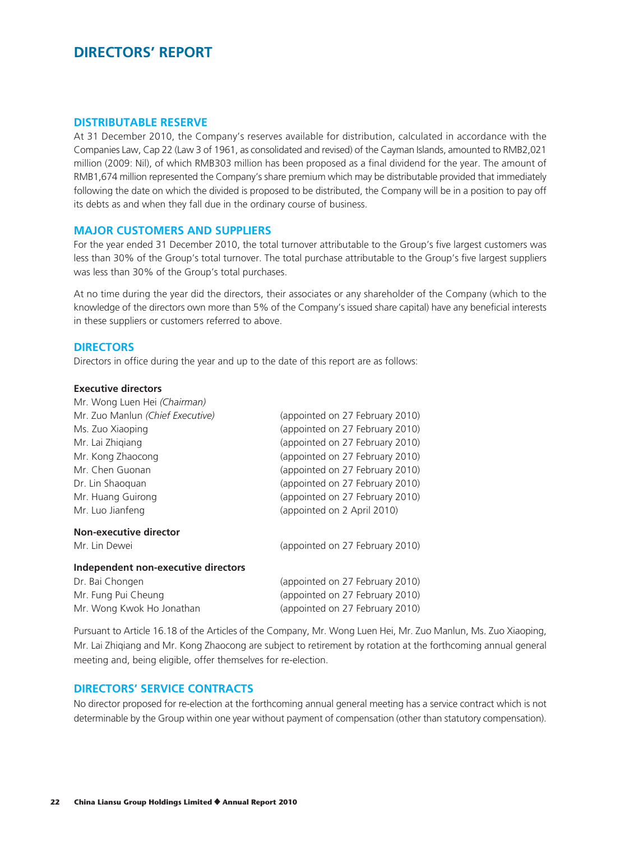#### **DISTRIBUTABLE RESERVE**

At 31 December 2010, the Company's reserves available for distribution, calculated in accordance with the Companies Law, Cap 22 (Law 3 of 1961, as consolidated and revised) of the Cayman Islands, amounted to RMB2,021 million (2009: Nil), of which RMB303 million has been proposed as a final dividend for the year. The amount of RMB1,674 million represented the Company's share premium which may be distributable provided that immediately following the date on which the divided is proposed to be distributed, the Company will be in a position to pay off its debts as and when they fall due in the ordinary course of business.

#### **MAJOR CUSTOMERS AND SUPPLIERS**

For the year ended 31 December 2010, the total turnover attributable to the Group's five largest customers was less than 30% of the Group's total turnover. The total purchase attributable to the Group's five largest suppliers was less than 30% of the Group's total purchases.

At no time during the year did the directors, their associates or any shareholder of the Company (which to the knowledge of the directors own more than 5% of the Company's issued share capital) have any beneficial interests in these suppliers or customers referred to above.

#### **DIRECTORS**

Directors in office during the year and up to the date of this report are as follows:

#### **Executive directors**

Mr. Wong Luen Hei *(Chairman)*

| (appointed on 27 February 2010) |
|---------------------------------|
|                                 |
| (appointed on 27 February 2010) |
| (appointed on 27 February 2010) |
| (appointed on 27 February 2010) |
| (appointed on 27 February 2010) |
| (appointed on 27 February 2010) |
| (appointed on 27 February 2010) |
| (appointed on 2 April 2010)     |
|                                 |
|                                 |
| (appointed on 27 February 2010) |
|                                 |
| (appointed on 27 February 2010) |
| (appointed on 27 February 2010) |
|                                 |

Pursuant to Article 16.18 of the Articles of the Company, Mr. Wong Luen Hei, Mr. Zuo Manlun, Ms. Zuo Xiaoping, Mr. Lai Zhiqiang and Mr. Kong Zhaocong are subject to retirement by rotation at the forthcoming annual general meeting and, being eligible, offer themselves for re-election.

#### **DIRECTORS' SERVICE CONTRACTS**

No director proposed for re-election at the forthcoming annual general meeting has a service contract which is not determinable by the Group within one year without payment of compensation (other than statutory compensation).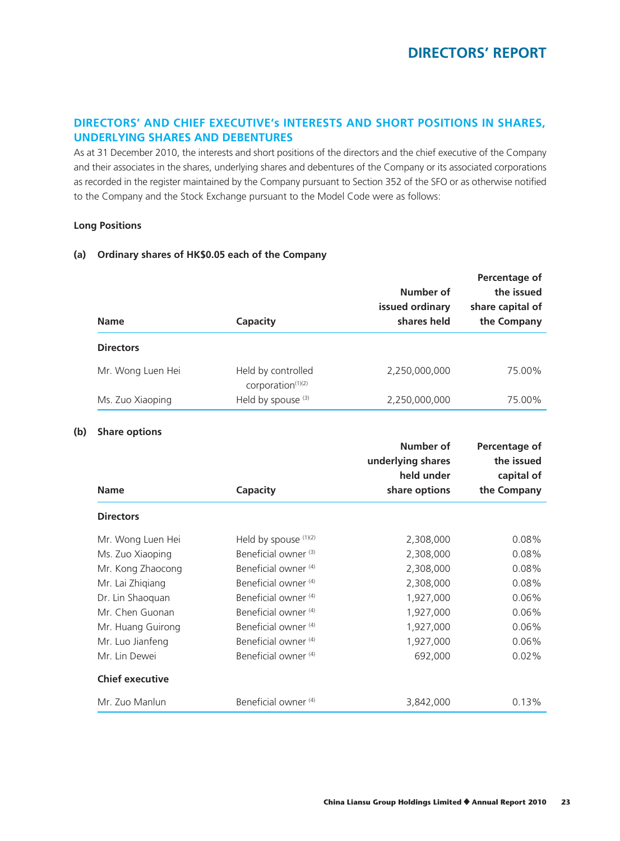#### **DIRECTORS' AND CHIEF EXECUTIVE's INTERESTS AND SHORT POSITIONS IN SHARES, UNDERLYING SHARES AND DEBENTURES**

As at 31 December 2010, the interests and short positions of the directors and the chief executive of the Company and their associates in the shares, underlying shares and debentures of the Company or its associated corporations as recorded in the register maintained by the Company pursuant to Section 352 of the SFO or as otherwise notified to the Company and the Stock Exchange pursuant to the Model Code were as follows:

#### **Long Positions**

#### **(a) Ordinary shares of HK\$0.05 each of the Company**

| <b>Name</b>       | Capacity                                            | Number of<br>issued ordinary<br>shares held | Percentage of<br>the issued<br>share capital of<br>the Company |
|-------------------|-----------------------------------------------------|---------------------------------------------|----------------------------------------------------------------|
| <b>Directors</b>  |                                                     |                                             |                                                                |
| Mr. Wong Luen Hei | Held by controlled<br>corporation <sup>(1)(2)</sup> | 2,250,000,000                               | 75.00%                                                         |
| Ms. Zuo Xiaoping  | Held by spouse (3)                                  | 2,250,000,000                               | 75.00%                                                         |

#### **(b) Share options**

| <b>Name</b>            | <b>Capacity</b>         | Number of<br>underlying shares<br>held under<br>share options | Percentage of<br>the issued<br>capital of<br>the Company |
|------------------------|-------------------------|---------------------------------------------------------------|----------------------------------------------------------|
| <b>Directors</b>       |                         |                                                               |                                                          |
| Mr. Wong Luen Hei      | Held by spouse $(1)(2)$ | 2,308,000                                                     | 0.08%                                                    |
| Ms. Zuo Xiaoping       | Beneficial owner (3)    | 2,308,000                                                     | 0.08%                                                    |
| Mr. Kong Zhaocong      | Beneficial owner (4)    | 2,308,000                                                     | 0.08%                                                    |
| Mr. Lai Zhiqiang       | Beneficial owner (4)    | 2,308,000                                                     | 0.08%                                                    |
| Dr. Lin Shaoquan       | Beneficial owner (4)    | 1,927,000                                                     | 0.06%                                                    |
| Mr. Chen Guonan        | Beneficial owner (4)    | 1,927,000                                                     | 0.06%                                                    |
| Mr. Huang Guirong      | Beneficial owner (4)    | 1,927,000                                                     | 0.06%                                                    |
| Mr. Luo Jianfeng       | Beneficial owner (4)    | 1,927,000                                                     | 0.06%                                                    |
| Mr. Lin Dewei          | Beneficial owner (4)    | 692,000                                                       | 0.02%                                                    |
| <b>Chief executive</b> |                         |                                                               |                                                          |
| Mr. Zuo Manlun         | Beneficial owner (4)    | 3,842,000                                                     | 0.13%                                                    |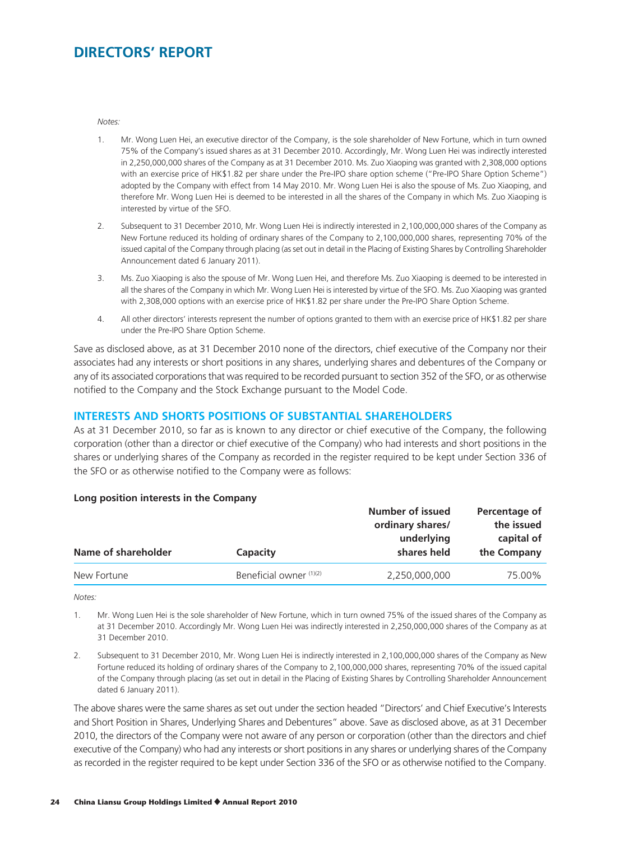*Notes:*

- 1. Mr. Wong Luen Hei, an executive director of the Company, is the sole shareholder of New Fortune, which in turn owned 75% of the Company's issued shares as at 31 December 2010. Accordingly, Mr. Wong Luen Hei was indirectly interested in 2,250,000,000 shares of the Company as at 31 December 2010. Ms. Zuo Xiaoping was granted with 2,308,000 options with an exercise price of HK\$1.82 per share under the Pre-IPO share option scheme ("Pre-IPO Share Option Scheme") adopted by the Company with effect from 14 May 2010. Mr. Wong Luen Hei is also the spouse of Ms. Zuo Xiaoping, and therefore Mr. Wong Luen Hei is deemed to be interested in all the shares of the Company in which Ms. Zuo Xiaoping is interested by virtue of the SFO.
- 2. Subsequent to 31 December 2010, Mr. Wong Luen Hei is indirectly interested in 2,100,000,000 shares of the Company as New Fortune reduced its holding of ordinary shares of the Company to 2,100,000,000 shares, representing 70% of the issued capital of the Company through placing (as set out in detail in the Placing of Existing Shares by Controlling Shareholder Announcement dated 6 January 2011).
- 3. Ms. Zuo Xiaoping is also the spouse of Mr. Wong Luen Hei, and therefore Ms. Zuo Xiaoping is deemed to be interested in all the shares of the Company in which Mr. Wong Luen Hei is interested by virtue of the SFO. Ms. Zuo Xiaoping was granted with 2,308,000 options with an exercise price of HK\$1.82 per share under the Pre-IPO Share Option Scheme.
- 4. All other directors' interests represent the number of options granted to them with an exercise price of HK\$1.82 per share under the Pre-IPO Share Option Scheme.

Save as disclosed above, as at 31 December 2010 none of the directors, chief executive of the Company nor their associates had any interests or short positions in any shares, underlying shares and debentures of the Company or any of its associated corporations that was required to be recorded pursuant to section 352 of the SFO, or as otherwise notified to the Company and the Stock Exchange pursuant to the Model Code.

#### **INTERESTS AND SHORTS POSITIONS OF SUBSTANTIAL SHAREHOLDERS**

As at 31 December 2010, so far as is known to any director or chief executive of the Company, the following corporation (other than a director or chief executive of the Company) who had interests and short positions in the shares or underlying shares of the Company as recorded in the register required to be kept under Section 336 of the SFO or as otherwise notified to the Company were as follows:

|                     |                         | Number of issued<br>ordinary shares/<br>underlying | Percentage of<br>the issued<br>capital of |
|---------------------|-------------------------|----------------------------------------------------|-------------------------------------------|
| Name of shareholder | Capacity                | shares held                                        | the Company                               |
| New Fortune         | Beneficial owner (1)(2) | 2,250,000,000                                      | 75.00%                                    |

#### **Long position interests in the Company**

*Notes:*

1. Mr. Wong Luen Hei is the sole shareholder of New Fortune, which in turn owned 75% of the issued shares of the Company as at 31 December 2010. Accordingly Mr. Wong Luen Hei was indirectly interested in 2,250,000,000 shares of the Company as at 31 December 2010.

2. Subsequent to 31 December 2010, Mr. Wong Luen Hei is indirectly interested in 2,100,000,000 shares of the Company as New Fortune reduced its holding of ordinary shares of the Company to 2,100,000,000 shares, representing 70% of the issued capital of the Company through placing (as set out in detail in the Placing of Existing Shares by Controlling Shareholder Announcement dated 6 January 2011).

The above shares were the same shares as set out under the section headed "Directors' and Chief Executive's Interests and Short Position in Shares, Underlying Shares and Debentures" above. Save as disclosed above, as at 31 December 2010, the directors of the Company were not aware of any person or corporation (other than the directors and chief executive of the Company) who had any interests or short positions in any shares or underlying shares of the Company as recorded in the register required to be kept under Section 336 of the SFO or as otherwise notified to the Company.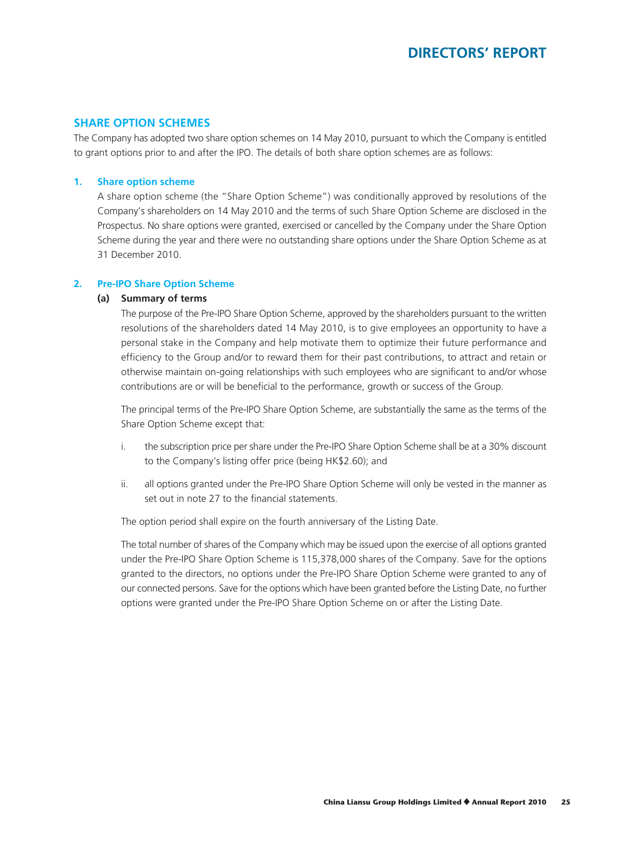#### **SHARE OPTION SCHEMES**

The Company has adopted two share option schemes on 14 May 2010, pursuant to which the Company is entitled to grant options prior to and after the IPO. The details of both share option schemes are as follows:

#### **1. Share option scheme**

A share option scheme (the "Share Option Scheme") was conditionally approved by resolutions of the Company's shareholders on 14 May 2010 and the terms of such Share Option Scheme are disclosed in the Prospectus. No share options were granted, exercised or cancelled by the Company under the Share Option Scheme during the year and there were no outstanding share options under the Share Option Scheme as at 31 December 2010.

#### **2. Pre-IPO Share Option Scheme**

#### **(a) Summary of terms**

The purpose of the Pre-IPO Share Option Scheme, approved by the shareholders pursuant to the written resolutions of the shareholders dated 14 May 2010, is to give employees an opportunity to have a personal stake in the Company and help motivate them to optimize their future performance and efficiency to the Group and/or to reward them for their past contributions, to attract and retain or otherwise maintain on-going relationships with such employees who are significant to and/or whose contributions are or will be beneficial to the performance, growth or success of the Group.

The principal terms of the Pre-IPO Share Option Scheme, are substantially the same as the terms of the Share Option Scheme except that:

- i. the subscription price per share under the Pre-IPO Share Option Scheme shall be at a 30% discount to the Company's listing offer price (being HK\$2.60); and
- ii. all options granted under the Pre-IPO Share Option Scheme will only be vested in the manner as set out in note 27 to the financial statements.

The option period shall expire on the fourth anniversary of the Listing Date.

The total number of shares of the Company which may be issued upon the exercise of all options granted under the Pre-IPO Share Option Scheme is 115,378,000 shares of the Company. Save for the options granted to the directors, no options under the Pre-IPO Share Option Scheme were granted to any of our connected persons. Save for the options which have been granted before the Listing Date, no further options were granted under the Pre-IPO Share Option Scheme on or after the Listing Date.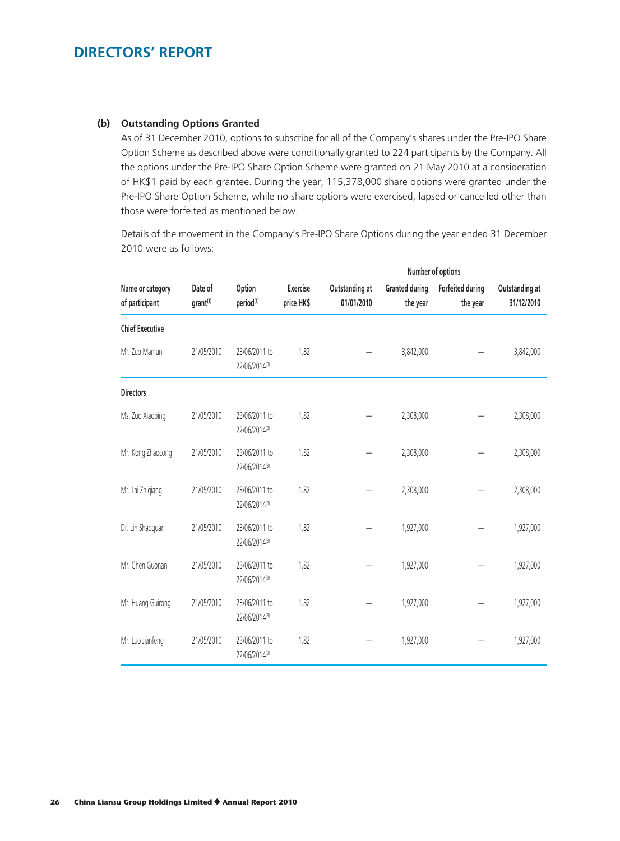#### **(b) Outstanding Options Granted**

As of 31 December 2010, options to subscribe for all of the Company's shares under the Pre-IPO Share Option Scheme as described above were conditionally granted to 224 participants by the Company. All the options under the Pre-IPO Share Option Scheme were granted on 21 May 2010 at a consideration of HK\$1 paid by each grantee. During the year, 115,378,000 share options were granted under the Pre-IPO Share Option Scheme, while no share options were exercised, lapsed or cancelled other than those were forfeited as mentioned below.

Details of the movement in the Company's Pre-IPO Share Options during the year ended 31 December 2010 were as follows:

|                                    |                                 |                                |                               |                              |                                   | Number of options                   |                              |
|------------------------------------|---------------------------------|--------------------------------|-------------------------------|------------------------------|-----------------------------------|-------------------------------------|------------------------------|
| Name or category<br>of participant | Date of<br>grant <sup>(1)</sup> | Option<br>period(1)            | <b>Exercise</b><br>price HK\$ | Outstanding at<br>01/01/2010 | <b>Granted during</b><br>the year | <b>Forfeited during</b><br>the year | Outstanding at<br>31/12/2010 |
| <b>Chief Executive</b>             |                                 |                                |                               |                              |                                   |                                     |                              |
| Mr. Zuo Manlun                     | 21/05/2010                      | 23/06/2011 to<br>22/06/2014(3) | 1.82                          |                              | 3,842,000                         |                                     | 3,842,000                    |
| <b>Directors</b>                   |                                 |                                |                               |                              |                                   |                                     |                              |
| Ms. Zuo Xiaoping                   | 21/05/2010                      | 23/06/2011 to<br>22/06/2014(3) | 1.82                          |                              | 2,308,000                         |                                     | 2,308,000                    |
| Mr. Kong Zhaocong                  | 21/05/2010                      | 23/06/2011 to<br>22/06/2014(3) | 1.82                          |                              | 2,308,000                         |                                     | 2,308,000                    |
| Mr. Lai Zhiqiang                   | 21/05/2010                      | 23/06/2011 to<br>22/06/2014(3) | 1.82                          |                              | 2,308,000                         |                                     | 2,308,000                    |
| Dr. Lin Shaoquan                   | 21/05/2010                      | 23/06/2011 to<br>22/06/2014(3) | 1.82                          |                              | 1,927,000                         |                                     | 1,927,000                    |
| Mr. Chen Guonan                    | 21/05/2010                      | 23/06/2011 to<br>22/06/2014(3) | 1.82                          |                              | 1,927,000                         |                                     | 1,927,000                    |
| Mr. Huang Guirong                  | 21/05/2010                      | 23/06/2011 to<br>22/06/2014(3) | 1.82                          |                              | 1,927,000                         |                                     | 1,927,000                    |
| Mr. Luo Jianfeng                   | 21/05/2010                      | 23/06/2011 to<br>22/06/2014(3) | 1.82                          |                              | 1,927,000                         |                                     | 1,927,000                    |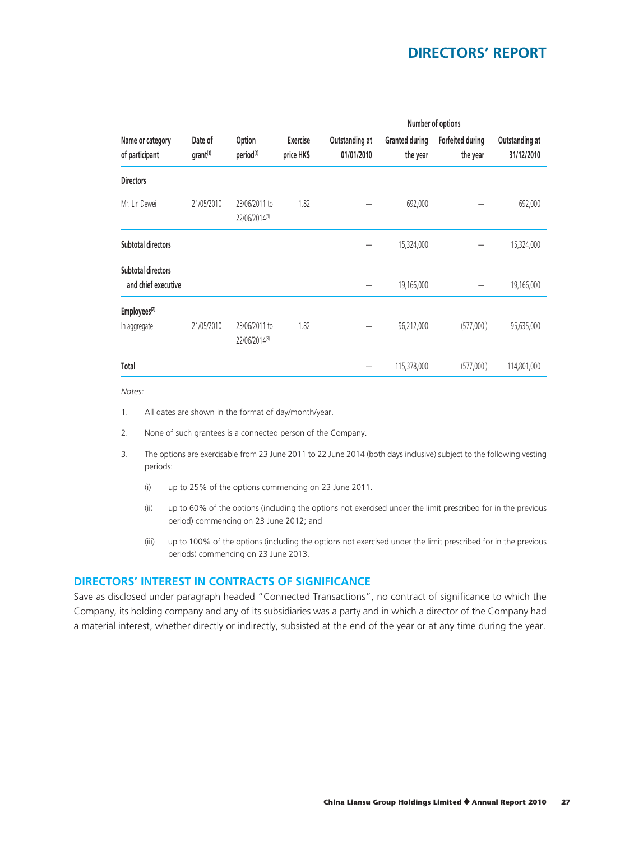|                                                  | Date of<br>grant <sup>(1)</sup> | Option<br>period <sup>(1)</sup> | <b>Exercise</b><br>price HK\$ | Number of options            |                                   |                                     |                              |
|--------------------------------------------------|---------------------------------|---------------------------------|-------------------------------|------------------------------|-----------------------------------|-------------------------------------|------------------------------|
| Name or category<br>of participant               |                                 |                                 |                               | Outstanding at<br>01/01/2010 | <b>Granted during</b><br>the year | <b>Forfeited during</b><br>the year | Outstanding at<br>31/12/2010 |
| <b>Directors</b>                                 |                                 |                                 |                               |                              |                                   |                                     |                              |
| Mr. Lin Dewei                                    | 21/05/2010                      | 23/06/2011 to<br>22/06/2014(3)  | 1.82                          |                              | 692,000                           |                                     | 692,000                      |
| <b>Subtotal directors</b>                        |                                 |                                 |                               |                              | 15,324,000                        |                                     | 15,324,000                   |
| <b>Subtotal directors</b><br>and chief executive |                                 |                                 |                               |                              | 19,166,000                        |                                     | 19,166,000                   |
| Employees <sup>(2)</sup><br>In aggregate         | 21/05/2010                      | 23/06/2011 to<br>22/06/2014(3)  | 1.82                          |                              | 96,212,000                        | (577,000)                           | 95,635,000                   |
| Total                                            |                                 |                                 |                               |                              | 115,378,000                       | (577,000)                           | 114,801,000                  |

*Notes:*

1. All dates are shown in the format of day/month/year.

2. None of such grantees is a connected person of the Company.

- 3. The options are exercisable from 23 June 2011 to 22 June 2014 (both days inclusive) subject to the following vesting periods:
	- (i) up to 25% of the options commencing on 23 June 2011.
	- (ii) up to 60% of the options (including the options not exercised under the limit prescribed for in the previous period) commencing on 23 June 2012; and
	- (iii) up to 100% of the options (including the options not exercised under the limit prescribed for in the previous periods) commencing on 23 June 2013.

#### **DIRECTORS' INTEREST IN CONTRACTS OF SIGNIFICANCE**

Save as disclosed under paragraph headed "Connected Transactions", no contract of significance to which the Company, its holding company and any of its subsidiaries was a party and in which a director of the Company had a material interest, whether directly or indirectly, subsisted at the end of the year or at any time during the year.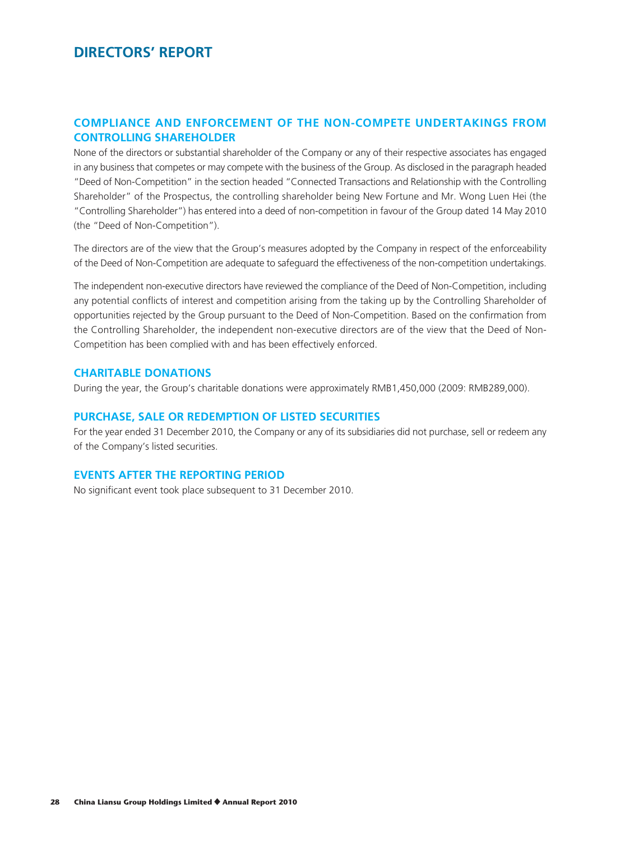#### **COMPLIANCE AND ENFORCEMENT OF THE NON-COMPETE UNDERTAKINGS FROM CONTROLLING SHAREHOLDER**

None of the directors or substantial shareholder of the Company or any of their respective associates has engaged in any business that competes or may compete with the business of the Group. As disclosed in the paragraph headed "Deed of Non-Competition" in the section headed "Connected Transactions and Relationship with the Controlling Shareholder" of the Prospectus, the controlling shareholder being New Fortune and Mr. Wong Luen Hei (the "Controlling Shareholder") has entered into a deed of non-competition in favour of the Group dated 14 May 2010 (the "Deed of Non-Competition").

The directors are of the view that the Group's measures adopted by the Company in respect of the enforceability of the Deed of Non-Competition are adequate to safeguard the effectiveness of the non-competition undertakings.

The independent non-executive directors have reviewed the compliance of the Deed of Non-Competition, including any potential conflicts of interest and competition arising from the taking up by the Controlling Shareholder of opportunities rejected by the Group pursuant to the Deed of Non-Competition. Based on the confirmation from the Controlling Shareholder, the independent non-executive directors are of the view that the Deed of Non-Competition has been complied with and has been effectively enforced.

#### **CHARITABLE DONATIONS**

During the year, the Group's charitable donations were approximately RMB1,450,000 (2009: RMB289,000).

#### **PURCHASE, SALE OR REDEMPTION OF LISTED SECURITIES**

For the year ended 31 December 2010, the Company or any of its subsidiaries did not purchase, sell or redeem any of the Company's listed securities.

#### **EVENTS AFTER THE REPORTING PERIOD**

No significant event took place subsequent to 31 December 2010.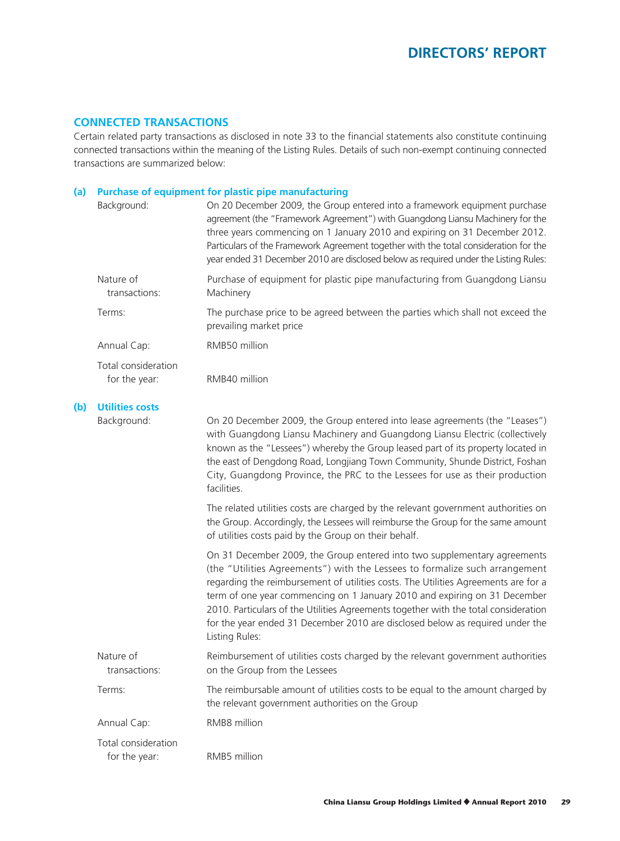#### **CONNECTED TRANSACTIONS**

Certain related party transactions as disclosed in note 33 to the financial statements also constitute continuing connected transactions within the meaning of the Listing Rules. Details of such non-exempt continuing connected transactions are summarized below:

#### **(a) Purchase of equipment for plastic pipe manufacturing**

|     | Background:                           | On 20 December 2009, the Group entered into a framework equipment purchase<br>agreement (the "Framework Agreement") with Guangdong Liansu Machinery for the<br>three years commencing on 1 January 2010 and expiring on 31 December 2012.<br>Particulars of the Framework Agreement together with the total consideration for the<br>year ended 31 December 2010 are disclosed below as required under the Listing Rules:                                                                                            |  |  |
|-----|---------------------------------------|----------------------------------------------------------------------------------------------------------------------------------------------------------------------------------------------------------------------------------------------------------------------------------------------------------------------------------------------------------------------------------------------------------------------------------------------------------------------------------------------------------------------|--|--|
|     | Nature of<br>transactions:            | Purchase of equipment for plastic pipe manufacturing from Guangdong Liansu<br>Machinery                                                                                                                                                                                                                                                                                                                                                                                                                              |  |  |
|     | Terms:                                | The purchase price to be agreed between the parties which shall not exceed the<br>prevailing market price                                                                                                                                                                                                                                                                                                                                                                                                            |  |  |
|     | Annual Cap:                           | RMB50 million                                                                                                                                                                                                                                                                                                                                                                                                                                                                                                        |  |  |
|     | Total consideration<br>for the year:  | RMB40 million                                                                                                                                                                                                                                                                                                                                                                                                                                                                                                        |  |  |
| (b) | <b>Utilities costs</b><br>Background: | On 20 December 2009, the Group entered into lease agreements (the "Leases")<br>with Guangdong Liansu Machinery and Guangdong Liansu Electric (collectively<br>known as the "Lessees") whereby the Group leased part of its property located in<br>the east of Dengdong Road, Longjiang Town Community, Shunde District, Foshan<br>City, Guangdong Province, the PRC to the Lessees for use as their production<br>facilities.                                                                                        |  |  |
|     |                                       | The related utilities costs are charged by the relevant government authorities on<br>the Group. Accordingly, the Lessees will reimburse the Group for the same amount<br>of utilities costs paid by the Group on their behalf.                                                                                                                                                                                                                                                                                       |  |  |
|     |                                       | On 31 December 2009, the Group entered into two supplementary agreements<br>(the "Utilities Agreements") with the Lessees to formalize such arrangement<br>regarding the reimbursement of utilities costs. The Utilities Agreements are for a<br>term of one year commencing on 1 January 2010 and expiring on 31 December<br>2010. Particulars of the Utilities Agreements together with the total consideration<br>for the year ended 31 December 2010 are disclosed below as required under the<br>Listing Rules: |  |  |
|     | Nature of<br>transactions:            | Reimbursement of utilities costs charged by the relevant government authorities<br>on the Group from the Lessees                                                                                                                                                                                                                                                                                                                                                                                                     |  |  |
|     | Terms:                                | The reimbursable amount of utilities costs to be equal to the amount charged by<br>the relevant government authorities on the Group                                                                                                                                                                                                                                                                                                                                                                                  |  |  |
|     | Annual Cap:                           | RMB8 million                                                                                                                                                                                                                                                                                                                                                                                                                                                                                                         |  |  |
|     | Total consideration<br>for the year:  | RMB5 million                                                                                                                                                                                                                                                                                                                                                                                                                                                                                                         |  |  |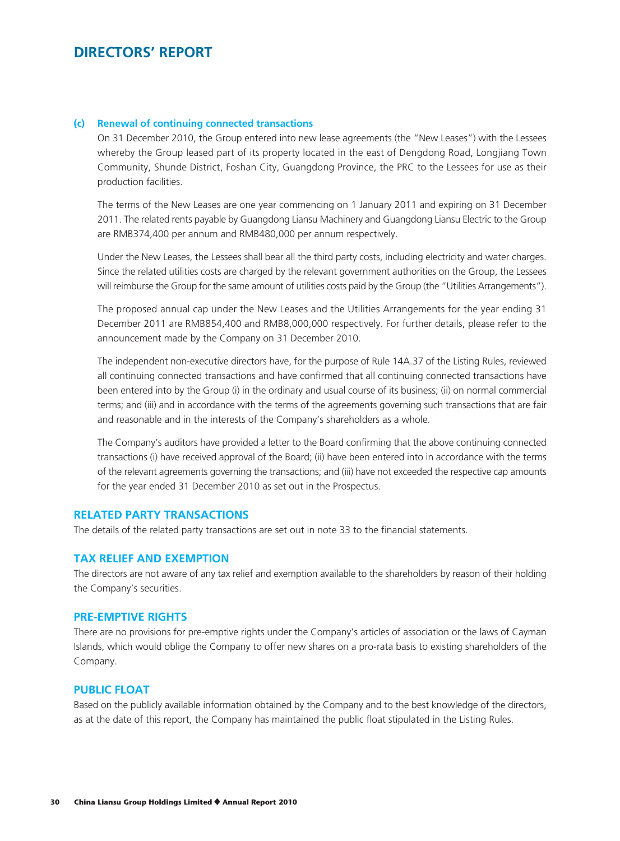#### **(c) Renewal of continuing connected transactions**

On 31 December 2010, the Group entered into new lease agreements (the "New Leases") with the Lessees whereby the Group leased part of its property located in the east of Dengdong Road, Longjiang Town Community, Shunde District, Foshan City, Guangdong Province, the PRC to the Lessees for use as their production facilities.

The terms of the New Leases are one year commencing on 1 January 2011 and expiring on 31 December 2011. The related rents payable by Guangdong Liansu Machinery and Guangdong Liansu Electric to the Group are RMB374,400 per annum and RMB480,000 per annum respectively.

Under the New Leases, the Lessees shall bear all the third party costs, including electricity and water charges. Since the related utilities costs are charged by the relevant government authorities on the Group, the Lessees will reimburse the Group for the same amount of utilities costs paid by the Group (the "Utilities Arrangements").

The proposed annual cap under the New Leases and the Utilities Arrangements for the year ending 31 December 2011 are RMB854,400 and RMB8,000,000 respectively. For further details, please refer to the announcement made by the Company on 31 December 2010.

The independent non-executive directors have, for the purpose of Rule 14A.37 of the Listing Rules, reviewed all continuing connected transactions and have confirmed that all continuing connected transactions have been entered into by the Group (i) in the ordinary and usual course of its business; (ii) on normal commercial terms; and (iii) and in accordance with the terms of the agreements governing such transactions that are fair and reasonable and in the interests of the Company's shareholders as a whole.

The Company's auditors have provided a letter to the Board confirming that the above continuing connected transactions (i) have received approval of the Board; (ii) have been entered into in accordance with the terms of the relevant agreements governing the transactions; and (iii) have not exceeded the respective cap amounts for the year ended 31 December 2010 as set out in the Prospectus.

#### **RELATED PARTY TRANSACTIONS**

The details of the related party transactions are set out in note 33 to the financial statements.

#### **TAX RELIEF AND EXEMPTION**

The directors are not aware of any tax relief and exemption available to the shareholders by reason of their holding the Company's securities.

#### **PRE-EMPTIVE RIGHTS**

There are no provisions for pre-emptive rights under the Company's articles of association or the laws of Cayman Islands, which would oblige the Company to offer new shares on a pro-rata basis to existing shareholders of the Company.

#### **PUBLIC FLOAT**

Based on the publicly available information obtained by the Company and to the best knowledge of the directors, as at the date of this report, the Company has maintained the public float stipulated in the Listing Rules.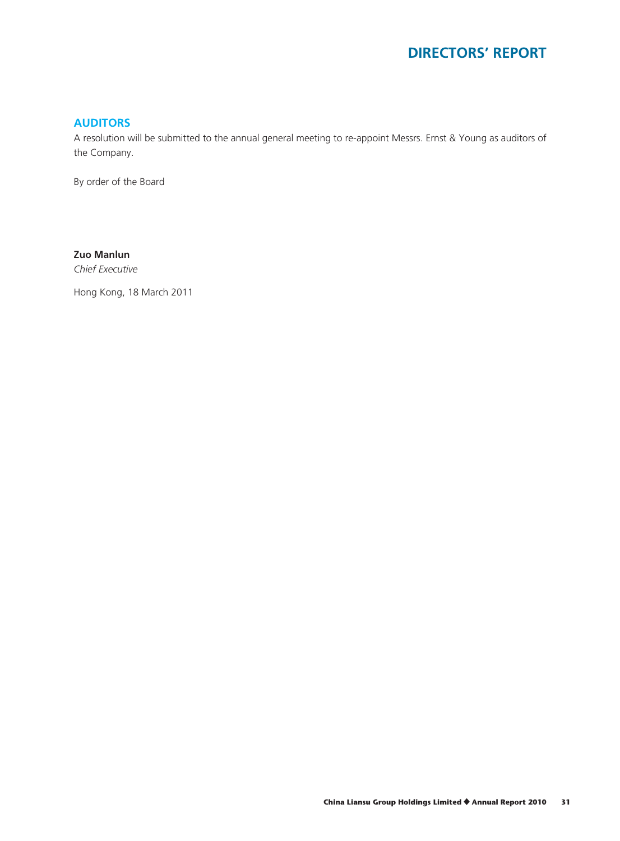#### **AUDITORS**

A resolution will be submitted to the annual general meeting to re-appoint Messrs. Ernst & Young as auditors of the Company.

By order of the Board

**Zuo Manlun**

*Chief Executive*

Hong Kong, 18 March 2011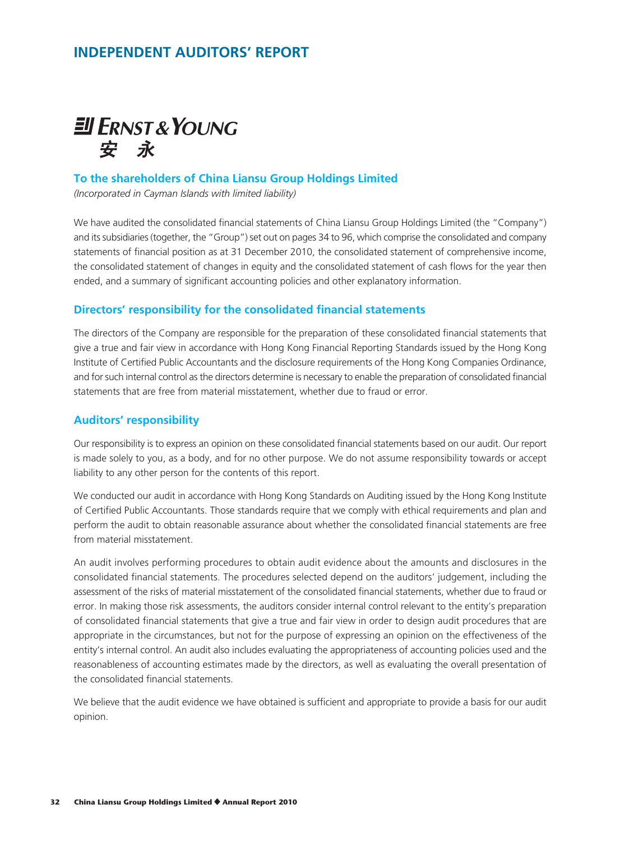# **INDEPENDENT AUDITORS' REPORT**



#### **To the shareholders of China Liansu Group Holdings Limited**

*(Incorporated in Cayman Islands with limited liability)*

We have audited the consolidated financial statements of China Liansu Group Holdings Limited (the "Company") and its subsidiaries (together, the "Group") set out on pages 34 to 96, which comprise the consolidated and company statements of financial position as at 31 December 2010, the consolidated statement of comprehensive income, the consolidated statement of changes in equity and the consolidated statement of cash flows for the year then ended, and a summary of significant accounting policies and other explanatory information.

#### **Directors' responsibility for the consolidated financial statements**

The directors of the Company are responsible for the preparation of these consolidated financial statements that give a true and fair view in accordance with Hong Kong Financial Reporting Standards issued by the Hong Kong Institute of Certified Public Accountants and the disclosure requirements of the Hong Kong Companies Ordinance, and for such internal control as the directors determine is necessary to enable the preparation of consolidated financial statements that are free from material misstatement, whether due to fraud or error.

#### **Auditors' responsibility**

Our responsibility is to express an opinion on these consolidated financial statements based on our audit. Our report is made solely to you, as a body, and for no other purpose. We do not assume responsibility towards or accept liability to any other person for the contents of this report.

We conducted our audit in accordance with Hong Kong Standards on Auditing issued by the Hong Kong Institute of Certified Public Accountants. Those standards require that we comply with ethical requirements and plan and perform the audit to obtain reasonable assurance about whether the consolidated financial statements are free from material misstatement.

An audit involves performing procedures to obtain audit evidence about the amounts and disclosures in the consolidated financial statements. The procedures selected depend on the auditors' judgement, including the assessment of the risks of material misstatement of the consolidated financial statements, whether due to fraud or error. In making those risk assessments, the auditors consider internal control relevant to the entity's preparation of consolidated financial statements that give a true and fair view in order to design audit procedures that are appropriate in the circumstances, but not for the purpose of expressing an opinion on the effectiveness of the entity's internal control. An audit also includes evaluating the appropriateness of accounting policies used and the reasonableness of accounting estimates made by the directors, as well as evaluating the overall presentation of the consolidated financial statements.

We believe that the audit evidence we have obtained is sufficient and appropriate to provide a basis for our audit opinion.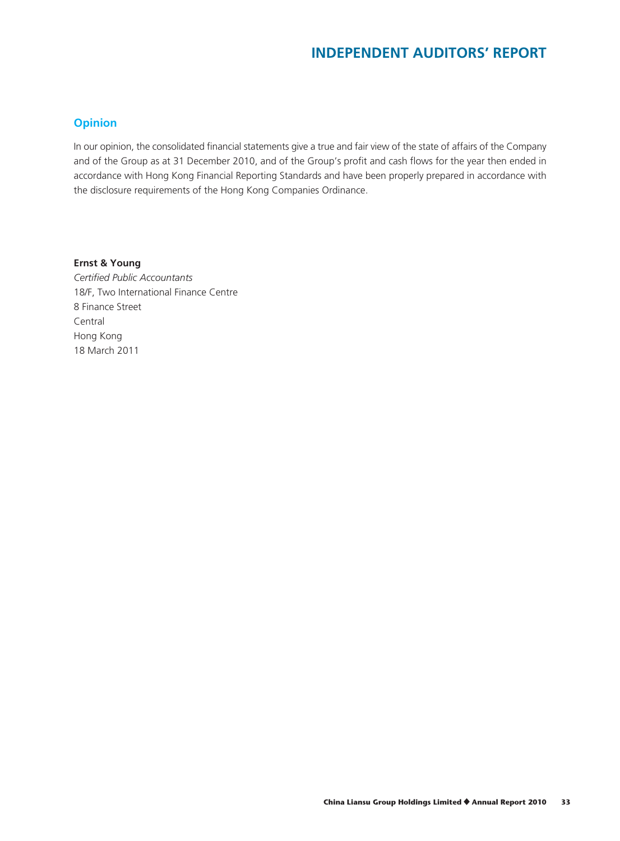# **INDEPENDENT AUDITORS' REPORT**

#### **Opinion**

In our opinion, the consolidated financial statements give a true and fair view of the state of affairs of the Company and of the Group as at 31 December 2010, and of the Group's profit and cash flows for the year then ended in accordance with Hong Kong Financial Reporting Standards and have been properly prepared in accordance with the disclosure requirements of the Hong Kong Companies Ordinance.

#### **Ernst & Young**

*Certified Public Accountants* 18/F, Two International Finance Centre 8 Finance Street Central Hong Kong 18 March 2011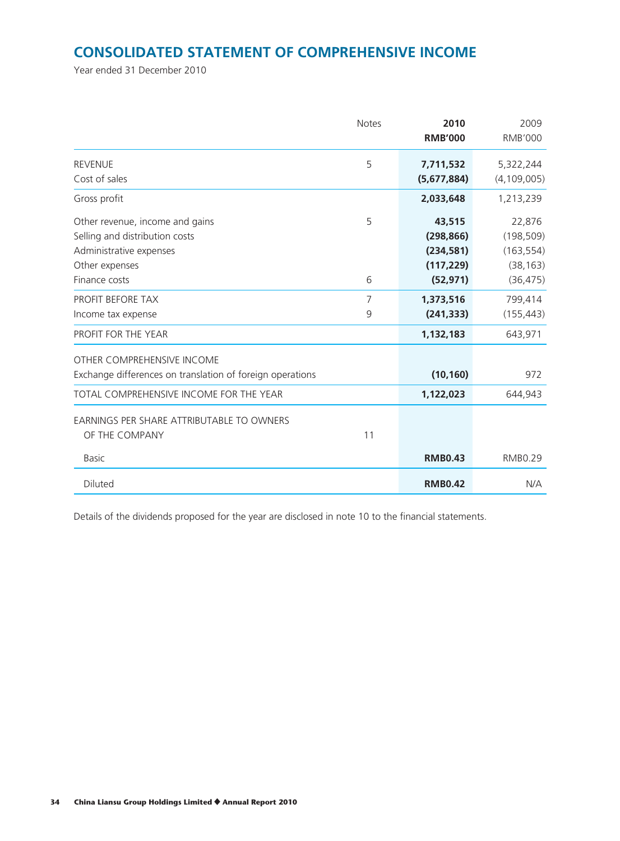# **CONSOLIDATED STATEMENT OF COMPREHENSIVE INCOME**

Year ended 31 December 2010

|                                                           | <b>Notes</b> | 2010<br><b>RMB'000</b> | 2009<br><b>RMB'000</b> |
|-----------------------------------------------------------|--------------|------------------------|------------------------|
| <b>REVENUE</b>                                            | 5            | 7,711,532              | 5,322,244              |
| Cost of sales                                             |              | (5,677,884)            | (4, 109, 005)          |
| Gross profit                                              |              | 2,033,648              | 1,213,239              |
| Other revenue, income and gains                           | 5            | 43,515                 | 22,876                 |
| Selling and distribution costs                            |              | (298, 866)             | (198, 509)             |
| Administrative expenses                                   |              | (234, 581)             | (163, 554)             |
| Other expenses                                            |              | (117, 229)             | (38, 163)              |
| Finance costs                                             | 6            | (52, 971)              | (36, 475)              |
| PROFIT BEFORE TAX                                         | 7            | 1,373,516              | 799,414                |
| Income tax expense                                        | 9            | (241, 333)             | (155, 443)             |
| PROFIT FOR THE YEAR                                       |              | 1,132,183              | 643,971                |
| OTHER COMPREHENSIVE INCOME                                |              |                        |                        |
| Exchange differences on translation of foreign operations |              | (10, 160)              | 972                    |
| TOTAL COMPREHENSIVE INCOME FOR THE YEAR                   |              | 1,122,023              | 644,943                |
| EARNINGS PER SHARE ATTRIBUTABLE TO OWNERS                 |              |                        |                        |
| OF THE COMPANY                                            | 11           |                        |                        |
| <b>Basic</b>                                              |              | <b>RMB0.43</b>         | <b>RMB0.29</b>         |
| Diluted                                                   |              | <b>RMB0.42</b>         | N/A                    |

Details of the dividends proposed for the year are disclosed in note 10 to the financial statements.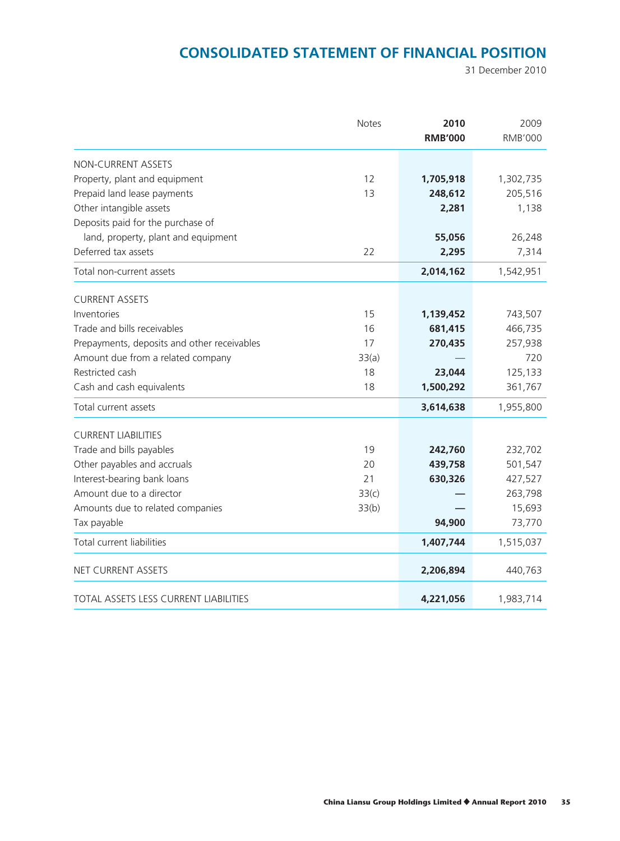## **CONSOLIDATED STATEMENT OF FINANCIAL POSITION**

31 December 2010

|                                              | <b>Notes</b> | 2010           | 2009           |
|----------------------------------------------|--------------|----------------|----------------|
|                                              |              | <b>RMB'000</b> | <b>RMB'000</b> |
| NON-CURRENT ASSETS                           |              |                |                |
| Property, plant and equipment                | 12           | 1,705,918      | 1,302,735      |
| Prepaid land lease payments                  | 13           | 248,612        | 205,516        |
| Other intangible assets                      |              | 2,281          | 1,138          |
| Deposits paid for the purchase of            |              |                |                |
| land, property, plant and equipment          |              | 55,056         | 26,248         |
| Deferred tax assets                          | 22           | 2,295          | 7,314          |
| Total non-current assets                     |              | 2,014,162      | 1,542,951      |
| <b>CURRENT ASSETS</b>                        |              |                |                |
| Inventories                                  | 15           | 1,139,452      | 743,507        |
| Trade and bills receivables                  | 16           | 681,415        | 466,735        |
| Prepayments, deposits and other receivables  | 17           | 270,435        | 257,938        |
| Amount due from a related company            | 33(a)        |                | 720            |
| Restricted cash                              | 18           | 23,044         | 125,133        |
| Cash and cash equivalents                    | 18           | 1,500,292      | 361,767        |
| Total current assets                         |              | 3,614,638      | 1,955,800      |
| <b>CURRENT LIABILITIES</b>                   |              |                |                |
| Trade and bills payables                     | 19           | 242,760        | 232,702        |
| Other payables and accruals                  | 20           | 439,758        | 501,547        |
| Interest-bearing bank loans                  | 21           | 630,326        | 427,527        |
| Amount due to a director                     | 33(c)        |                | 263,798        |
| Amounts due to related companies             | 33(b)        |                | 15,693         |
| Tax payable                                  |              | 94,900         | 73,770         |
| Total current liabilities                    |              | 1,407,744      | 1,515,037      |
| NET CURRENT ASSETS                           |              | 2,206,894      | 440,763        |
| <b>TOTAL ASSETS LESS CURRENT LIABILITIES</b> |              | 4,221,056      | 1,983,714      |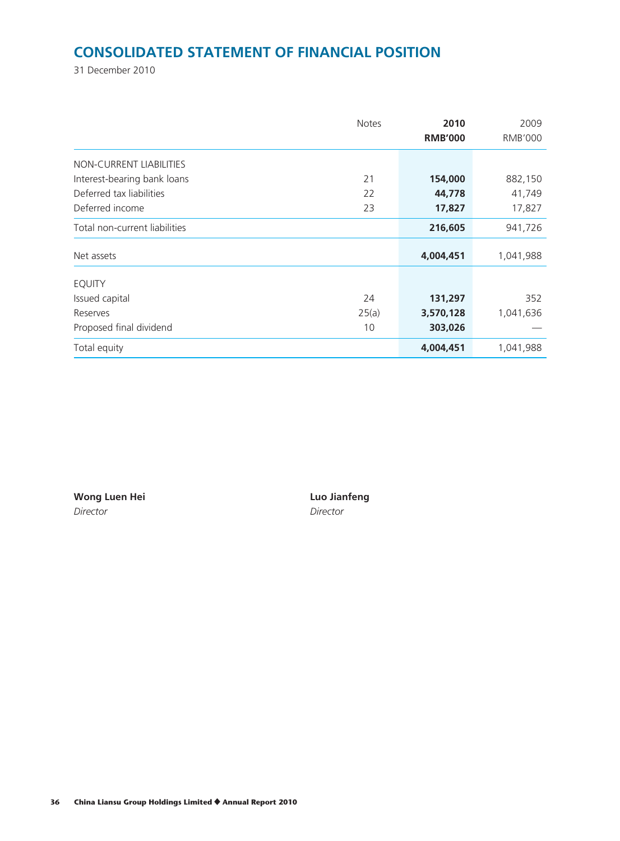## **CONSOLIDATED STATEMENT OF FINANCIAL POSITION**

31 December 2010

|                                | <b>Notes</b> | 2010           | 2009           |
|--------------------------------|--------------|----------------|----------------|
|                                |              | <b>RMB'000</b> | <b>RMB'000</b> |
| <b>NON-CURRENT LIABILITIES</b> |              |                |                |
| Interest-bearing bank loans    | 21           | 154,000        | 882,150        |
| Deferred tax liabilities       | 22           | 44,778         | 41,749         |
| Deferred income                | 23           | 17,827         | 17,827         |
| Total non-current liabilities  |              | 216,605        | 941,726        |
| Net assets                     |              | 4,004,451      | 1,041,988      |
| <b>EQUITY</b>                  |              |                |                |
| Issued capital                 | 24           | 131,297        | 352            |
| Reserves                       | 25(a)        | 3,570,128      | 1,041,636      |
| Proposed final dividend        | 10           | 303,026        |                |
| Total equity                   |              | 4,004,451      | 1,041,988      |

**Wong Luen Hei Luo Jianfeng** *Director Director*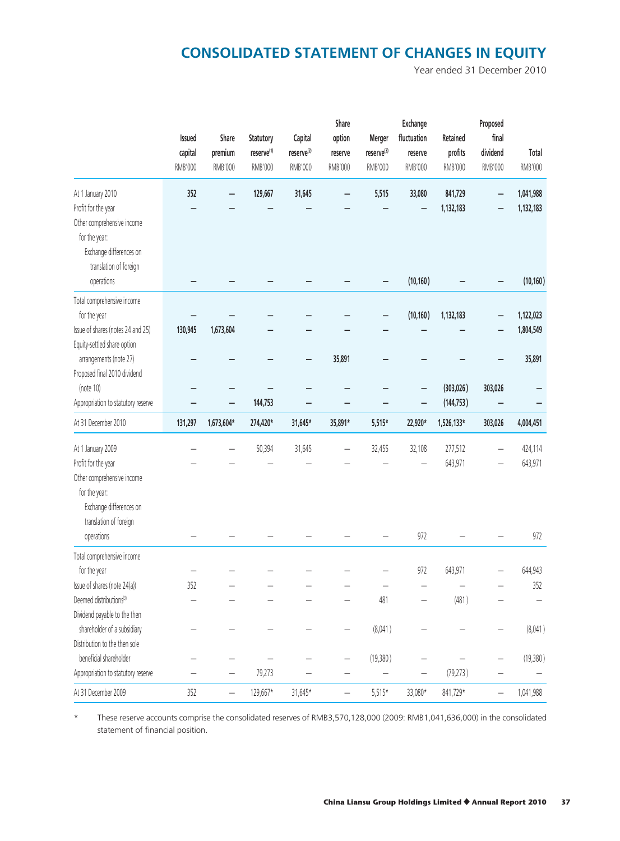# **CONSOLIDATED STATEMENT OF CHANGES IN EQUITY**

Year ended 31 December 2010

|                                                                                         | Issued<br>capital<br>RMB'000 | Share<br>premium<br>RMB'000 | Statutory<br>reserve <sup>(1)</sup><br>RMB'000 | Capital<br>reserve <sup>(2)</sup><br>RMB'000 | Share<br>option<br>reserve<br><b>RMB'000</b> | Merger<br>reserve <sup>(3)</sup><br><b>RMB'000</b> | Exchange<br>fluctuation<br>reserve<br><b>RMB'000</b> | Retained<br>profits<br>RMB'000 | Proposed<br>final<br>dividend<br><b>RMB'000</b> | Total<br>RMB'000       |
|-----------------------------------------------------------------------------------------|------------------------------|-----------------------------|------------------------------------------------|----------------------------------------------|----------------------------------------------|----------------------------------------------------|------------------------------------------------------|--------------------------------|-------------------------------------------------|------------------------|
| At 1 January 2010<br>Profit for the year<br>Other comprehensive income<br>for the year: | 352                          |                             | 129,667                                        | 31,645                                       |                                              | 5,515                                              | 33,080                                               | 841,729<br>1,132,183           |                                                 | 1,041,988<br>1,132,183 |
| Exchange differences on<br>translation of foreign<br>operations                         |                              |                             |                                                |                                              |                                              |                                                    | (10, 160)                                            |                                |                                                 | (10, 160)              |
| Total comprehensive income                                                              |                              |                             |                                                |                                              |                                              |                                                    |                                                      |                                |                                                 |                        |
| for the year                                                                            |                              |                             |                                                |                                              |                                              |                                                    | (10, 160)                                            | 1,132,183                      |                                                 | 1,122,023              |
| Issue of shares (notes 24 and 25)                                                       | 130,945                      | 1,673,604                   |                                                |                                              |                                              |                                                    |                                                      |                                |                                                 | 1,804,549              |
| Equity-settled share option                                                             |                              |                             |                                                |                                              |                                              |                                                    |                                                      |                                |                                                 |                        |
| arrangements (note 27)                                                                  |                              |                             |                                                |                                              | 35,891                                       |                                                    |                                                      |                                |                                                 | 35,891                 |
| Proposed final 2010 dividend<br>(note 10)                                               |                              |                             |                                                |                                              |                                              |                                                    |                                                      | (303, 026)                     | 303,026                                         |                        |
| Appropriation to statutory reserve                                                      |                              |                             | 144,753                                        |                                              |                                              |                                                    |                                                      | (144, 753)                     |                                                 |                        |
| At 31 December 2010                                                                     |                              |                             |                                                |                                              |                                              |                                                    |                                                      |                                |                                                 |                        |
|                                                                                         | 131,297                      | 1,673,604*                  | 274,420*                                       | 31,645*                                      | 35,891*                                      | $5,515*$                                           | 22,920*                                              | 1,526,133*                     | 303,026                                         | 4,004,451              |
| At 1 January 2009                                                                       |                              |                             | 50,394                                         | 31,645                                       |                                              | 32,455                                             | 32,108                                               | 277,512                        |                                                 | 424,114                |
| Profit for the year                                                                     |                              |                             |                                                |                                              |                                              |                                                    |                                                      | 643,971                        |                                                 | 643,971                |
| Other comprehensive income                                                              |                              |                             |                                                |                                              |                                              |                                                    |                                                      |                                |                                                 |                        |
| for the year:                                                                           |                              |                             |                                                |                                              |                                              |                                                    |                                                      |                                |                                                 |                        |
| Exchange differences on                                                                 |                              |                             |                                                |                                              |                                              |                                                    |                                                      |                                |                                                 |                        |
| translation of foreign                                                                  |                              |                             |                                                |                                              |                                              |                                                    |                                                      |                                |                                                 |                        |
| operations                                                                              |                              |                             |                                                |                                              |                                              |                                                    | 972                                                  |                                |                                                 | 972                    |
| Total comprehensive income                                                              |                              |                             |                                                |                                              |                                              |                                                    |                                                      |                                |                                                 |                        |
| for the year                                                                            |                              |                             |                                                |                                              |                                              |                                                    | 972                                                  | 643,971                        |                                                 | 644,943                |
| Issue of shares (note 24(a))                                                            | 352                          |                             |                                                |                                              |                                              |                                                    |                                                      |                                |                                                 | 352                    |
| Deemed distributions <sup>(3)</sup>                                                     |                              |                             |                                                |                                              |                                              | 481                                                |                                                      | (481)                          |                                                 |                        |
| Dividend payable to the then                                                            |                              |                             |                                                |                                              |                                              |                                                    |                                                      |                                |                                                 |                        |
| shareholder of a subsidiary                                                             |                              |                             |                                                |                                              |                                              | (8,041)                                            |                                                      |                                | <b>—</b>                                        | (8,041)                |
| Distribution to the then sole                                                           |                              |                             |                                                |                                              |                                              |                                                    |                                                      |                                |                                                 |                        |
| beneficial shareholder                                                                  |                              |                             |                                                |                                              |                                              | (19, 380)                                          |                                                      |                                |                                                 | (19, 380)              |
| Appropriation to statutory reserve                                                      |                              |                             | 79,273                                         |                                              |                                              | $\overline{\phantom{0}}$                           | -                                                    | (79, 273)                      |                                                 |                        |
| At 31 December 2009                                                                     | 352                          | -                           | 129,667*                                       | 31,645*                                      | -                                            | $5,515*$                                           | 33,080*                                              | 841,729*                       | $\overline{\phantom{0}}$                        | 1,041,988              |

\* These reserve accounts comprise the consolidated reserves of RMB3,570,128,000 (2009: RMB1,041,636,000) in the consolidated statement of financial position.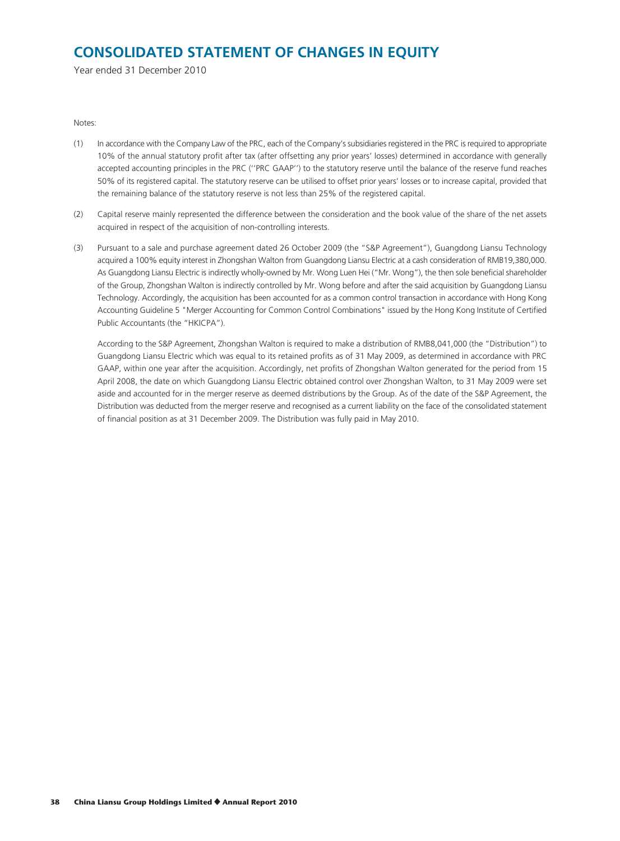## **CONSOLIDATED STATEMENT OF CHANGES IN EQUITY**

Year ended 31 December 2010

Notes:

- (1) In accordance with the Company Law of the PRC, each of the Company's subsidiaries registered in the PRC is required to appropriate 10% of the annual statutory profit after tax (after offsetting any prior years' losses) determined in accordance with generally accepted accounting principles in the PRC (''PRC GAAP'') to the statutory reserve until the balance of the reserve fund reaches 50% of its registered capital. The statutory reserve can be utilised to offset prior years' losses or to increase capital, provided that the remaining balance of the statutory reserve is not less than 25% of the registered capital.
- (2) Capital reserve mainly represented the difference between the consideration and the book value of the share of the net assets acquired in respect of the acquisition of non-controlling interests.
- (3) Pursuant to a sale and purchase agreement dated 26 October 2009 (the "S&P Agreement"), Guangdong Liansu Technology acquired a 100% equity interest in Zhongshan Walton from Guangdong Liansu Electric at a cash consideration of RMB19,380,000. As Guangdong Liansu Electric is indirectly wholly-owned by Mr. Wong Luen Hei ("Mr. Wong"), the then sole beneficial shareholder of the Group, Zhongshan Walton is indirectly controlled by Mr. Wong before and after the said acquisition by Guangdong Liansu Technology. Accordingly, the acquisition has been accounted for as a common control transaction in accordance with Hong Kong Accounting Guideline 5 "Merger Accounting for Common Control Combinations" issued by the Hong Kong Institute of Certified Public Accountants (the "HKICPA").

According to the S&P Agreement, Zhongshan Walton is required to make a distribution of RMB8,041,000 (the "Distribution") to Guangdong Liansu Electric which was equal to its retained profits as of 31 May 2009, as determined in accordance with PRC GAAP, within one year after the acquisition. Accordingly, net profits of Zhongshan Walton generated for the period from 15 April 2008, the date on which Guangdong Liansu Electric obtained control over Zhongshan Walton, to 31 May 2009 were set aside and accounted for in the merger reserve as deemed distributions by the Group. As of the date of the S&P Agreement, the Distribution was deducted from the merger reserve and recognised as a current liability on the face of the consolidated statement of financial position as at 31 December 2009. The Distribution was fully paid in May 2010.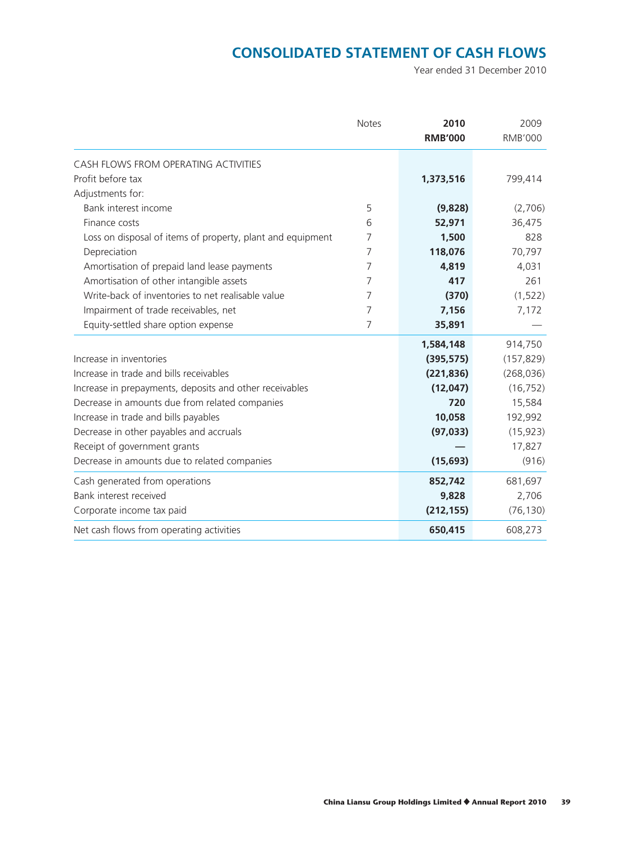## **CONSOLIDATED STATEMENT OF CASH FLOWS**

Year ended 31 December 2010

|                                                            | <b>Notes</b>   | 2010           | 2009           |
|------------------------------------------------------------|----------------|----------------|----------------|
|                                                            |                | <b>RMB'000</b> | <b>RMB'000</b> |
| CASH FLOWS FROM OPERATING ACTIVITIES                       |                |                |                |
| Profit before tax                                          |                | 1,373,516      | 799,414        |
| Adjustments for:                                           |                |                |                |
| Bank interest income                                       | 5              | (9,828)        | (2,706)        |
| Finance costs                                              | 6              | 52,971         | 36,475         |
| Loss on disposal of items of property, plant and equipment | 7              | 1,500          | 828            |
| Depreciation                                               | 7              | 118,076        | 70,797         |
| Amortisation of prepaid land lease payments                | 7              | 4,819          | 4,031          |
| Amortisation of other intangible assets                    | 7              | 417            | 261            |
| Write-back of inventories to net realisable value          | 7              | (370)          | (1,522)        |
| Impairment of trade receivables, net                       | 7              | 7,156          | 7,172          |
| Equity-settled share option expense                        | $\overline{7}$ | 35,891         |                |
|                                                            |                | 1,584,148      | 914,750        |
| Increase in inventories                                    |                | (395, 575)     | (157, 829)     |
| Increase in trade and bills receivables                    |                | (221, 836)     | (268, 036)     |
| Increase in prepayments, deposits and other receivables    |                | (12, 047)      | (16, 752)      |
| Decrease in amounts due from related companies             |                | 720            | 15,584         |
| Increase in trade and bills payables                       |                | 10,058         | 192,992        |
| Decrease in other payables and accruals                    |                | (97, 033)      | (15, 923)      |
| Receipt of government grants                               |                |                | 17,827         |
| Decrease in amounts due to related companies               |                | (15, 693)      | (916)          |
| Cash generated from operations                             |                | 852,742        | 681,697        |
| Bank interest received                                     |                | 9,828          | 2,706          |
| Corporate income tax paid                                  |                | (212, 155)     | (76, 130)      |
| Net cash flows from operating activities                   |                | 650,415        | 608,273        |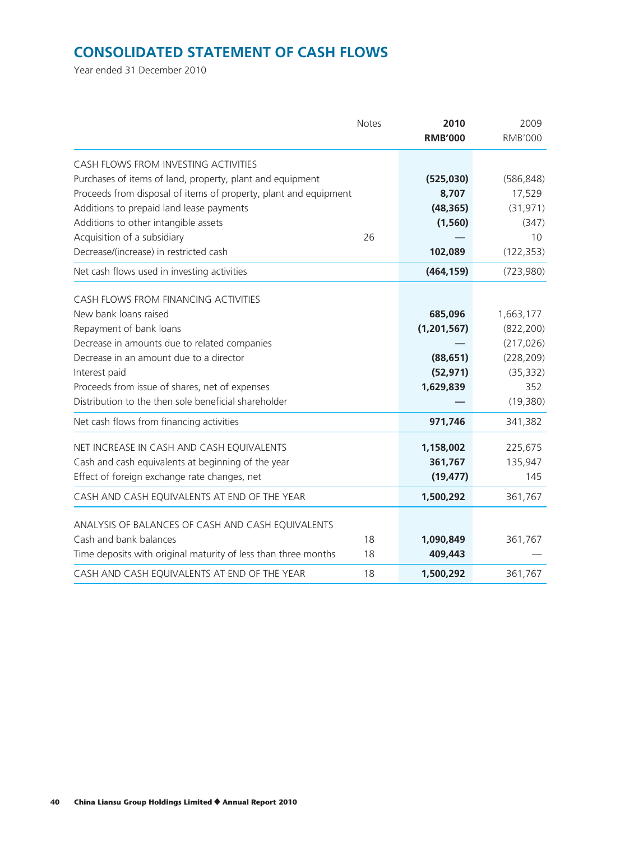## **CONSOLIDATED STATEMENT OF CASH FLOWS**

Year ended 31 December 2010

|                                                                  | <b>Notes</b> | 2010<br><b>RMB'000</b> | 2009<br><b>RMB'000</b> |
|------------------------------------------------------------------|--------------|------------------------|------------------------|
| CASH FLOWS FROM INVESTING ACTIVITIES                             |              |                        |                        |
| Purchases of items of land, property, plant and equipment        |              | (525,030)              | (586, 848)             |
| Proceeds from disposal of items of property, plant and equipment |              | 8,707                  | 17,529                 |
| Additions to prepaid land lease payments                         |              | (48, 365)              | (31, 971)              |
| Additions to other intangible assets                             |              | (1, 560)               | (347)                  |
| Acquisition of a subsidiary                                      | 26           |                        | 10                     |
| Decrease/(increase) in restricted cash                           |              | 102,089                | (122, 353)             |
| Net cash flows used in investing activities                      |              | (464, 159)             | (723,980)              |
| CASH FLOWS FROM FINANCING ACTIVITIES                             |              |                        |                        |
| New bank loans raised                                            |              | 685,096                | 1,663,177              |
| Repayment of bank loans                                          |              | (1, 201, 567)          | (822, 200)             |
| Decrease in amounts due to related companies                     |              |                        | (217, 026)             |
| Decrease in an amount due to a director                          |              | (88, 651)              | (228, 209)             |
| Interest paid                                                    |              | (52, 971)              | (35, 332)              |
| Proceeds from issue of shares, net of expenses                   |              | 1,629,839              | 352                    |
| Distribution to the then sole beneficial shareholder             |              |                        | (19, 380)              |
| Net cash flows from financing activities                         |              | 971,746                | 341,382                |
| NET INCREASE IN CASH AND CASH EQUIVALENTS                        |              | 1,158,002              | 225,675                |
| Cash and cash equivalents at beginning of the year               |              | 361,767                | 135,947                |
| Effect of foreign exchange rate changes, net                     |              | (19, 477)              | 145                    |
| CASH AND CASH EQUIVALENTS AT END OF THE YEAR                     |              | 1,500,292              | 361,767                |
| ANALYSIS OF BALANCES OF CASH AND CASH EQUIVALENTS                |              |                        |                        |
| Cash and bank balances                                           | 18           | 1,090,849              | 361,767                |
| Time deposits with original maturity of less than three months   | 18           | 409,443                |                        |
| CASH AND CASH EQUIVALENTS AT END OF THE YEAR                     | 18           | 1,500,292              | 361,767                |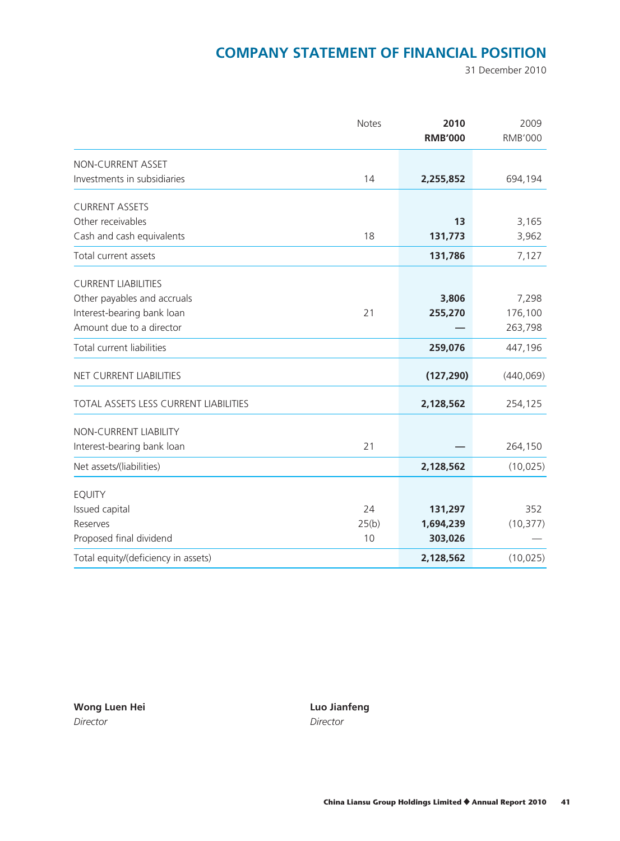## **COMPANY STATEMENT OF FINANCIAL POSITION**

31 December 2010

|                                              | Notes | 2010           | 2009           |
|----------------------------------------------|-------|----------------|----------------|
|                                              |       | <b>RMB'000</b> | <b>RMB'000</b> |
| NON-CURRENT ASSET                            |       |                |                |
| Investments in subsidiaries                  | 14    | 2,255,852      | 694,194        |
| <b>CURRENT ASSETS</b>                        |       |                |                |
| Other receivables                            |       | 13             | 3,165          |
| Cash and cash equivalents                    | 18    | 131,773        | 3,962          |
| Total current assets                         |       | 131,786        | 7,127          |
| <b>CURRENT LIABILITIES</b>                   |       |                |                |
| Other payables and accruals                  |       | 3,806          | 7,298          |
| Interest-bearing bank loan                   | 21    | 255,270        | 176,100        |
| Amount due to a director                     |       |                | 263,798        |
| Total current liabilities                    |       | 259,076        | 447,196        |
| <b>NET CURRENT LIABILITIES</b>               |       | (127, 290)     | (440, 069)     |
| <b>TOTAL ASSETS LESS CURRENT LIABILITIES</b> |       | 2,128,562      | 254,125        |
| NON-CURRENT LIABILITY                        |       |                |                |
| Interest-bearing bank loan                   | 21    |                | 264,150        |
| Net assets/(liabilities)                     |       | 2,128,562      | (10, 025)      |
| <b>EQUITY</b>                                |       |                |                |
| Issued capital                               | 24    | 131,297        | 352            |
| Reserves                                     | 25(b) | 1,694,239      | (10, 377)      |
| Proposed final dividend                      | 10    | 303,026        |                |
| Total equity/(deficiency in assets)          |       | 2,128,562      | (10, 025)      |

*Director Director*

**Wong Luen Hei Luo Jianfeng**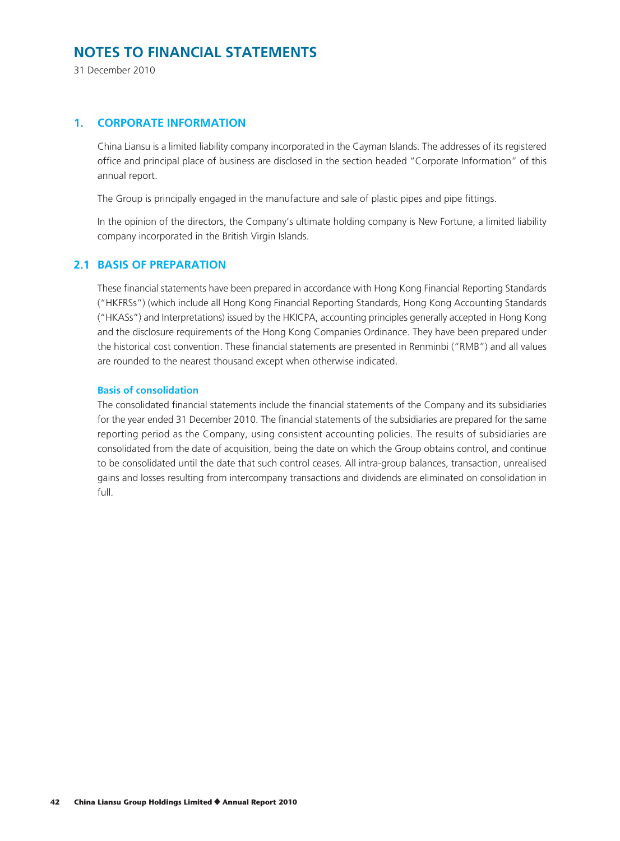31 December 2010

### **1. CORPORATE INFORMATION**

China Liansu is a limited liability company incorporated in the Cayman Islands. The addresses of its registered office and principal place of business are disclosed in the section headed "Corporate Information" of this annual report.

The Group is principally engaged in the manufacture and sale of plastic pipes and pipe fittings.

In the opinion of the directors, the Company's ultimate holding company is New Fortune, a limited liability company incorporated in the British Virgin Islands.

### **2.1 BASIS OF PREPARATION**

These financial statements have been prepared in accordance with Hong Kong Financial Reporting Standards ("HKFRSs") (which include all Hong Kong Financial Reporting Standards, Hong Kong Accounting Standards ("HKASs") and Interpretations) issued by the HKICPA, accounting principles generally accepted in Hong Kong and the disclosure requirements of the Hong Kong Companies Ordinance. They have been prepared under the historical cost convention. These financial statements are presented in Renminbi ("RMB") and all values are rounded to the nearest thousand except when otherwise indicated.

### **Basis of consolidation**

The consolidated financial statements include the financial statements of the Company and its subsidiaries for the year ended 31 December 2010. The financial statements of the subsidiaries are prepared for the same reporting period as the Company, using consistent accounting policies. The results of subsidiaries are consolidated from the date of acquisition, being the date on which the Group obtains control, and continue to be consolidated until the date that such control ceases. All intra-group balances, transaction, unrealised gains and losses resulting from intercompany transactions and dividends are eliminated on consolidation in full.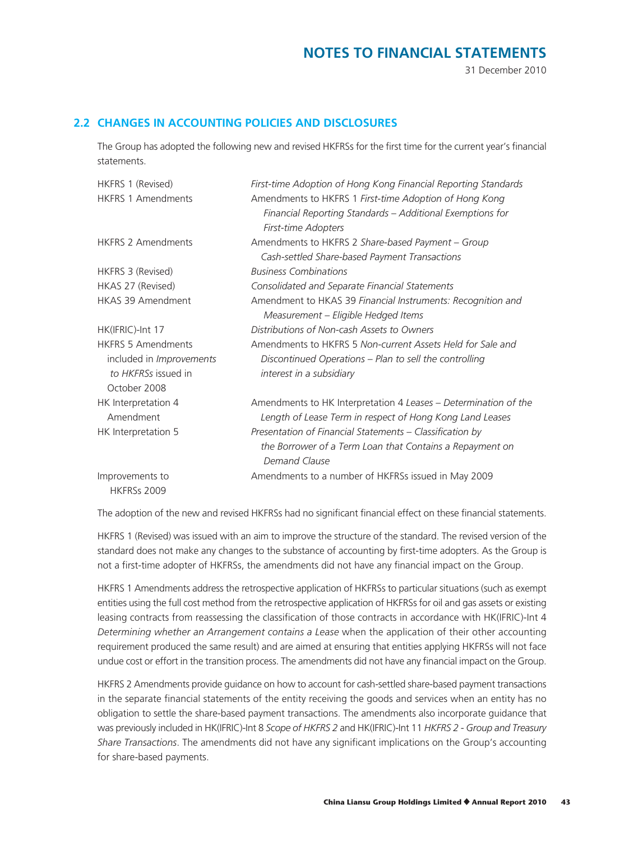31 December 2010

### **2.2 CHANGES IN ACCOUNTING POLICIES AND DISCLOSURES**

The Group has adopted the following new and revised HKFRSs for the first time for the current year's financial statements.

| HKFRS 1 (Revised)         | First-time Adoption of Hong Kong Financial Reporting Standards  |  |  |  |  |  |  |
|---------------------------|-----------------------------------------------------------------|--|--|--|--|--|--|
| <b>HKFRS 1 Amendments</b> | Amendments to HKFRS 1 First-time Adoption of Hong Kong          |  |  |  |  |  |  |
|                           | Financial Reporting Standards - Additional Exemptions for       |  |  |  |  |  |  |
|                           | First-time Adopters                                             |  |  |  |  |  |  |
| <b>HKFRS 2 Amendments</b> | Amendments to HKFRS 2 Share-based Payment - Group               |  |  |  |  |  |  |
|                           | Cash-settled Share-based Payment Transactions                   |  |  |  |  |  |  |
| HKFRS 3 (Revised)         | <b>Business Combinations</b>                                    |  |  |  |  |  |  |
| HKAS 27 (Revised)         | Consolidated and Separate Financial Statements                  |  |  |  |  |  |  |
| HKAS 39 Amendment         | Amendment to HKAS 39 Financial Instruments: Recognition and     |  |  |  |  |  |  |
|                           | Measurement - Eligible Hedged Items                             |  |  |  |  |  |  |
| HK(IFRIC)-Int 17          | Distributions of Non-cash Assets to Owners                      |  |  |  |  |  |  |
| <b>HKFRS 5 Amendments</b> | Amendments to HKFRS 5 Non-current Assets Held for Sale and      |  |  |  |  |  |  |
| included in Improvements  | Discontinued Operations - Plan to sell the controlling          |  |  |  |  |  |  |
| to HKFRSs issued in       | interest in a subsidiary                                        |  |  |  |  |  |  |
| October 2008              |                                                                 |  |  |  |  |  |  |
| HK Interpretation 4       | Amendments to HK Interpretation 4 Leases - Determination of the |  |  |  |  |  |  |
| Amendment                 | Length of Lease Term in respect of Hong Kong Land Leases        |  |  |  |  |  |  |
| HK Interpretation 5       | Presentation of Financial Statements - Classification by        |  |  |  |  |  |  |
|                           | the Borrower of a Term Loan that Contains a Repayment on        |  |  |  |  |  |  |
|                           | <b>Demand Clause</b>                                            |  |  |  |  |  |  |
| Improvements to           | Amendments to a number of HKFRSs issued in May 2009             |  |  |  |  |  |  |
| HKFRSs 2009               |                                                                 |  |  |  |  |  |  |

The adoption of the new and revised HKFRSs had no significant financial effect on these financial statements.

HKFRS 1 (Revised) was issued with an aim to improve the structure of the standard. The revised version of the standard does not make any changes to the substance of accounting by first-time adopters. As the Group is not a first-time adopter of HKFRSs, the amendments did not have any financial impact on the Group.

HKFRS 1 Amendments address the retrospective application of HKFRSs to particular situations (such as exempt entities using the full cost method from the retrospective application of HKFRSs for oil and gas assets or existing leasing contracts from reassessing the classification of those contracts in accordance with HK(IFRIC)-Int 4 *Determining whether an Arrangement contains a Lease* when the application of their other accounting requirement produced the same result) and are aimed at ensuring that entities applying HKFRSs will not face undue cost or effort in the transition process. The amendments did not have any financial impact on the Group.

HKFRS 2 Amendments provide guidance on how to account for cash-settled share-based payment transactions in the separate financial statements of the entity receiving the goods and services when an entity has no obligation to settle the share-based payment transactions. The amendments also incorporate guidance that was previously included in HK(IFRIC)-Int 8 *Scope of HKFRS 2* and HK(IFRIC)-Int 11 *HKFRS 2 - Group and Treasury Share Transactions*. The amendments did not have any significant implications on the Group's accounting for share-based payments.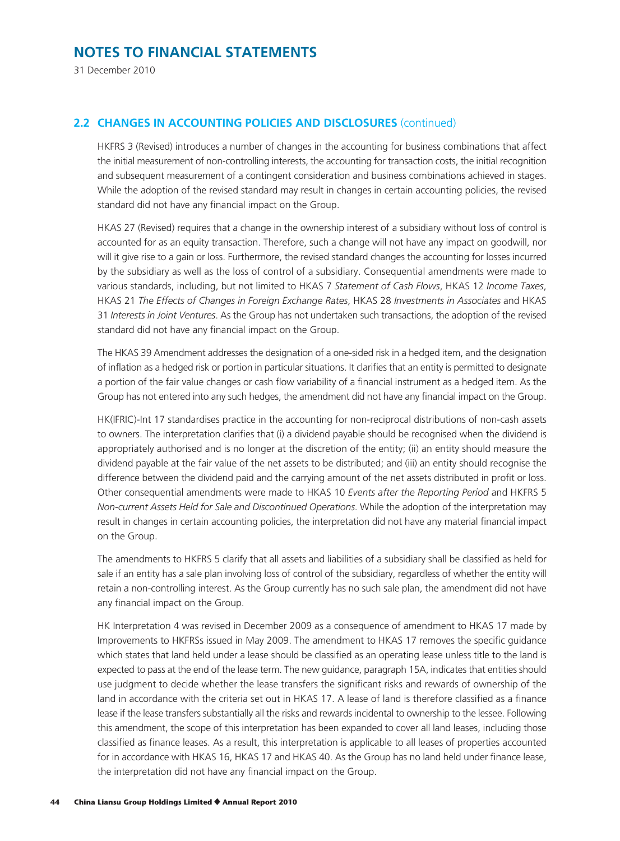31 December 2010

### **2.2 CHANGES IN ACCOUNTING POLICIES AND DISCLOSURES** (continued)

HKFRS 3 (Revised) introduces a number of changes in the accounting for business combinations that affect the initial measurement of non-controlling interests, the accounting for transaction costs, the initial recognition and subsequent measurement of a contingent consideration and business combinations achieved in stages. While the adoption of the revised standard may result in changes in certain accounting policies, the revised standard did not have any financial impact on the Group.

HKAS 27 (Revised) requires that a change in the ownership interest of a subsidiary without loss of control is accounted for as an equity transaction. Therefore, such a change will not have any impact on goodwill, nor will it give rise to a gain or loss. Furthermore, the revised standard changes the accounting for losses incurred by the subsidiary as well as the loss of control of a subsidiary. Consequential amendments were made to various standards, including, but not limited to HKAS 7 *Statement of Cash Flows*, HKAS 12 *Income Taxes*, HKAS 21 *The Effects of Changes in Foreign Exchange Rates*, HKAS 28 *Investments in Associates* and HKAS 31 *Interests in Joint Ventures*. As the Group has not undertaken such transactions, the adoption of the revised standard did not have any financial impact on the Group.

The HKAS 39 Amendment addresses the designation of a one-sided risk in a hedged item, and the designation of inflation as a hedged risk or portion in particular situations. It clarifies that an entity is permitted to designate a portion of the fair value changes or cash flow variability of a financial instrument as a hedged item. As the Group has not entered into any such hedges, the amendment did not have any financial impact on the Group.

HK(IFRIC)-Int 17 standardises practice in the accounting for non-reciprocal distributions of non-cash assets to owners. The interpretation clarifies that (i) a dividend payable should be recognised when the dividend is appropriately authorised and is no longer at the discretion of the entity; (ii) an entity should measure the dividend payable at the fair value of the net assets to be distributed; and (iii) an entity should recognise the difference between the dividend paid and the carrying amount of the net assets distributed in profit or loss. Other consequential amendments were made to HKAS 10 *Events after the Reporting Period* and HKFRS 5 *Non-current Assets Held for Sale and Discontinued Operations*. While the adoption of the interpretation may result in changes in certain accounting policies, the interpretation did not have any material financial impact on the Group.

The amendments to HKFRS 5 clarify that all assets and liabilities of a subsidiary shall be classified as held for sale if an entity has a sale plan involving loss of control of the subsidiary, regardless of whether the entity will retain a non-controlling interest. As the Group currently has no such sale plan, the amendment did not have any financial impact on the Group.

HK Interpretation 4 was revised in December 2009 as a consequence of amendment to HKAS 17 made by Improvements to HKFRSs issued in May 2009. The amendment to HKAS 17 removes the specific guidance which states that land held under a lease should be classified as an operating lease unless title to the land is expected to pass at the end of the lease term. The new guidance, paragraph 15A, indicates that entities should use judgment to decide whether the lease transfers the significant risks and rewards of ownership of the land in accordance with the criteria set out in HKAS 17. A lease of land is therefore classified as a finance lease if the lease transfers substantially all the risks and rewards incidental to ownership to the lessee. Following this amendment, the scope of this interpretation has been expanded to cover all land leases, including those classified as finance leases. As a result, this interpretation is applicable to all leases of properties accounted for in accordance with HKAS 16, HKAS 17 and HKAS 40. As the Group has no land held under finance lease, the interpretation did not have any financial impact on the Group.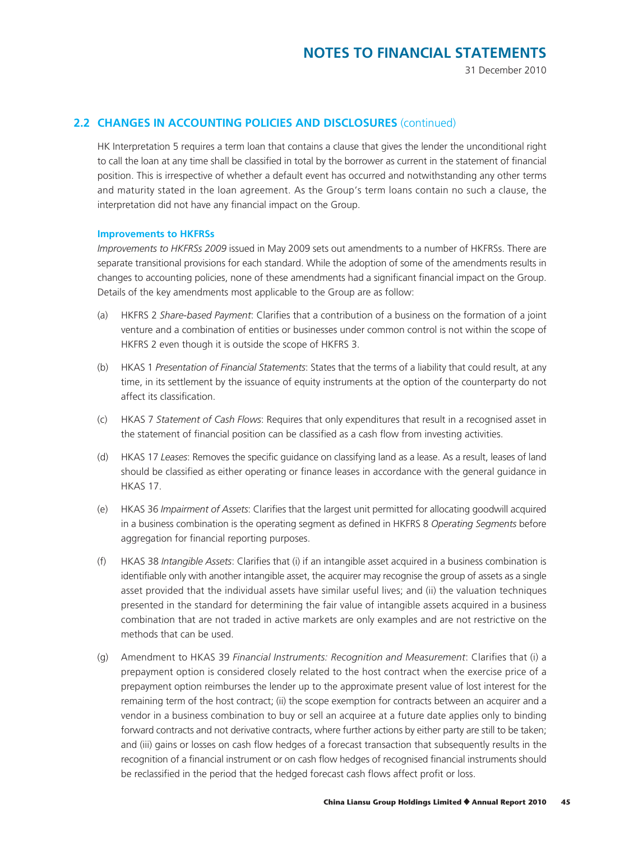31 December 2010

### **2.2 CHANGES IN ACCOUNTING POLICIES AND DISCLOSURES** (continued)

HK Interpretation 5 requires a term loan that contains a clause that gives the lender the unconditional right to call the loan at any time shall be classified in total by the borrower as current in the statement of financial position. This is irrespective of whether a default event has occurred and notwithstanding any other terms and maturity stated in the loan agreement. As the Group's term loans contain no such a clause, the interpretation did not have any financial impact on the Group.

#### **Improvements to HKFRSs**

*Improvements to HKFRSs 2009* issued in May 2009 sets out amendments to a number of HKFRSs. There are separate transitional provisions for each standard. While the adoption of some of the amendments results in changes to accounting policies, none of these amendments had a significant financial impact on the Group. Details of the key amendments most applicable to the Group are as follow:

- (a) HKFRS 2 *Share-based Payment*: Clarifies that a contribution of a business on the formation of a joint venture and a combination of entities or businesses under common control is not within the scope of HKFRS 2 even though it is outside the scope of HKFRS 3.
- (b) HKAS 1 *Presentation of Financial Statements*: States that the terms of a liability that could result, at any time, in its settlement by the issuance of equity instruments at the option of the counterparty do not affect its classification.
- (c) HKAS 7 *Statement of Cash Flows*: Requires that only expenditures that result in a recognised asset in the statement of financial position can be classified as a cash flow from investing activities.
- (d) HKAS 17 *Leases*: Removes the specific guidance on classifying land as a lease. As a result, leases of land should be classified as either operating or finance leases in accordance with the general guidance in HKAS 17.
- (e) HKAS 36 *Impairment of Assets*: Clarifies that the largest unit permitted for allocating goodwill acquired in a business combination is the operating segment as defined in HKFRS 8 *Operating Segments* before aggregation for financial reporting purposes.
- (f) HKAS 38 *Intangible Assets*: Clarifies that (i) if an intangible asset acquired in a business combination is identifiable only with another intangible asset, the acquirer may recognise the group of assets as a single asset provided that the individual assets have similar useful lives; and (ii) the valuation techniques presented in the standard for determining the fair value of intangible assets acquired in a business combination that are not traded in active markets are only examples and are not restrictive on the methods that can be used.
- (g) Amendment to HKAS 39 *Financial Instruments: Recognition and Measurement*: Clarifies that (i) a prepayment option is considered closely related to the host contract when the exercise price of a prepayment option reimburses the lender up to the approximate present value of lost interest for the remaining term of the host contract; (ii) the scope exemption for contracts between an acquirer and a vendor in a business combination to buy or sell an acquiree at a future date applies only to binding forward contracts and not derivative contracts, where further actions by either party are still to be taken; and (iii) gains or losses on cash flow hedges of a forecast transaction that subsequently results in the recognition of a financial instrument or on cash flow hedges of recognised financial instruments should be reclassified in the period that the hedged forecast cash flows affect profit or loss.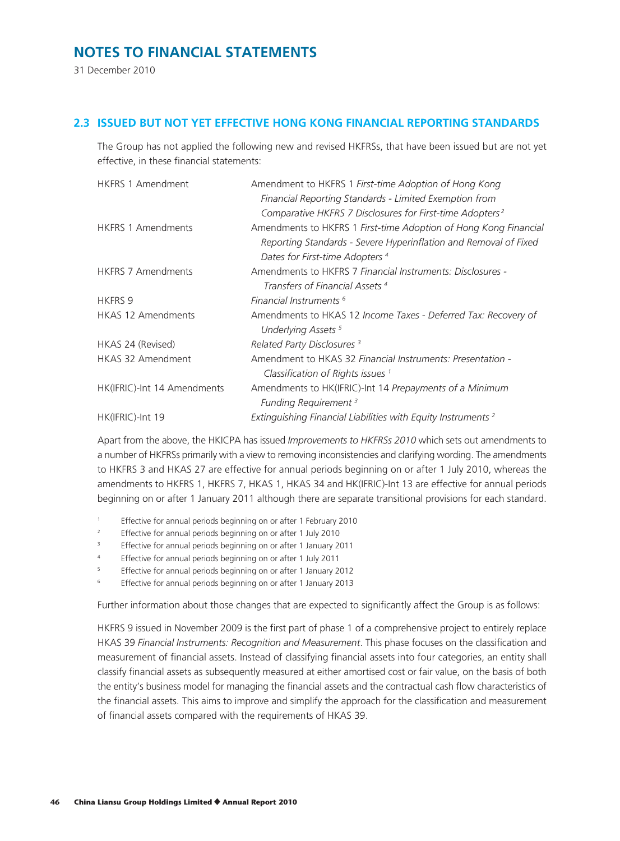31 December 2010

### **2.3 ISSUED BUT NOT YET EFFECTIVE HONG KONG FINANCIAL REPORTING STANDARDS**

The Group has not applied the following new and revised HKFRSs, that have been issued but are not yet effective, in these financial statements:

| <b>HKFRS 1 Amendment</b>    | Amendment to HKFRS 1 First-time Adoption of Hong Kong                    |
|-----------------------------|--------------------------------------------------------------------------|
|                             | Financial Reporting Standards - Limited Exemption from                   |
|                             | Comparative HKFRS 7 Disclosures for First-time Adopters <sup>2</sup>     |
| <b>HKFRS 1 Amendments</b>   | Amendments to HKFRS 1 First-time Adoption of Hong Kong Financial         |
|                             | Reporting Standards - Severe Hyperinflation and Removal of Fixed         |
|                             | Dates for First-time Adopters <sup>4</sup>                               |
| <b>HKFRS 7 Amendments</b>   | Amendments to HKFRS 7 Financial Instruments: Disclosures -               |
|                             | Transfers of Financial Assets <sup>4</sup>                               |
| <b>HKFRS 9</b>              | Financial Instruments <sup>6</sup>                                       |
| <b>HKAS 12 Amendments</b>   | Amendments to HKAS 12 Income Taxes - Deferred Tax: Recovery of           |
|                             | Underlying Assets <sup>5</sup>                                           |
| HKAS 24 (Revised)           | Related Party Disclosures <sup>3</sup>                                   |
| <b>HKAS 32 Amendment</b>    | Amendment to HKAS 32 Financial Instruments: Presentation -               |
|                             | Classification of Rights issues <sup>1</sup>                             |
| HK(IFRIC)-Int 14 Amendments | Amendments to HK(IFRIC)-Int 14 Prepayments of a Minimum                  |
|                             | Funding Requirement <sup>3</sup>                                         |
| HK(IFRIC)-Int 19            | Extinguishing Financial Liabilities with Equity Instruments <sup>2</sup> |

Apart from the above, the HKICPA has issued *Improvements to HKFRSs 2010* which sets out amendments to a number of HKFRSs primarily with a view to removing inconsistencies and clarifying wording. The amendments to HKFRS 3 and HKAS 27 are effective for annual periods beginning on or after 1 July 2010, whereas the amendments to HKFRS 1, HKFRS 7, HKAS 1, HKAS 34 and HK(IFRIC)-Int 13 are effective for annual periods beginning on or after 1 January 2011 although there are separate transitional provisions for each standard.

- <sup>1</sup> Effective for annual periods beginning on or after 1 February 2010
- <sup>2</sup> Effective for annual periods beginning on or after 1 July 2010
- <sup>3</sup> Effective for annual periods beginning on or after 1 January 2011
- <sup>4</sup> Effective for annual periods beginning on or after 1 July 2011
- <sup>5</sup> Effective for annual periods beginning on or after 1 January 2012
- <sup>6</sup> Effective for annual periods beginning on or after 1 January 2013

Further information about those changes that are expected to significantly affect the Group is as follows:

HKFRS 9 issued in November 2009 is the first part of phase 1 of a comprehensive project to entirely replace HKAS 39 *Financial Instruments: Recognition and Measurement*. This phase focuses on the classification and measurement of financial assets. Instead of classifying financial assets into four categories, an entity shall classify financial assets as subsequently measured at either amortised cost or fair value, on the basis of both the entity's business model for managing the financial assets and the contractual cash flow characteristics of the financial assets. This aims to improve and simplify the approach for the classification and measurement of financial assets compared with the requirements of HKAS 39.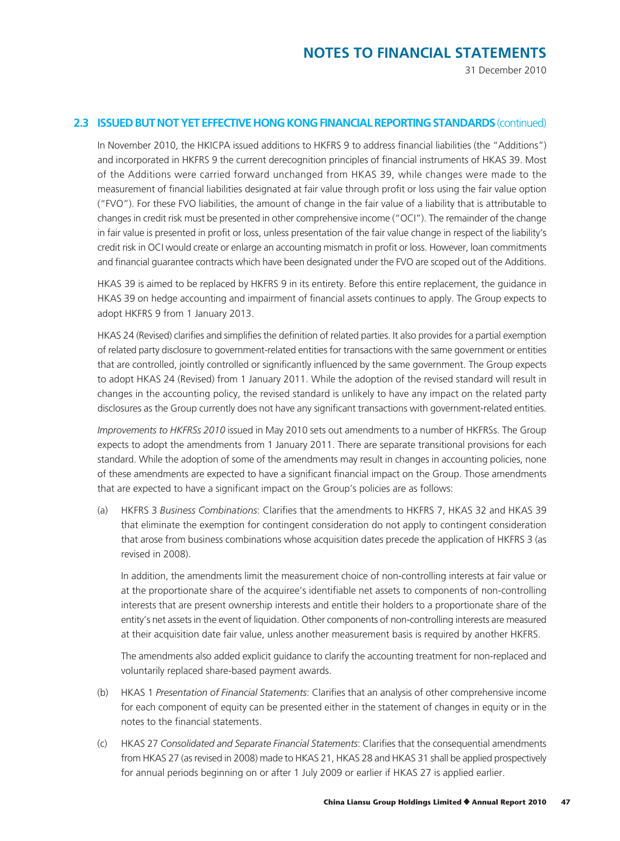31 December 2010

### **2.3 ISSUED BUT NOT YET EFFECTIVE HONG KONG FINANCIAL REPORTING STANDARDS** (continued)

In November 2010, the HKICPA issued additions to HKFRS 9 to address financial liabilities (the "Additions") and incorporated in HKFRS 9 the current derecognition principles of financial instruments of HKAS 39. Most of the Additions were carried forward unchanged from HKAS 39, while changes were made to the measurement of financial liabilities designated at fair value through profit or loss using the fair value option ("FVO"). For these FVO liabilities, the amount of change in the fair value of a liability that is attributable to changes in credit risk must be presented in other comprehensive income ("OCI"). The remainder of the change in fair value is presented in profit or loss, unless presentation of the fair value change in respect of the liability's credit risk in OCI would create or enlarge an accounting mismatch in profit or loss. However, loan commitments and financial guarantee contracts which have been designated under the FVO are scoped out of the Additions.

HKAS 39 is aimed to be replaced by HKFRS 9 in its entirety. Before this entire replacement, the guidance in HKAS 39 on hedge accounting and impairment of financial assets continues to apply. The Group expects to adopt HKFRS 9 from 1 January 2013.

HKAS 24 (Revised) clarifies and simplifies the definition of related parties. It also provides for a partial exemption of related party disclosure to government-related entities for transactions with the same government or entities that are controlled, jointly controlled or significantly influenced by the same government. The Group expects to adopt HKAS 24 (Revised) from 1 January 2011. While the adoption of the revised standard will result in changes in the accounting policy, the revised standard is unlikely to have any impact on the related party disclosures as the Group currently does not have any significant transactions with government-related entities.

*Improvements to HKFRSs 2010* issued in May 2010 sets out amendments to a number of HKFRSs. The Group expects to adopt the amendments from 1 January 2011. There are separate transitional provisions for each standard. While the adoption of some of the amendments may result in changes in accounting policies, none of these amendments are expected to have a significant financial impact on the Group. Those amendments that are expected to have a significant impact on the Group's policies are as follows:

(a) HKFRS 3 *Business Combinations*: Clarifies that the amendments to HKFRS 7, HKAS 32 and HKAS 39 that eliminate the exemption for contingent consideration do not apply to contingent consideration that arose from business combinations whose acquisition dates precede the application of HKFRS 3 (as revised in 2008).

In addition, the amendments limit the measurement choice of non-controlling interests at fair value or at the proportionate share of the acquiree's identifiable net assets to components of non-controlling interests that are present ownership interests and entitle their holders to a proportionate share of the entity's net assets in the event of liquidation. Other components of non-controlling interests are measured at their acquisition date fair value, unless another measurement basis is required by another HKFRS.

The amendments also added explicit guidance to clarify the accounting treatment for non-replaced and voluntarily replaced share-based payment awards.

- (b) HKAS 1 *Presentation of Financial Statements*: Clarifies that an analysis of other comprehensive income for each component of equity can be presented either in the statement of changes in equity or in the notes to the financial statements.
- (c) HKAS 27 *Consolidated and Separate Financial Statements*: Clarifies that the consequential amendments from HKAS 27 (as revised in 2008) made to HKAS 21, HKAS 28 and HKAS 31 shall be applied prospectively for annual periods beginning on or after 1 July 2009 or earlier if HKAS 27 is applied earlier.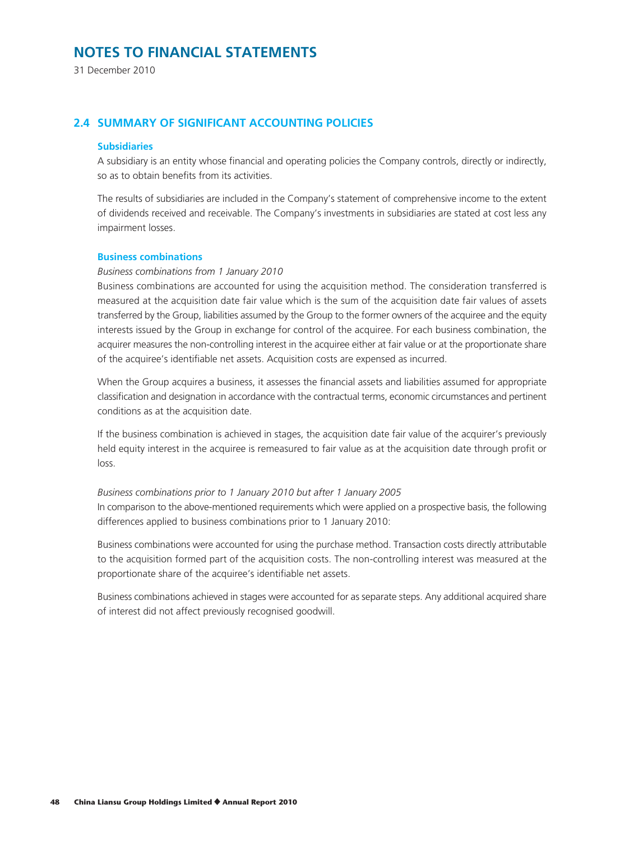31 December 2010

## **2.4 SUMMARY OF SIGNIFICANT ACCOUNTING POLICIES**

### **Subsidiaries**

A subsidiary is an entity whose financial and operating policies the Company controls, directly or indirectly, so as to obtain benefits from its activities.

The results of subsidiaries are included in the Company's statement of comprehensive income to the extent of dividends received and receivable. The Company's investments in subsidiaries are stated at cost less any impairment losses.

### **Business combinations**

#### *Business combinations from 1 January 2010*

Business combinations are accounted for using the acquisition method. The consideration transferred is measured at the acquisition date fair value which is the sum of the acquisition date fair values of assets transferred by the Group, liabilities assumed by the Group to the former owners of the acquiree and the equity interests issued by the Group in exchange for control of the acquiree. For each business combination, the acquirer measures the non-controlling interest in the acquiree either at fair value or at the proportionate share of the acquiree's identifiable net assets. Acquisition costs are expensed as incurred.

When the Group acquires a business, it assesses the financial assets and liabilities assumed for appropriate classification and designation in accordance with the contractual terms, economic circumstances and pertinent conditions as at the acquisition date.

If the business combination is achieved in stages, the acquisition date fair value of the acquirer's previously held equity interest in the acquiree is remeasured to fair value as at the acquisition date through profit or loss.

#### *Business combinations prior to 1 January 2010 but after 1 January 2005*

In comparison to the above-mentioned requirements which were applied on a prospective basis, the following differences applied to business combinations prior to 1 January 2010:

Business combinations were accounted for using the purchase method. Transaction costs directly attributable to the acquisition formed part of the acquisition costs. The non-controlling interest was measured at the proportionate share of the acquiree's identifiable net assets.

Business combinations achieved in stages were accounted for as separate steps. Any additional acquired share of interest did not affect previously recognised goodwill.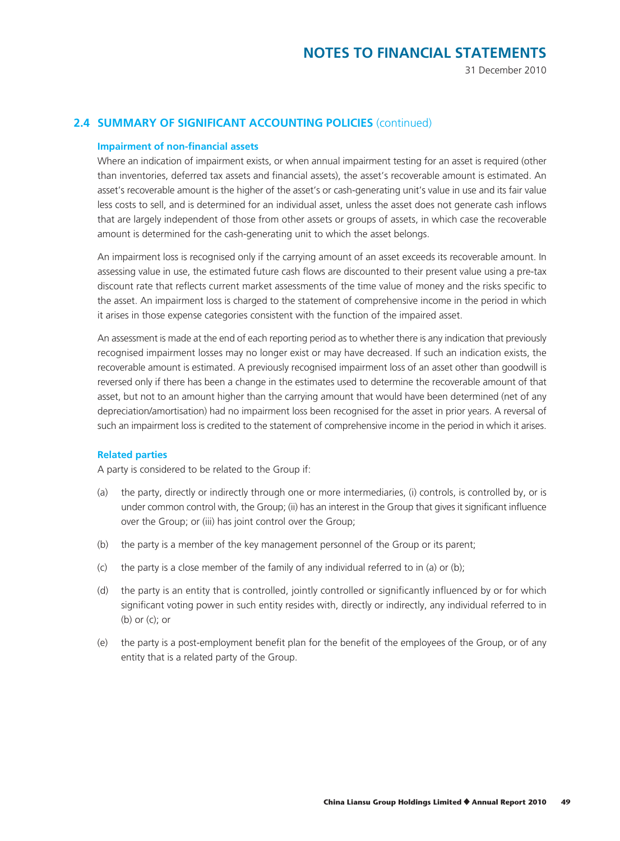31 December 2010

### **2.4 SUMMARY OF SIGNIFICANT ACCOUNTING POLICIES** (continued)

#### **Impairment of non-financial assets**

Where an indication of impairment exists, or when annual impairment testing for an asset is required (other than inventories, deferred tax assets and financial assets), the asset's recoverable amount is estimated. An asset's recoverable amount is the higher of the asset's or cash-generating unit's value in use and its fair value less costs to sell, and is determined for an individual asset, unless the asset does not generate cash inflows that are largely independent of those from other assets or groups of assets, in which case the recoverable amount is determined for the cash-generating unit to which the asset belongs.

An impairment loss is recognised only if the carrying amount of an asset exceeds its recoverable amount. In assessing value in use, the estimated future cash flows are discounted to their present value using a pre-tax discount rate that reflects current market assessments of the time value of money and the risks specific to the asset. An impairment loss is charged to the statement of comprehensive income in the period in which it arises in those expense categories consistent with the function of the impaired asset.

An assessment is made at the end of each reporting period as to whether there is any indication that previously recognised impairment losses may no longer exist or may have decreased. If such an indication exists, the recoverable amount is estimated. A previously recognised impairment loss of an asset other than goodwill is reversed only if there has been a change in the estimates used to determine the recoverable amount of that asset, but not to an amount higher than the carrying amount that would have been determined (net of any depreciation/amortisation) had no impairment loss been recognised for the asset in prior years. A reversal of such an impairment loss is credited to the statement of comprehensive income in the period in which it arises.

#### **Related parties**

A party is considered to be related to the Group if:

- (a) the party, directly or indirectly through one or more intermediaries, (i) controls, is controlled by, or is under common control with, the Group; (ii) has an interest in the Group that gives it significant influence over the Group; or (iii) has joint control over the Group;
- (b) the party is a member of the key management personnel of the Group or its parent;
- (c) the party is a close member of the family of any individual referred to in (a) or (b);
- (d) the party is an entity that is controlled, jointly controlled or significantly influenced by or for which significant voting power in such entity resides with, directly or indirectly, any individual referred to in (b) or (c); or
- (e) the party is a post-employment benefit plan for the benefit of the employees of the Group, or of any entity that is a related party of the Group.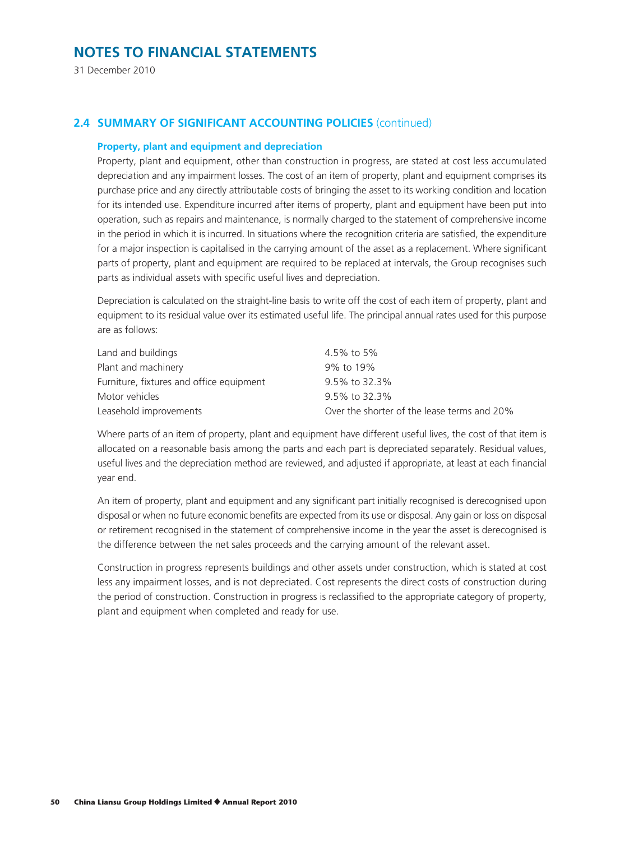31 December 2010

### **2.4 SUMMARY OF SIGNIFICANT ACCOUNTING POLICIES** (continued)

### **Property, plant and equipment and depreciation**

Property, plant and equipment, other than construction in progress, are stated at cost less accumulated depreciation and any impairment losses. The cost of an item of property, plant and equipment comprises its purchase price and any directly attributable costs of bringing the asset to its working condition and location for its intended use. Expenditure incurred after items of property, plant and equipment have been put into operation, such as repairs and maintenance, is normally charged to the statement of comprehensive income in the period in which it is incurred. In situations where the recognition criteria are satisfied, the expenditure for a major inspection is capitalised in the carrying amount of the asset as a replacement. Where significant parts of property, plant and equipment are required to be replaced at intervals, the Group recognises such parts as individual assets with specific useful lives and depreciation.

Depreciation is calculated on the straight-line basis to write off the cost of each item of property, plant and equipment to its residual value over its estimated useful life. The principal annual rates used for this purpose are as follows:

| Land and buildings                       | 4.5% to 5%                                  |
|------------------------------------------|---------------------------------------------|
| Plant and machinery                      | 9% to 19%                                   |
| Furniture, fixtures and office equipment | 9.5% to 32.3%                               |
| Motor vehicles                           | 9.5% to 32.3%                               |
| Leasehold improvements                   | Over the shorter of the lease terms and 20% |

Where parts of an item of property, plant and equipment have different useful lives, the cost of that item is allocated on a reasonable basis among the parts and each part is depreciated separately. Residual values, useful lives and the depreciation method are reviewed, and adjusted if appropriate, at least at each financial year end.

An item of property, plant and equipment and any significant part initially recognised is derecognised upon disposal or when no future economic benefits are expected from its use or disposal. Any gain or loss on disposal or retirement recognised in the statement of comprehensive income in the year the asset is derecognised is the difference between the net sales proceeds and the carrying amount of the relevant asset.

Construction in progress represents buildings and other assets under construction, which is stated at cost less any impairment losses, and is not depreciated. Cost represents the direct costs of construction during the period of construction. Construction in progress is reclassified to the appropriate category of property, plant and equipment when completed and ready for use.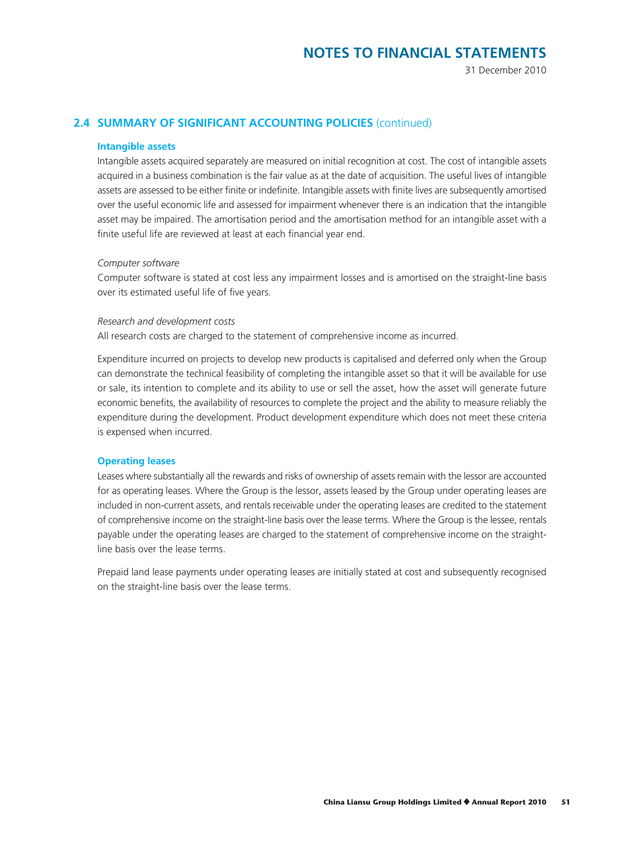31 December 2010

### **2.4 SUMMARY OF SIGNIFICANT ACCOUNTING POLICIES** (continued)

### **Intangible assets**

Intangible assets acquired separately are measured on initial recognition at cost. The cost of intangible assets acquired in a business combination is the fair value as at the date of acquisition. The useful lives of intangible assets are assessed to be either finite or indefinite. Intangible assets with finite lives are subsequently amortised over the useful economic life and assessed for impairment whenever there is an indication that the intangible asset may be impaired. The amortisation period and the amortisation method for an intangible asset with a finite useful life are reviewed at least at each financial year end.

### *Computer software*

Computer software is stated at cost less any impairment losses and is amortised on the straight-line basis over its estimated useful life of five years.

#### *Research and development costs*

All research costs are charged to the statement of comprehensive income as incurred.

Expenditure incurred on projects to develop new products is capitalised and deferred only when the Group can demonstrate the technical feasibility of completing the intangible asset so that it will be available for use or sale, its intention to complete and its ability to use or sell the asset, how the asset will generate future economic benefits, the availability of resources to complete the project and the ability to measure reliably the expenditure during the development. Product development expenditure which does not meet these criteria is expensed when incurred.

### **Operating leases**

Leases where substantially all the rewards and risks of ownership of assets remain with the lessor are accounted for as operating leases. Where the Group is the lessor, assets leased by the Group under operating leases are included in non-current assets, and rentals receivable under the operating leases are credited to the statement of comprehensive income on the straight-line basis over the lease terms. Where the Group is the lessee, rentals payable under the operating leases are charged to the statement of comprehensive income on the straightline basis over the lease terms.

Prepaid land lease payments under operating leases are initially stated at cost and subsequently recognised on the straight-line basis over the lease terms.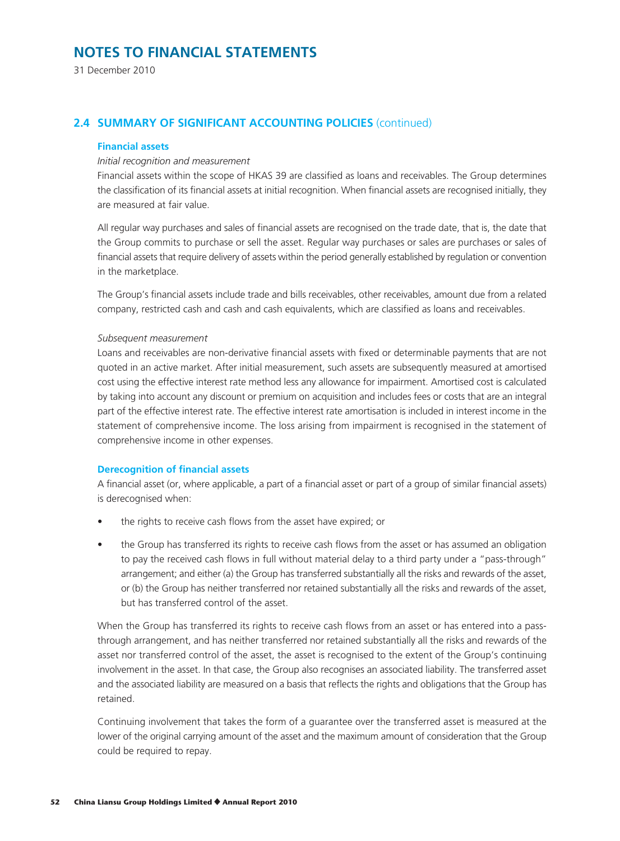31 December 2010

## **2.4 SUMMARY OF SIGNIFICANT ACCOUNTING POLICIES** (continued)

#### **Financial assets**

### *Initial recognition and measurement*

Financial assets within the scope of HKAS 39 are classified as loans and receivables. The Group determines the classification of its financial assets at initial recognition. When financial assets are recognised initially, they are measured at fair value.

All regular way purchases and sales of financial assets are recognised on the trade date, that is, the date that the Group commits to purchase or sell the asset. Regular way purchases or sales are purchases or sales of financial assets that require delivery of assets within the period generally established by regulation or convention in the marketplace.

The Group's financial assets include trade and bills receivables, other receivables, amount due from a related company, restricted cash and cash and cash equivalents, which are classified as loans and receivables.

#### *Subsequent measurement*

Loans and receivables are non-derivative financial assets with fixed or determinable payments that are not quoted in an active market. After initial measurement, such assets are subsequently measured at amortised cost using the effective interest rate method less any allowance for impairment. Amortised cost is calculated by taking into account any discount or premium on acquisition and includes fees or costs that are an integral part of the effective interest rate. The effective interest rate amortisation is included in interest income in the statement of comprehensive income. The loss arising from impairment is recognised in the statement of comprehensive income in other expenses.

#### **Derecognition of financial assets**

A financial asset (or, where applicable, a part of a financial asset or part of a group of similar financial assets) is derecognised when:

- the rights to receive cash flows from the asset have expired; or
- the Group has transferred its rights to receive cash flows from the asset or has assumed an obligation to pay the received cash flows in full without material delay to a third party under a "pass-through" arrangement; and either (a) the Group has transferred substantially all the risks and rewards of the asset, or (b) the Group has neither transferred nor retained substantially all the risks and rewards of the asset, but has transferred control of the asset.

When the Group has transferred its rights to receive cash flows from an asset or has entered into a passthrough arrangement, and has neither transferred nor retained substantially all the risks and rewards of the asset nor transferred control of the asset, the asset is recognised to the extent of the Group's continuing involvement in the asset. In that case, the Group also recognises an associated liability. The transferred asset and the associated liability are measured on a basis that reflects the rights and obligations that the Group has retained.

Continuing involvement that takes the form of a guarantee over the transferred asset is measured at the lower of the original carrying amount of the asset and the maximum amount of consideration that the Group could be required to repay.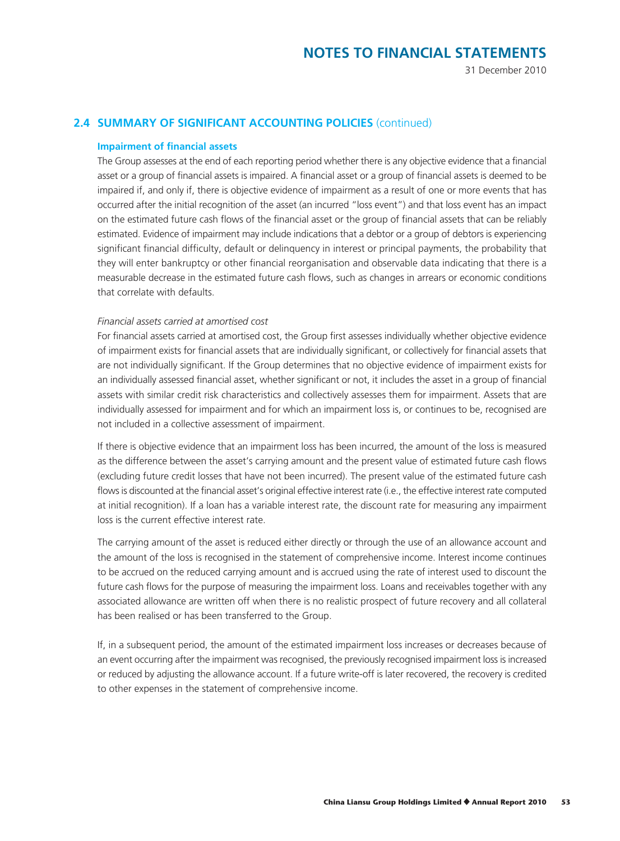31 December 2010

### **2.4 SUMMARY OF SIGNIFICANT ACCOUNTING POLICIES** (continued)

### **Impairment of financial assets**

The Group assesses at the end of each reporting period whether there is any objective evidence that a financial asset or a group of financial assets is impaired. A financial asset or a group of financial assets is deemed to be impaired if, and only if, there is objective evidence of impairment as a result of one or more events that has occurred after the initial recognition of the asset (an incurred "loss event") and that loss event has an impact on the estimated future cash flows of the financial asset or the group of financial assets that can be reliably estimated. Evidence of impairment may include indications that a debtor or a group of debtors is experiencing significant financial difficulty, default or delinquency in interest or principal payments, the probability that they will enter bankruptcy or other financial reorganisation and observable data indicating that there is a measurable decrease in the estimated future cash flows, such as changes in arrears or economic conditions that correlate with defaults.

### *Financial assets carried at amortised cost*

For financial assets carried at amortised cost, the Group first assesses individually whether objective evidence of impairment exists for financial assets that are individually significant, or collectively for financial assets that are not individually significant. If the Group determines that no objective evidence of impairment exists for an individually assessed financial asset, whether significant or not, it includes the asset in a group of financial assets with similar credit risk characteristics and collectively assesses them for impairment. Assets that are individually assessed for impairment and for which an impairment loss is, or continues to be, recognised are not included in a collective assessment of impairment.

If there is objective evidence that an impairment loss has been incurred, the amount of the loss is measured as the difference between the asset's carrying amount and the present value of estimated future cash flows (excluding future credit losses that have not been incurred). The present value of the estimated future cash flows is discounted at the financial asset's original effective interest rate (i.e., the effective interest rate computed at initial recognition). If a loan has a variable interest rate, the discount rate for measuring any impairment loss is the current effective interest rate.

The carrying amount of the asset is reduced either directly or through the use of an allowance account and the amount of the loss is recognised in the statement of comprehensive income. Interest income continues to be accrued on the reduced carrying amount and is accrued using the rate of interest used to discount the future cash flows for the purpose of measuring the impairment loss. Loans and receivables together with any associated allowance are written off when there is no realistic prospect of future recovery and all collateral has been realised or has been transferred to the Group.

If, in a subsequent period, the amount of the estimated impairment loss increases or decreases because of an event occurring after the impairment was recognised, the previously recognised impairment loss is increased or reduced by adjusting the allowance account. If a future write-off is later recovered, the recovery is credited to other expenses in the statement of comprehensive income.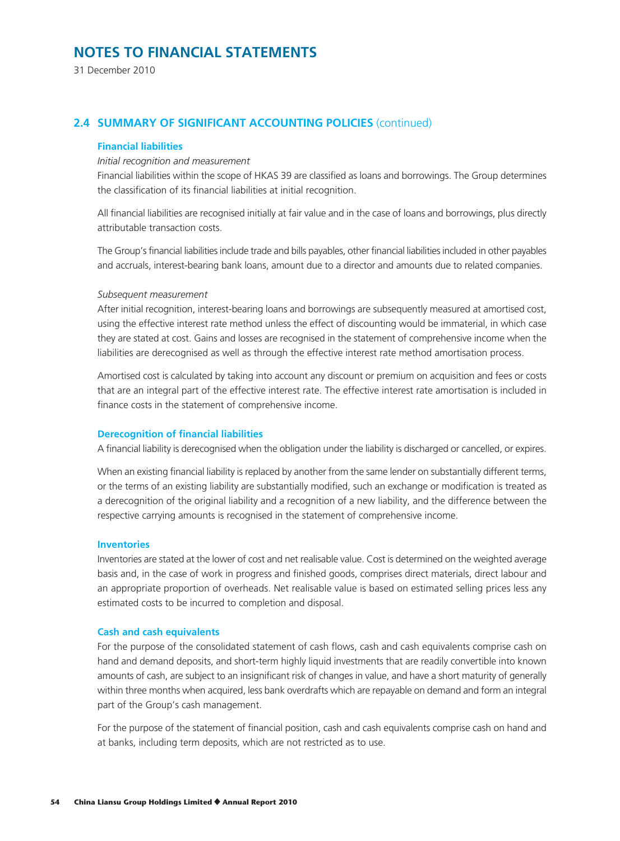31 December 2010

### **2.4 SUMMARY OF SIGNIFICANT ACCOUNTING POLICIES** (continued)

#### **Financial liabilities**

#### *Initial recognition and measurement*

Financial liabilities within the scope of HKAS 39 are classified as loans and borrowings. The Group determines the classification of its financial liabilities at initial recognition.

All financial liabilities are recognised initially at fair value and in the case of loans and borrowings, plus directly attributable transaction costs.

The Group's financial liabilities include trade and bills payables, other financial liabilities included in other payables and accruals, interest-bearing bank loans, amount due to a director and amounts due to related companies.

#### *Subsequent measurement*

After initial recognition, interest-bearing loans and borrowings are subsequently measured at amortised cost, using the effective interest rate method unless the effect of discounting would be immaterial, in which case they are stated at cost. Gains and losses are recognised in the statement of comprehensive income when the liabilities are derecognised as well as through the effective interest rate method amortisation process.

Amortised cost is calculated by taking into account any discount or premium on acquisition and fees or costs that are an integral part of the effective interest rate. The effective interest rate amortisation is included in finance costs in the statement of comprehensive income.

### **Derecognition of financial liabilities**

A financial liability is derecognised when the obligation under the liability is discharged or cancelled, or expires.

When an existing financial liability is replaced by another from the same lender on substantially different terms, or the terms of an existing liability are substantially modified, such an exchange or modification is treated as a derecognition of the original liability and a recognition of a new liability, and the difference between the respective carrying amounts is recognised in the statement of comprehensive income.

#### **Inventories**

Inventories are stated at the lower of cost and net realisable value. Cost is determined on the weighted average basis and, in the case of work in progress and finished goods, comprises direct materials, direct labour and an appropriate proportion of overheads. Net realisable value is based on estimated selling prices less any estimated costs to be incurred to completion and disposal.

#### **Cash and cash equivalents**

For the purpose of the consolidated statement of cash flows, cash and cash equivalents comprise cash on hand and demand deposits, and short-term highly liquid investments that are readily convertible into known amounts of cash, are subject to an insignificant risk of changes in value, and have a short maturity of generally within three months when acquired, less bank overdrafts which are repayable on demand and form an integral part of the Group's cash management.

For the purpose of the statement of financial position, cash and cash equivalents comprise cash on hand and at banks, including term deposits, which are not restricted as to use.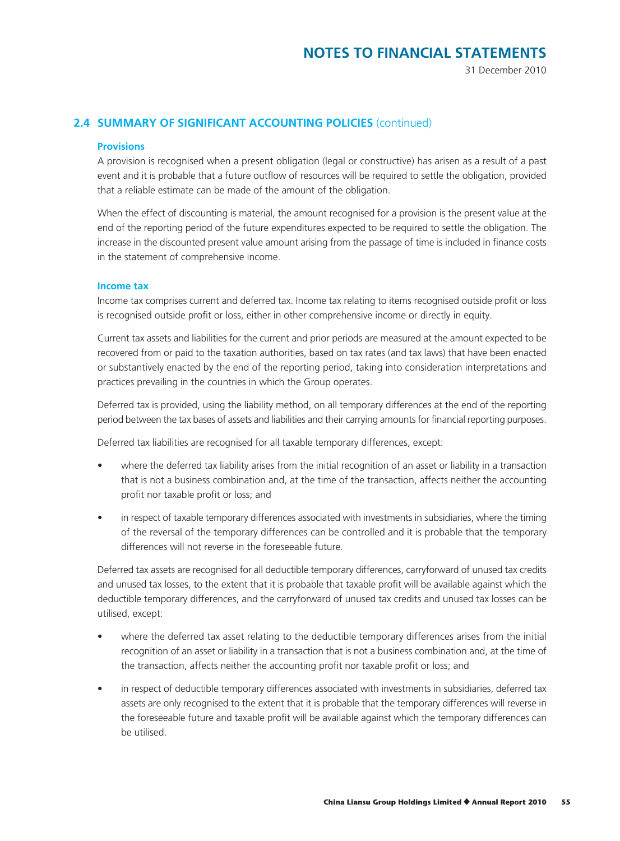31 December 2010

### **2.4 SUMMARY OF SIGNIFICANT ACCOUNTING POLICIES** (continued)

#### **Provisions**

A provision is recognised when a present obligation (legal or constructive) has arisen as a result of a past event and it is probable that a future outflow of resources will be required to settle the obligation, provided that a reliable estimate can be made of the amount of the obligation.

When the effect of discounting is material, the amount recognised for a provision is the present value at the end of the reporting period of the future expenditures expected to be required to settle the obligation. The increase in the discounted present value amount arising from the passage of time is included in finance costs in the statement of comprehensive income.

#### **Income tax**

Income tax comprises current and deferred tax. Income tax relating to items recognised outside profit or loss is recognised outside profit or loss, either in other comprehensive income or directly in equity.

Current tax assets and liabilities for the current and prior periods are measured at the amount expected to be recovered from or paid to the taxation authorities, based on tax rates (and tax laws) that have been enacted or substantively enacted by the end of the reporting period, taking into consideration interpretations and practices prevailing in the countries in which the Group operates.

Deferred tax is provided, using the liability method, on all temporary differences at the end of the reporting period between the tax bases of assets and liabilities and their carrying amounts for financial reporting purposes.

Deferred tax liabilities are recognised for all taxable temporary differences, except:

- where the deferred tax liability arises from the initial recognition of an asset or liability in a transaction that is not a business combination and, at the time of the transaction, affects neither the accounting profit nor taxable profit or loss; and
- in respect of taxable temporary differences associated with investments in subsidiaries, where the timing of the reversal of the temporary differences can be controlled and it is probable that the temporary differences will not reverse in the foreseeable future.

Deferred tax assets are recognised for all deductible temporary differences, carryforward of unused tax credits and unused tax losses, to the extent that it is probable that taxable profit will be available against which the deductible temporary differences, and the carryforward of unused tax credits and unused tax losses can be utilised, except:

- where the deferred tax asset relating to the deductible temporary differences arises from the initial recognition of an asset or liability in a transaction that is not a business combination and, at the time of the transaction, affects neither the accounting profit nor taxable profit or loss; and
- in respect of deductible temporary differences associated with investments in subsidiaries, deferred tax assets are only recognised to the extent that it is probable that the temporary differences will reverse in the foreseeable future and taxable profit will be available against which the temporary differences can be utilised.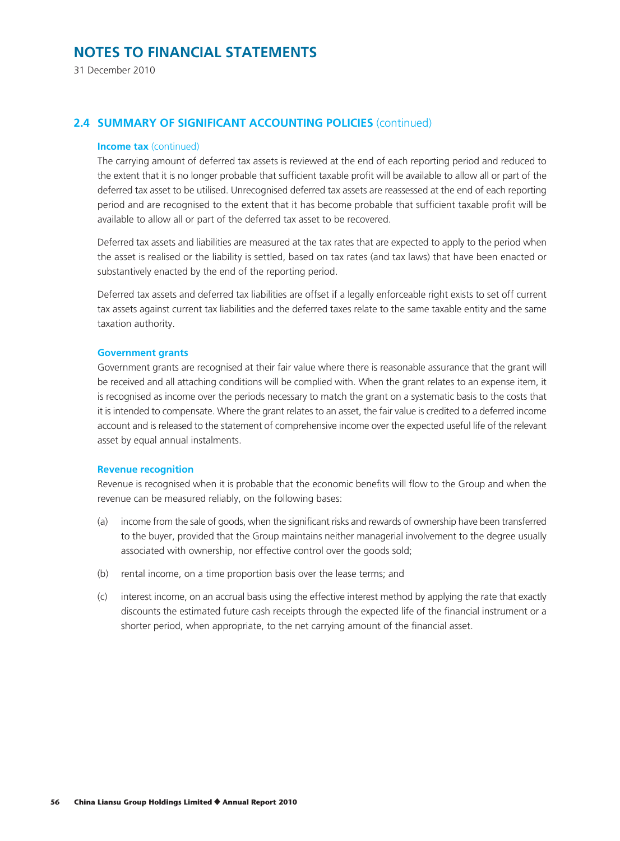31 December 2010

### **2.4 SUMMARY OF SIGNIFICANT ACCOUNTING POLICIES** (continued)

#### **Income tax** (continued)

The carrying amount of deferred tax assets is reviewed at the end of each reporting period and reduced to the extent that it is no longer probable that sufficient taxable profit will be available to allow all or part of the deferred tax asset to be utilised. Unrecognised deferred tax assets are reassessed at the end of each reporting period and are recognised to the extent that it has become probable that sufficient taxable profit will be available to allow all or part of the deferred tax asset to be recovered.

Deferred tax assets and liabilities are measured at the tax rates that are expected to apply to the period when the asset is realised or the liability is settled, based on tax rates (and tax laws) that have been enacted or substantively enacted by the end of the reporting period.

Deferred tax assets and deferred tax liabilities are offset if a legally enforceable right exists to set off current tax assets against current tax liabilities and the deferred taxes relate to the same taxable entity and the same taxation authority.

#### **Government grants**

Government grants are recognised at their fair value where there is reasonable assurance that the grant will be received and all attaching conditions will be complied with. When the grant relates to an expense item, it is recognised as income over the periods necessary to match the grant on a systematic basis to the costs that it is intended to compensate. Where the grant relates to an asset, the fair value is credited to a deferred income account and is released to the statement of comprehensive income over the expected useful life of the relevant asset by equal annual instalments.

#### **Revenue recognition**

Revenue is recognised when it is probable that the economic benefits will flow to the Group and when the revenue can be measured reliably, on the following bases:

- (a) income from the sale of goods, when the significant risks and rewards of ownership have been transferred to the buyer, provided that the Group maintains neither managerial involvement to the degree usually associated with ownership, nor effective control over the goods sold;
- (b) rental income, on a time proportion basis over the lease terms; and
- (c) interest income, on an accrual basis using the effective interest method by applying the rate that exactly discounts the estimated future cash receipts through the expected life of the financial instrument or a shorter period, when appropriate, to the net carrying amount of the financial asset.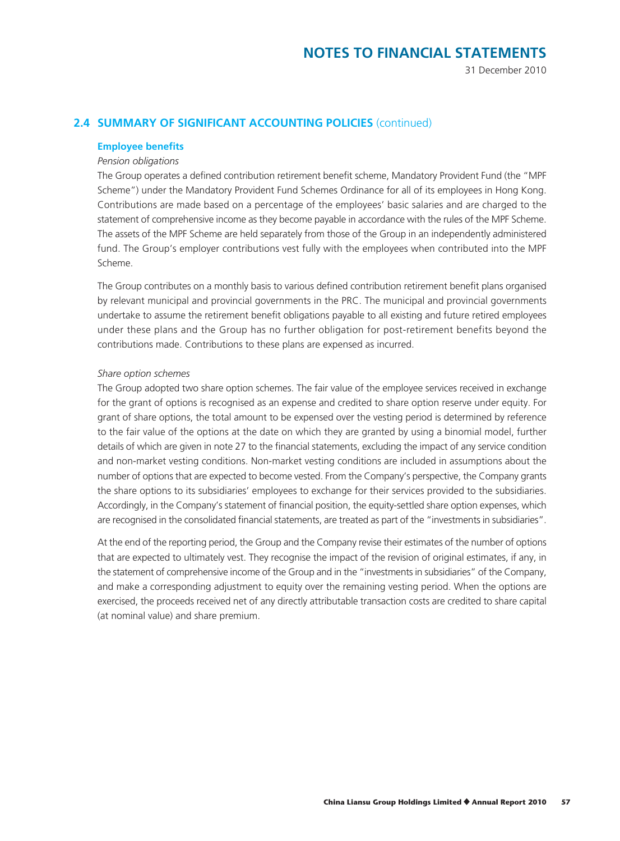31 December 2010

## **2.4 SUMMARY OF SIGNIFICANT ACCOUNTING POLICIES** (continued)

### **Employee benefits**

### *Pension obligations*

The Group operates a defined contribution retirement benefit scheme, Mandatory Provident Fund (the "MPF Scheme") under the Mandatory Provident Fund Schemes Ordinance for all of its employees in Hong Kong. Contributions are made based on a percentage of the employees' basic salaries and are charged to the statement of comprehensive income as they become payable in accordance with the rules of the MPF Scheme. The assets of the MPF Scheme are held separately from those of the Group in an independently administered fund. The Group's employer contributions vest fully with the employees when contributed into the MPF Scheme.

The Group contributes on a monthly basis to various defined contribution retirement benefit plans organised by relevant municipal and provincial governments in the PRC. The municipal and provincial governments undertake to assume the retirement benefit obligations payable to all existing and future retired employees under these plans and the Group has no further obligation for post-retirement benefits beyond the contributions made. Contributions to these plans are expensed as incurred.

#### *Share option schemes*

The Group adopted two share option schemes. The fair value of the employee services received in exchange for the grant of options is recognised as an expense and credited to share option reserve under equity. For grant of share options, the total amount to be expensed over the vesting period is determined by reference to the fair value of the options at the date on which they are granted by using a binomial model, further details of which are given in note 27 to the financial statements, excluding the impact of any service condition and non-market vesting conditions. Non-market vesting conditions are included in assumptions about the number of options that are expected to become vested. From the Company's perspective, the Company grants the share options to its subsidiaries' employees to exchange for their services provided to the subsidiaries. Accordingly, in the Company's statement of financial position, the equity-settled share option expenses, which are recognised in the consolidated financial statements, are treated as part of the "investments in subsidiaries".

At the end of the reporting period, the Group and the Company revise their estimates of the number of options that are expected to ultimately vest. They recognise the impact of the revision of original estimates, if any, in the statement of comprehensive income of the Group and in the "investments in subsidiaries" of the Company, and make a corresponding adjustment to equity over the remaining vesting period. When the options are exercised, the proceeds received net of any directly attributable transaction costs are credited to share capital (at nominal value) and share premium.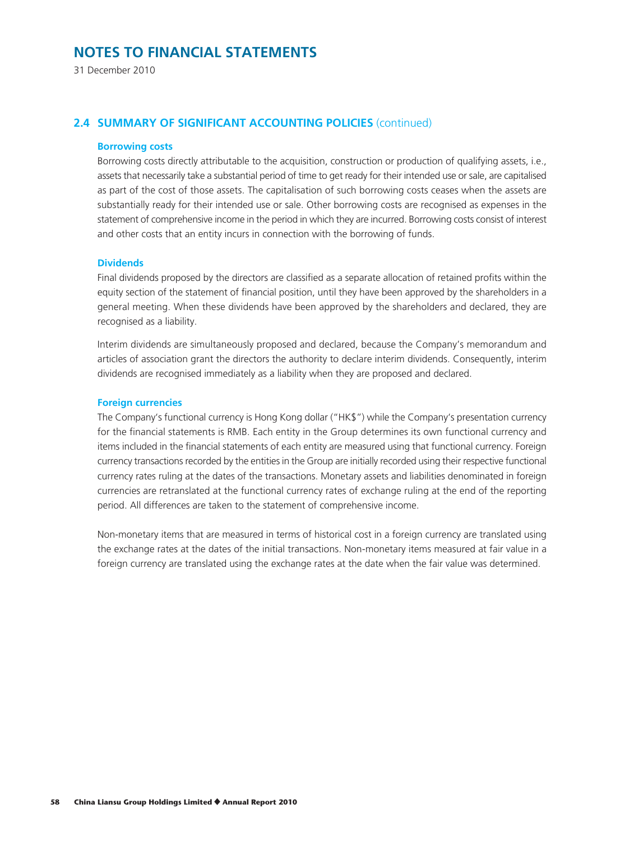31 December 2010

## **2.4 SUMMARY OF SIGNIFICANT ACCOUNTING POLICIES** (continued)

#### **Borrowing costs**

Borrowing costs directly attributable to the acquisition, construction or production of qualifying assets, i.e., assets that necessarily take a substantial period of time to get ready for their intended use or sale, are capitalised as part of the cost of those assets. The capitalisation of such borrowing costs ceases when the assets are substantially ready for their intended use or sale. Other borrowing costs are recognised as expenses in the statement of comprehensive income in the period in which they are incurred. Borrowing costs consist of interest and other costs that an entity incurs in connection with the borrowing of funds.

### **Dividends**

Final dividends proposed by the directors are classified as a separate allocation of retained profits within the equity section of the statement of financial position, until they have been approved by the shareholders in a general meeting. When these dividends have been approved by the shareholders and declared, they are recognised as a liability.

Interim dividends are simultaneously proposed and declared, because the Company's memorandum and articles of association grant the directors the authority to declare interim dividends. Consequently, interim dividends are recognised immediately as a liability when they are proposed and declared.

#### **Foreign currencies**

The Company's functional currency is Hong Kong dollar ("HK\$") while the Company's presentation currency for the financial statements is RMB. Each entity in the Group determines its own functional currency and items included in the financial statements of each entity are measured using that functional currency. Foreign currency transactions recorded by the entities in the Group are initially recorded using their respective functional currency rates ruling at the dates of the transactions. Monetary assets and liabilities denominated in foreign currencies are retranslated at the functional currency rates of exchange ruling at the end of the reporting period. All differences are taken to the statement of comprehensive income.

Non-monetary items that are measured in terms of historical cost in a foreign currency are translated using the exchange rates at the dates of the initial transactions. Non-monetary items measured at fair value in a foreign currency are translated using the exchange rates at the date when the fair value was determined.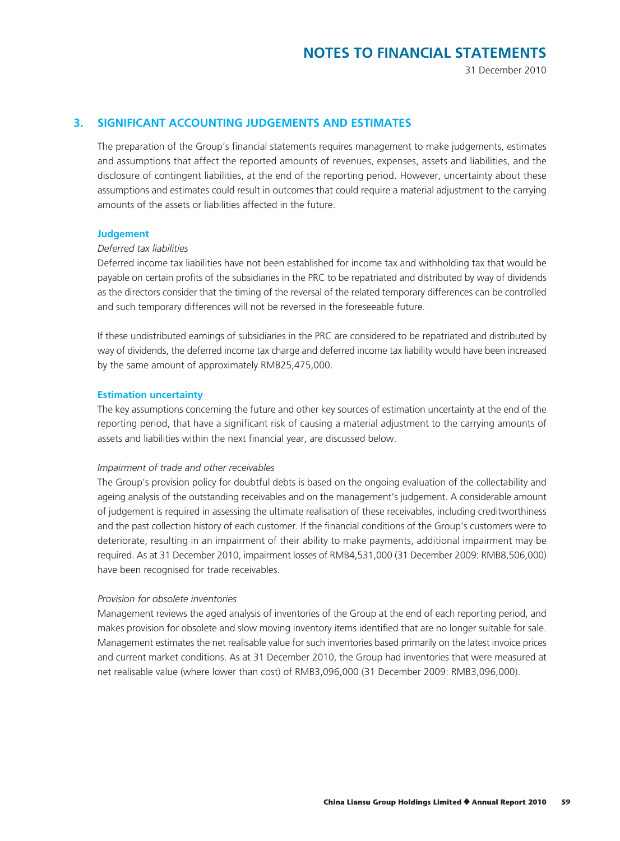31 December 2010

### **3. SIGNIFICANT ACCOUNTING JUDGEMENTS AND ESTIMATES**

The preparation of the Group's financial statements requires management to make judgements, estimates and assumptions that affect the reported amounts of revenues, expenses, assets and liabilities, and the disclosure of contingent liabilities, at the end of the reporting period. However, uncertainty about these assumptions and estimates could result in outcomes that could require a material adjustment to the carrying amounts of the assets or liabilities affected in the future.

#### **Judgement**

#### *Deferred tax liabilities*

Deferred income tax liabilities have not been established for income tax and withholding tax that would be payable on certain profits of the subsidiaries in the PRC to be repatriated and distributed by way of dividends as the directors consider that the timing of the reversal of the related temporary differences can be controlled and such temporary differences will not be reversed in the foreseeable future.

If these undistributed earnings of subsidiaries in the PRC are considered to be repatriated and distributed by way of dividends, the deferred income tax charge and deferred income tax liability would have been increased by the same amount of approximately RMB25,475,000.

#### **Estimation uncertainty**

The key assumptions concerning the future and other key sources of estimation uncertainty at the end of the reporting period, that have a significant risk of causing a material adjustment to the carrying amounts of assets and liabilities within the next financial year, are discussed below.

#### *Impairment of trade and other receivables*

The Group's provision policy for doubtful debts is based on the ongoing evaluation of the collectability and ageing analysis of the outstanding receivables and on the management's judgement. A considerable amount of judgement is required in assessing the ultimate realisation of these receivables, including creditworthiness and the past collection history of each customer. If the financial conditions of the Group's customers were to deteriorate, resulting in an impairment of their ability to make payments, additional impairment may be required. As at 31 December 2010, impairment losses of RMB4,531,000 (31 December 2009: RMB8,506,000) have been recognised for trade receivables.

#### *Provision for obsolete inventories*

Management reviews the aged analysis of inventories of the Group at the end of each reporting period, and makes provision for obsolete and slow moving inventory items identified that are no longer suitable for sale. Management estimates the net realisable value for such inventories based primarily on the latest invoice prices and current market conditions. As at 31 December 2010, the Group had inventories that were measured at net realisable value (where lower than cost) of RMB3,096,000 (31 December 2009: RMB3,096,000).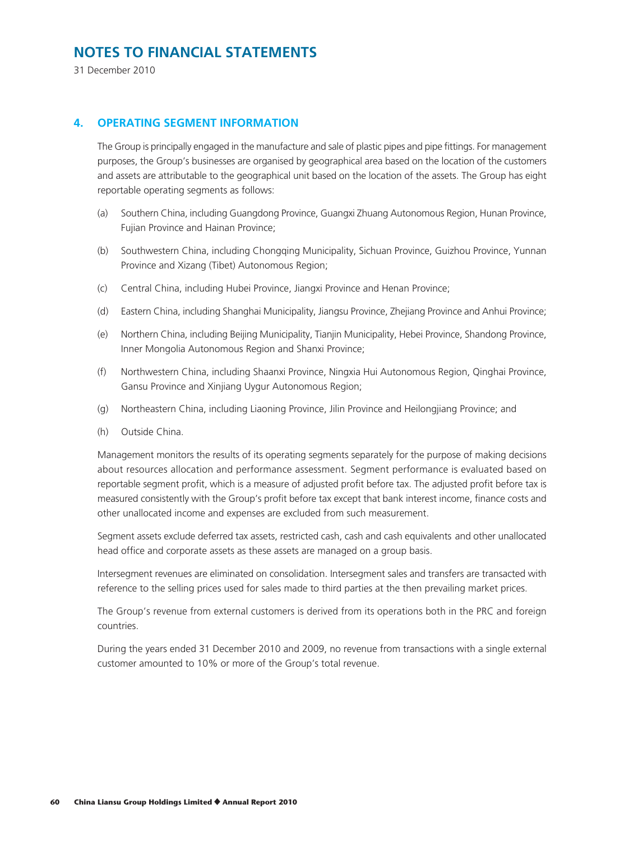31 December 2010

### **4. OPERATING SEGMENT INFORMATION**

The Group is principally engaged in the manufacture and sale of plastic pipes and pipe fittings. For management purposes, the Group's businesses are organised by geographical area based on the location of the customers and assets are attributable to the geographical unit based on the location of the assets. The Group has eight reportable operating segments as follows:

- (a) Southern China, including Guangdong Province, Guangxi Zhuang Autonomous Region, Hunan Province, Fujian Province and Hainan Province;
- (b) Southwestern China, including Chongqing Municipality, Sichuan Province, Guizhou Province, Yunnan Province and Xizang (Tibet) Autonomous Region;
- (c) Central China, including Hubei Province, Jiangxi Province and Henan Province;
- (d) Eastern China, including Shanghai Municipality, Jiangsu Province, Zhejiang Province and Anhui Province;
- (e) Northern China, including Beijing Municipality, Tianjin Municipality, Hebei Province, Shandong Province, Inner Mongolia Autonomous Region and Shanxi Province;
- (f) Northwestern China, including Shaanxi Province, Ningxia Hui Autonomous Region, Qinghai Province, Gansu Province and Xinjiang Uygur Autonomous Region;
- (g) Northeastern China, including Liaoning Province, Jilin Province and Heilongjiang Province; and
- (h) Outside China.

Management monitors the results of its operating segments separately for the purpose of making decisions about resources allocation and performance assessment. Segment performance is evaluated based on reportable segment profit, which is a measure of adjusted profit before tax. The adjusted profit before tax is measured consistently with the Group's profit before tax except that bank interest income, finance costs and other unallocated income and expenses are excluded from such measurement.

Segment assets exclude deferred tax assets, restricted cash, cash and cash equivalents and other unallocated head office and corporate assets as these assets are managed on a group basis.

Intersegment revenues are eliminated on consolidation. Intersegment sales and transfers are transacted with reference to the selling prices used for sales made to third parties at the then prevailing market prices.

The Group's revenue from external customers is derived from its operations both in the PRC and foreign countries.

During the years ended 31 December 2010 and 2009, no revenue from transactions with a single external customer amounted to 10% or more of the Group's total revenue.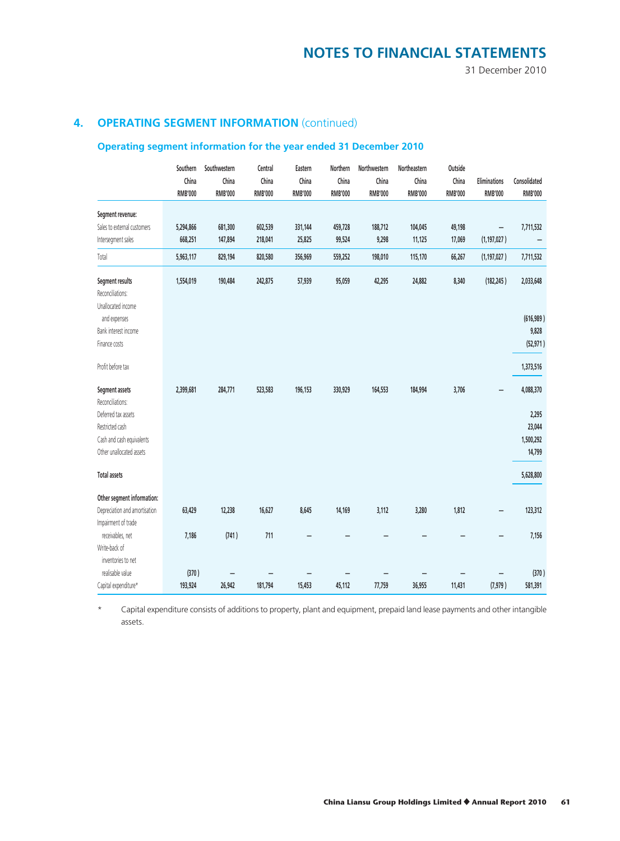### **4. OPERATING SEGMENT INFORMATION (continued)**

### **Operating segment information for the year ended 31 December 2010**

|                                                                                                                                                                                            | Southern<br>China<br><b>RMB'000</b> | Southwestern<br>China<br><b>RMB'000</b> | Central<br>China<br><b>RMB'000</b> | Eastern<br>China<br><b>RMB'000</b> | Northern<br>China<br><b>RMB'000</b> | Northwestern<br>China<br><b>RMB'000</b> | Northeastern<br>China<br><b>RMB'000</b> | Outside<br>China<br><b>RMB'000</b> | Eliminations<br><b>RMB'000</b>            | Consolidated<br><b>RMB'000</b>                                   |
|--------------------------------------------------------------------------------------------------------------------------------------------------------------------------------------------|-------------------------------------|-----------------------------------------|------------------------------------|------------------------------------|-------------------------------------|-----------------------------------------|-----------------------------------------|------------------------------------|-------------------------------------------|------------------------------------------------------------------|
| Segment revenue:<br>Sales to external customers<br>Intersegment sales                                                                                                                      | 5,294,866<br>668,251                | 681,300<br>147,894                      | 602,539<br>218,041                 | 331,144<br>25,825                  | 459,728<br>99,524                   | 188,712<br>9,298                        | 104,045<br>11,125                       | 49,198<br>17,069                   | $\overline{\phantom{0}}$<br>(1, 197, 027) | 7,711,532                                                        |
| Total                                                                                                                                                                                      | 5,963,117                           | 829,194                                 | 820,580                            | 356,969                            | 559,252                             | 198,010                                 | 115,170                                 | 66,267                             | (1, 197, 027)                             | 7,711,532                                                        |
| Segment results<br>Reconciliations:<br>Unallocated income<br>and expenses                                                                                                                  | 1,554,019                           | 190,484                                 | 242,875                            | 57,939                             | 95,059                              | 42,295                                  | 24,882                                  | 8,340                              | (182, 245)                                | 2,033,648<br>(616,989)                                           |
| Bank interest income                                                                                                                                                                       |                                     |                                         |                                    |                                    |                                     |                                         |                                         |                                    |                                           | 9,828                                                            |
| Finance costs                                                                                                                                                                              |                                     |                                         |                                    |                                    |                                     |                                         |                                         |                                    |                                           | (52, 971)                                                        |
| Profit before tax                                                                                                                                                                          |                                     |                                         |                                    |                                    |                                     |                                         |                                         |                                    |                                           | 1,373,516                                                        |
| Segment assets<br>Reconciliations:<br>Deferred tax assets<br>Restricted cash<br>Cash and cash equivalents<br>Other unallocated assets<br><b>Total assets</b><br>Other segment information: | 2,399,681                           | 284,771                                 | 523,583                            | 196,153                            | 330,929                             | 164,553                                 | 184,994                                 | 3,706                              |                                           | 4,088,370<br>2,295<br>23,044<br>1,500,292<br>14,799<br>5,628,800 |
| Depreciation and amortisation                                                                                                                                                              | 63,429                              | 12,238                                  | 16,627                             | 8,645                              | 14,169                              | 3,112                                   | 3,280                                   | 1,812                              | -                                         | 123,312                                                          |
| Impairment of trade<br>receivables, net<br>Write-back of<br>inventories to net                                                                                                             | 7,186                               | (741)                                   | 711                                |                                    |                                     |                                         |                                         |                                    |                                           | 7,156                                                            |
| realisable value<br>Capital expenditure*                                                                                                                                                   | (370)<br>193,924                    | 26,942                                  | 181,794                            | 15,453                             | 45,112                              | 77,759                                  | 36,955                                  | 11,431                             | (7,979)                                   | (370)<br>581,391                                                 |

Capital expenditure consists of additions to property, plant and equipment, prepaid land lease payments and other intangible assets.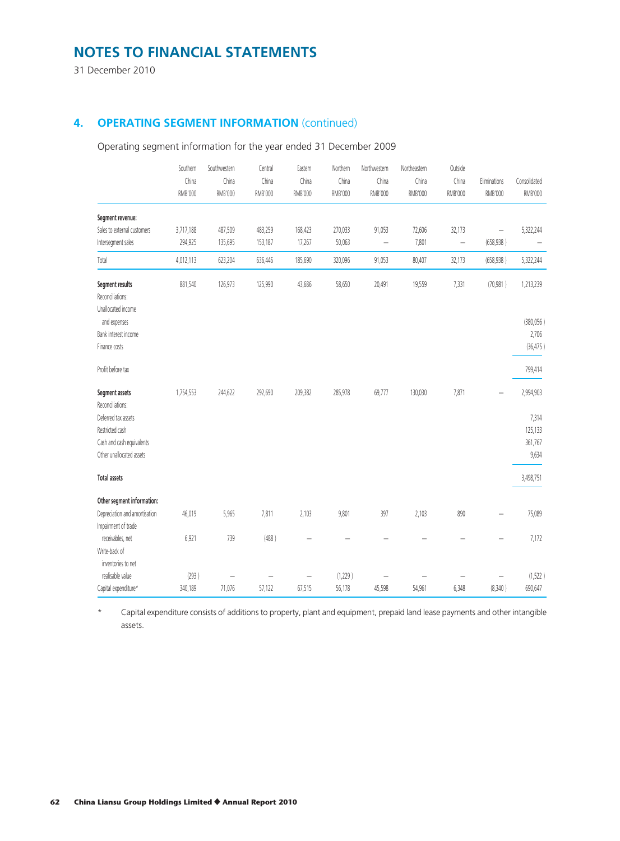31 December 2010

### **4. OPERATING SEGMENT INFORMATION (continued)**

Operating segment information for the year ended 31 December 2009

|                                                           | Southern<br>China<br><b>RMB'000</b> | Southwestern<br>China<br><b>RMB'000</b> | Central<br>China<br>RMB'000 | Eastern<br>China<br><b>RMB'000</b> | Northern<br>China<br>RMB'000 | Northwestern<br>China<br>RMB'000 | Northeastern<br>China<br><b>RMB'000</b> | Outside<br>China<br>RMB'000 | Eliminations<br><b>RMB'000</b> | Consolidated<br>RMB'000         |
|-----------------------------------------------------------|-------------------------------------|-----------------------------------------|-----------------------------|------------------------------------|------------------------------|----------------------------------|-----------------------------------------|-----------------------------|--------------------------------|---------------------------------|
| Segment revenue:                                          |                                     |                                         |                             |                                    |                              |                                  |                                         |                             |                                |                                 |
| Sales to external customers                               | 3,717,188                           | 487,509                                 | 483,259                     | 168,423                            | 270,033                      | 91,053                           | 72,606                                  | 32,173                      |                                | 5,322,244                       |
| Intersegment sales                                        | 294,925                             | 135,695                                 | 153,187                     | 17,267                             | 50,063                       | $\overline{\phantom{0}}$         | 7,801                                   | $\overline{\phantom{0}}$    | (658, 938)                     |                                 |
| Total                                                     | 4,012,113                           | 623,204                                 | 636,446                     | 185,690                            | 320,096                      | 91,053                           | 80,407                                  | 32,173                      | (658, 938)                     | 5,322,244                       |
| Segment results<br>Reconciliations:<br>Unallocated income | 881,540                             | 126,973                                 | 125,990                     | 43,686                             | 58,650                       | 20,491                           | 19,559                                  | 7,331                       | (70, 981)                      | 1,213,239                       |
| and expenses<br>Bank interest income<br>Finance costs     |                                     |                                         |                             |                                    |                              |                                  |                                         |                             |                                | (380,056)<br>2,706<br>(36, 475) |
| Profit before tax                                         |                                     |                                         |                             |                                    |                              |                                  |                                         |                             |                                | 799,414                         |
| Segment assets<br>Reconciliations:                        | 1,754,553                           | 244,622                                 | 292,690                     | 209,382                            | 285,978                      | 69,777                           | 130,030                                 | 7,871                       |                                | 2,994,903                       |
| Deferred tax assets                                       |                                     |                                         |                             |                                    |                              |                                  |                                         |                             |                                | 7,314                           |
| Restricted cash<br>Cash and cash equivalents              |                                     |                                         |                             |                                    |                              |                                  |                                         |                             |                                | 125,133<br>361,767              |
| Other unallocated assets                                  |                                     |                                         |                             |                                    |                              |                                  |                                         |                             |                                | 9,634                           |
| <b>Total assets</b>                                       |                                     |                                         |                             |                                    |                              |                                  |                                         |                             |                                | 3,498,751                       |
| Other segment information:                                |                                     |                                         |                             |                                    |                              |                                  |                                         |                             |                                |                                 |
| Depreciation and amortisation                             | 46,019                              | 5,965                                   | 7,811                       | 2,103                              | 9,801                        | 397                              | 2,103                                   | 890                         |                                | 75,089                          |
| Impairment of trade                                       |                                     |                                         |                             |                                    |                              |                                  |                                         |                             |                                |                                 |
| receivables, net                                          | 6,921                               | 739                                     | (488)                       |                                    |                              |                                  |                                         |                             | $\overline{\phantom{0}}$       | 7,172                           |
| Write-back of<br>inventories to net                       |                                     |                                         |                             |                                    |                              |                                  |                                         |                             |                                |                                 |
| realisable value                                          | (293)                               |                                         |                             | -                                  | (1,229)                      |                                  |                                         |                             |                                | (1,522)                         |
| Capital expenditure*                                      | 340,189                             | 71,076                                  | 57,122                      | 67,515                             | 56,178                       | 45,598                           | 54,961                                  | 6,348                       | (8,340)                        | 690,647                         |

\* Capital expenditure consists of additions to property, plant and equipment, prepaid land lease payments and other intangible assets.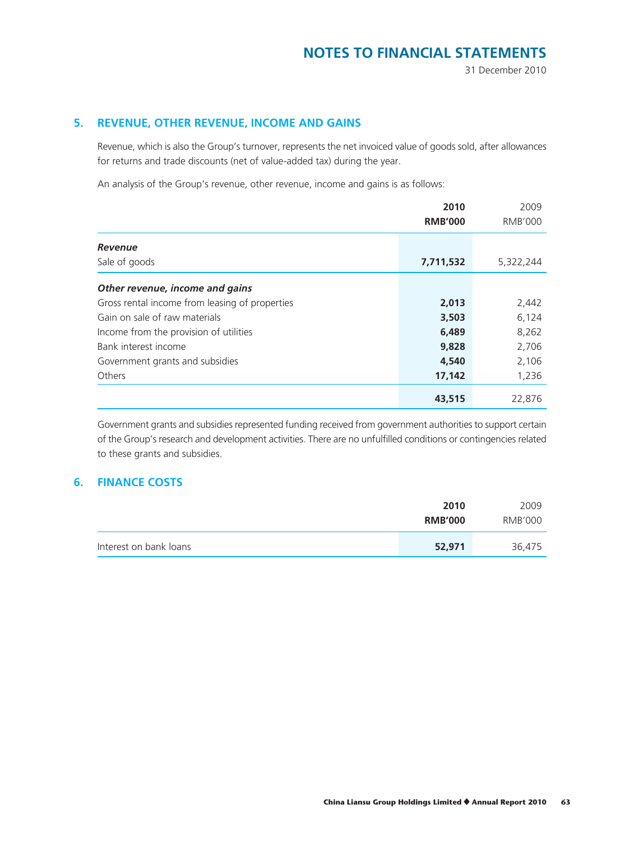### **5. REVENUE, OTHER REVENUE, INCOME AND GAINS**

Revenue, which is also the Group's turnover, represents the net invoiced value of goods sold, after allowances for returns and trade discounts (net of value-added tax) during the year.

An analysis of the Group's revenue, other revenue, income and gains is as follows:

|                                                | 2010<br><b>RMB'000</b> | 2009<br><b>RMB'000</b> |
|------------------------------------------------|------------------------|------------------------|
| Revenue                                        |                        |                        |
| Sale of goods                                  | 7,711,532              | 5,322,244              |
| Other revenue, income and gains                |                        |                        |
| Gross rental income from leasing of properties | 2,013                  | 2,442                  |
| Gain on sale of raw materials                  | 3,503                  | 6,124                  |
| Income from the provision of utilities         | 6,489                  | 8,262                  |
| Bank interest income                           | 9,828                  | 2,706                  |
| Government grants and subsidies                | 4,540                  | 2,106                  |
| Others                                         | 17,142                 | 1,236                  |
|                                                | 43,515                 | 22,876                 |

Government grants and subsidies represented funding received from government authorities to support certain of the Group's research and development activities. There are no unfulfilled conditions or contingencies related to these grants and subsidies.

## **6. FINANCE COSTS**

|                        | 2010           | 2009    |
|------------------------|----------------|---------|
|                        | <b>RMB'000</b> | RMB'000 |
| Interest on bank loans | 52,971         | 36,475  |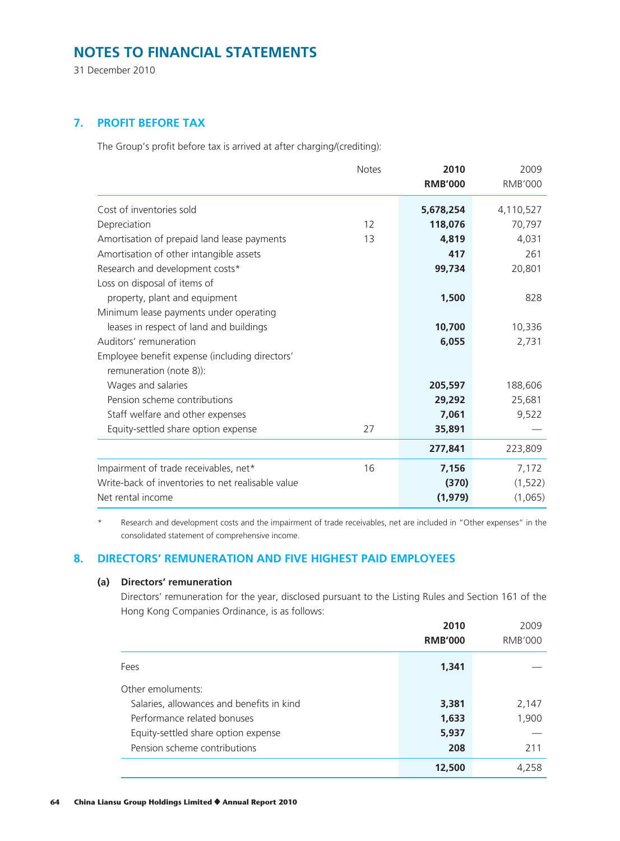31 December 2010

### **7. PROFIT BEFORE TAX**

The Group's profit before tax is arrived at after charging/(crediting):

|                                                   | <b>Notes</b> | 2010<br><b>RMB'000</b> | 2009<br><b>RMB'000</b> |
|---------------------------------------------------|--------------|------------------------|------------------------|
| Cost of inventories sold                          |              | 5,678,254              | 4,110,527              |
| Depreciation                                      | 12           | 118,076                | 70,797                 |
| Amortisation of prepaid land lease payments       | 13           | 4,819                  | 4,031                  |
| Amortisation of other intangible assets           |              | 417                    | 261                    |
| Research and development costs*                   |              | 99,734                 | 20,801                 |
| Loss on disposal of items of                      |              |                        |                        |
| property, plant and equipment                     |              | 1,500                  | 828                    |
| Minimum lease payments under operating            |              |                        |                        |
| leases in respect of land and buildings           |              | 10,700                 | 10,336                 |
| Auditors' remuneration                            |              | 6,055                  | 2,731                  |
| Employee benefit expense (including directors'    |              |                        |                        |
| remuneration (note 8)):                           |              |                        |                        |
| Wages and salaries                                |              | 205,597                | 188,606                |
| Pension scheme contributions                      |              | 29,292                 | 25,681                 |
| Staff welfare and other expenses                  |              | 7,061                  | 9,522                  |
| Equity-settled share option expense               | 27           | 35,891                 |                        |
|                                                   |              | 277,841                | 223,809                |
| Impairment of trade receivables, net*             | 16           | 7,156                  | 7,172                  |
| Write-back of inventories to net realisable value |              | (370)                  | (1,522)                |
| Net rental income                                 |              | (1, 979)               | (1,065)                |

\* Research and development costs and the impairment of trade receivables, net are included in "Other expenses" in the consolidated statement of comprehensive income.

### **8. DIRECTORS' REMUNERATION AND FIVE HIGHEST PAID EMPLOYEES**

### **(a) Directors' remuneration**

Directors' remuneration for the year, disclosed pursuant to the Listing Rules and Section 161 of the Hong Kong Companies Ordinance, is as follows:

|                                           | 2010<br><b>RMB'000</b> | 2009<br><b>RMB'000</b> |
|-------------------------------------------|------------------------|------------------------|
| Fees                                      | 1,341                  |                        |
| Other emoluments:                         |                        |                        |
| Salaries, allowances and benefits in kind | 3,381                  | 2,147                  |
| Performance related bonuses               | 1,633                  | 1,900                  |
| Equity-settled share option expense       | 5,937                  |                        |
| Pension scheme contributions              | 208                    | 211                    |
|                                           | 12,500                 | 4,258                  |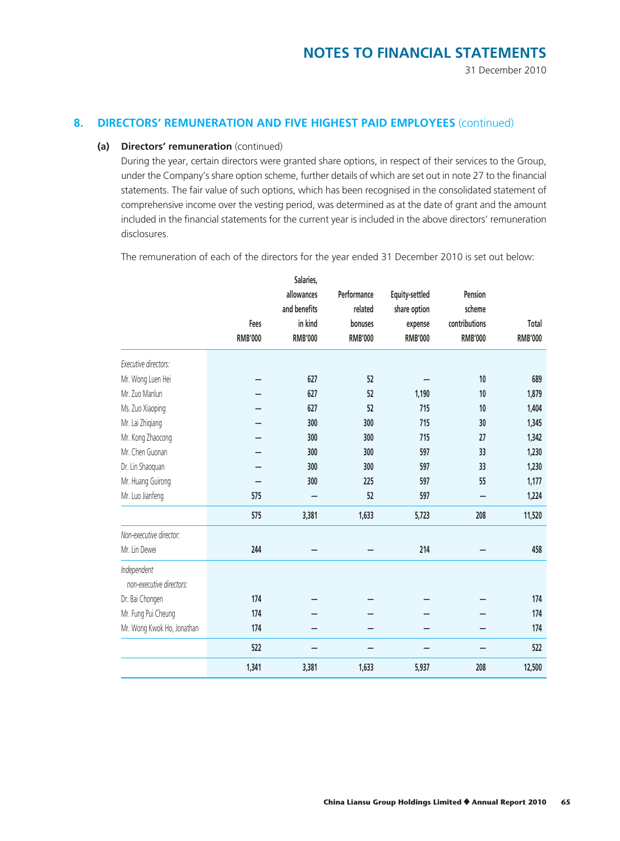31 December 2010

### **8. DIRECTORS' REMUNERATION AND FIVE HIGHEST PAID EMPLOYEES** (continued)

### **(a) Directors' remuneration** (continued)

During the year, certain directors were granted share options, in respect of their services to the Group, under the Company's share option scheme, further details of which are set out in note 27 to the financial statements. The fair value of such options, which has been recognised in the consolidated statement of comprehensive income over the vesting period, was determined as at the date of grant and the amount included in the financial statements for the current year is included in the above directors' remuneration disclosures.

The remuneration of each of the directors for the year ended 31 December 2010 is set out below:

|                            |                | Salaries,      |                |                |                |                |
|----------------------------|----------------|----------------|----------------|----------------|----------------|----------------|
|                            |                | allowances     | Performance    | Equity-settled | Pension        |                |
|                            |                | and benefits   | related        | share option   | scheme         |                |
|                            | Fees           | in kind        | bonuses        | expense        | contributions  | Total          |
|                            | <b>RMB'000</b> | <b>RMB'000</b> | <b>RMB'000</b> | <b>RMB'000</b> | <b>RMB'000</b> | <b>RMB'000</b> |
| Executive directors:       |                |                |                |                |                |                |
| Mr. Wong Luen Hei          |                | 627            | 52             |                | 10             | 689            |
| Mr. Zuo Manlun             |                | 627            | 52             | 1,190          | 10             | 1,879          |
| Ms. Zuo Xiaoping           |                | 627            | 52             | 715            | 10             | 1,404          |
| Mr. Lai Zhiqiang           |                | 300            | 300            | 715            | 30             | 1,345          |
| Mr. Kong Zhaocong          |                | 300            | 300            | 715            | 27             | 1,342          |
| Mr. Chen Guonan            |                | 300            | 300            | 597            | 33             | 1,230          |
| Dr. Lin Shaoquan           |                | 300            | 300            | 597            | 33             | 1,230          |
| Mr. Huang Guirong          |                | 300            | 225            | 597            | 55             | 1,177          |
| Mr. Luo Jianfeng           | 575            |                | 52             | 597            |                | 1,224          |
|                            | 575            | 3,381          | 1,633          | 5,723          | 208            | 11,520         |
| Non-executive director:    |                |                |                |                |                |                |
| Mr. Lin Dewei              | 244            |                |                | 214            |                | 458            |
| Independent                |                |                |                |                |                |                |
| non-executive directors:   |                |                |                |                |                |                |
| Dr. Bai Chongen            | 174            |                |                |                |                | 174            |
| Mr. Fung Pui Cheung        | 174            |                |                |                |                | 174            |
| Mr. Wong Kwok Ho, Jonathan | 174            |                |                |                |                | 174            |
|                            | 522            |                |                |                |                | 522            |
|                            | 1,341          | 3,381          | 1,633          | 5,937          | 208            | 12,500         |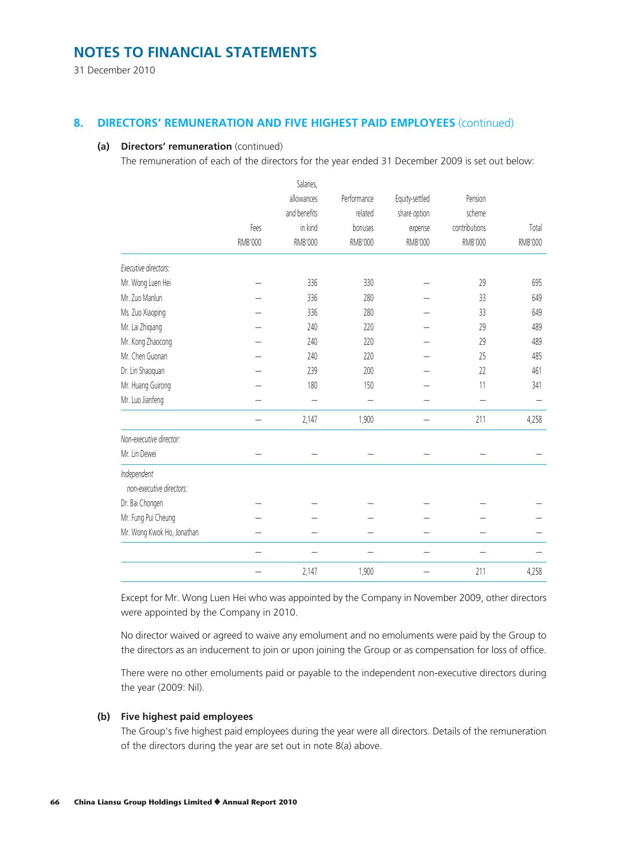31 December 2010

### **8. DIRECTORS' REMUNERATION AND FIVE HIGHEST PAID EMPLOYEES** (continued)

### **(a) Directors' remuneration** (continued)

The remuneration of each of the directors for the year ended 31 December 2009 is set out below:

|                            |                | Salaries,    |             |                |                |         |
|----------------------------|----------------|--------------|-------------|----------------|----------------|---------|
|                            |                | allowances   | Performance | Equity-settled | Pension        |         |
|                            |                | and benefits | related     | share option   | scheme         |         |
|                            | Fees           | in kind      | bonuses     | expense        | contributions  | Total   |
|                            | <b>RMB'000</b> | RMB'000      | RMB'000     | RMB'000        | <b>RMB'000</b> | RMB'000 |
| Executive directors:       |                |              |             |                |                |         |
| Mr. Wong Luen Hei          |                | 336          | 330         |                | 29             | 695     |
| Mr. Zuo Manlun             |                | 336          | 280         |                | 33             | 649     |
| Ms. Zuo Xiaoping           |                | 336          | 280         |                | 33             | 649     |
| Mr. Lai Zhiqiang           |                | 240          | 220         |                | 29             | 489     |
| Mr. Kong Zhaocong          |                | 240          | 220         |                | 29             | 489     |
| Mr. Chen Guonan            |                | 240          | 220         |                | 25             | 485     |
| Dr. Lin Shaoquan           |                | 239          | 200         |                | 22             | 461     |
| Mr. Huang Guirong          |                | 180          | 150         |                | 11             | 341     |
| Mr. Luo Jianfeng           |                |              |             |                |                |         |
|                            |                | 2,147        | 1,900       |                | 211            | 4,258   |
| Non-executive director:    |                |              |             |                |                |         |
| Mr. Lin Dewei              |                |              |             |                |                |         |
| Independent                |                |              |             |                |                |         |
| non-executive directors:   |                |              |             |                |                |         |
| Dr. Bai Chongen            |                |              |             |                |                |         |
| Mr. Fung Pui Cheung        |                |              |             |                |                |         |
| Mr. Wong Kwok Ho, Jonathan |                |              |             |                |                |         |
|                            |                |              |             |                |                |         |
|                            |                | 2,147        | 1,900       |                | 211            | 4,258   |

Except for Mr. Wong Luen Hei who was appointed by the Company in November 2009, other directors were appointed by the Company in 2010.

No director waived or agreed to waive any emolument and no emoluments were paid by the Group to the directors as an inducement to join or upon joining the Group or as compensation for loss of office.

There were no other emoluments paid or payable to the independent non-executive directors during the year (2009: Nil).

### **(b) Five highest paid employees**

The Group's five highest paid employees during the year were all directors. Details of the remuneration of the directors during the year are set out in note 8(a) above.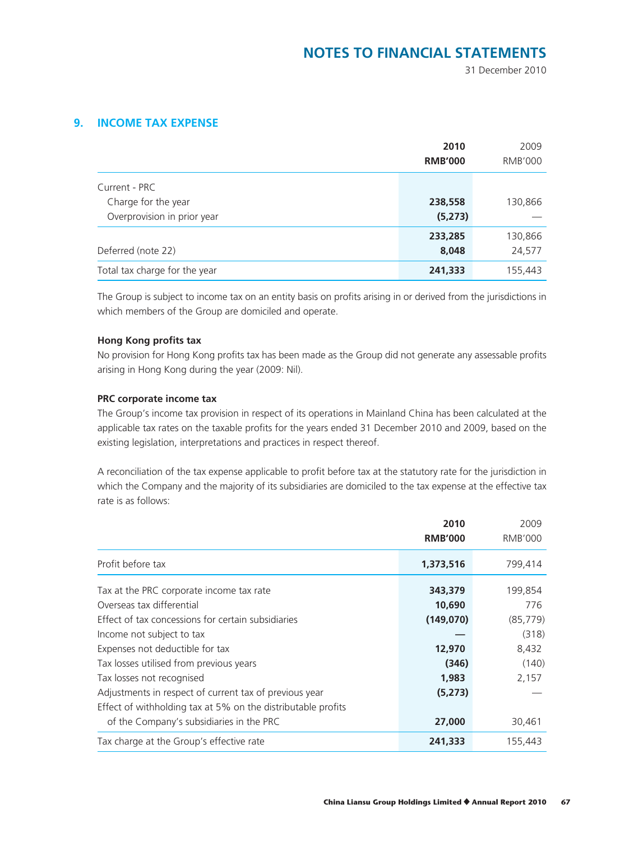### **9. INCOME TAX EXPENSE**

|                               | 2010<br><b>RMB'000</b> | 2009<br><b>RMB'000</b> |
|-------------------------------|------------------------|------------------------|
|                               |                        |                        |
| Current - PRC                 |                        |                        |
| Charge for the year           | 238,558                | 130,866                |
| Overprovision in prior year   | (5,273)                |                        |
|                               | 233,285                | 130,866                |
| Deferred (note 22)            | 8,048                  | 24,577                 |
| Total tax charge for the year | 241,333                | 155,443                |

The Group is subject to income tax on an entity basis on profits arising in or derived from the jurisdictions in which members of the Group are domiciled and operate.

### **Hong Kong profits tax**

No provision for Hong Kong profits tax has been made as the Group did not generate any assessable profits arising in Hong Kong during the year (2009: Nil).

### **PRC corporate income tax**

The Group's income tax provision in respect of its operations in Mainland China has been calculated at the applicable tax rates on the taxable profits for the years ended 31 December 2010 and 2009, based on the existing legislation, interpretations and practices in respect thereof.

A reconciliation of the tax expense applicable to profit before tax at the statutory rate for the jurisdiction in which the Company and the majority of its subsidiaries are domiciled to the tax expense at the effective tax rate is as follows:

|                                                                                                                                                                    | 2010<br><b>RMB'000</b> | 2009<br><b>RMB'000</b> |
|--------------------------------------------------------------------------------------------------------------------------------------------------------------------|------------------------|------------------------|
| Profit before tax                                                                                                                                                  | 1,373,516              | 799,414                |
| Tax at the PRC corporate income tax rate<br>Overseas tax differential                                                                                              | 343,379<br>10,690      | 199,854<br>776         |
| Effect of tax concessions for certain subsidiaries<br>Income not subject to tax                                                                                    | (149,070)              | (85, 779)<br>(318)     |
| Expenses not deductible for tax<br>Tax losses utilised from previous years                                                                                         | 12,970<br>(346)        | 8,432<br>(140)         |
| Tax losses not recognised                                                                                                                                          | 1,983                  | 2,157                  |
| Adjustments in respect of current tax of previous year<br>Effect of withholding tax at 5% on the distributable profits<br>of the Company's subsidiaries in the PRC | (5,273)<br>27,000      | 30,461                 |
| Tax charge at the Group's effective rate                                                                                                                           | 241,333                | 155,443                |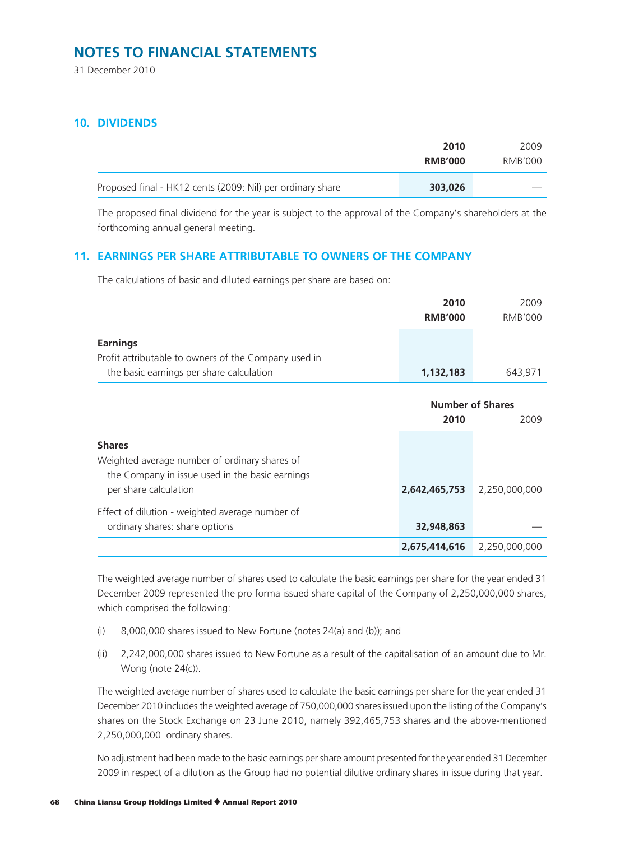31 December 2010

## **10. DIVIDENDS**

|                                                            | 2010<br><b>RMB'000</b> | 2009<br>RMB'000 |
|------------------------------------------------------------|------------------------|-----------------|
| Proposed final - HK12 cents (2009: Nil) per ordinary share | 303,026                |                 |

The proposed final dividend for the year is subject to the approval of the Company's shareholders at the forthcoming annual general meeting.

## **11. EARNINGS PER SHARE ATTRIBUTABLE TO OWNERS OF THE COMPANY**

The calculations of basic and diluted earnings per share are based on:

|                                                      | 2010           | 2009    |
|------------------------------------------------------|----------------|---------|
|                                                      | <b>RMB'000</b> | RMB'000 |
| <b>Earnings</b>                                      |                |         |
| Profit attributable to owners of the Company used in |                |         |
| the basic earnings per share calculation             | 1,132,183      | 643,971 |

|                                                 | <b>Number of Shares</b> |               |  |
|-------------------------------------------------|-------------------------|---------------|--|
|                                                 | 2010                    | 2009          |  |
| <b>Shares</b>                                   |                         |               |  |
| Weighted average number of ordinary shares of   |                         |               |  |
| the Company in issue used in the basic earnings |                         |               |  |
| per share calculation                           | 2,642,465,753           | 2,250,000,000 |  |
| Effect of dilution - weighted average number of |                         |               |  |
| ordinary shares: share options                  | 32,948,863              |               |  |
|                                                 | 2,675,414,616           | 2,250,000,000 |  |

The weighted average number of shares used to calculate the basic earnings per share for the year ended 31 December 2009 represented the pro forma issued share capital of the Company of 2,250,000,000 shares, which comprised the following:

- (i) 8,000,000 shares issued to New Fortune (notes 24(a) and (b)); and
- (ii) 2,242,000,000 shares issued to New Fortune as a result of the capitalisation of an amount due to Mr. Wong (note 24(c)).

The weighted average number of shares used to calculate the basic earnings per share for the year ended 31 December 2010 includes the weighted average of 750,000,000 shares issued upon the listing of the Company's shares on the Stock Exchange on 23 June 2010, namely 392,465,753 shares and the above-mentioned 2,250,000,000 ordinary shares.

No adjustment had been made to the basic earnings per share amount presented for the year ended 31 December 2009 in respect of a dilution as the Group had no potential dilutive ordinary shares in issue during that year.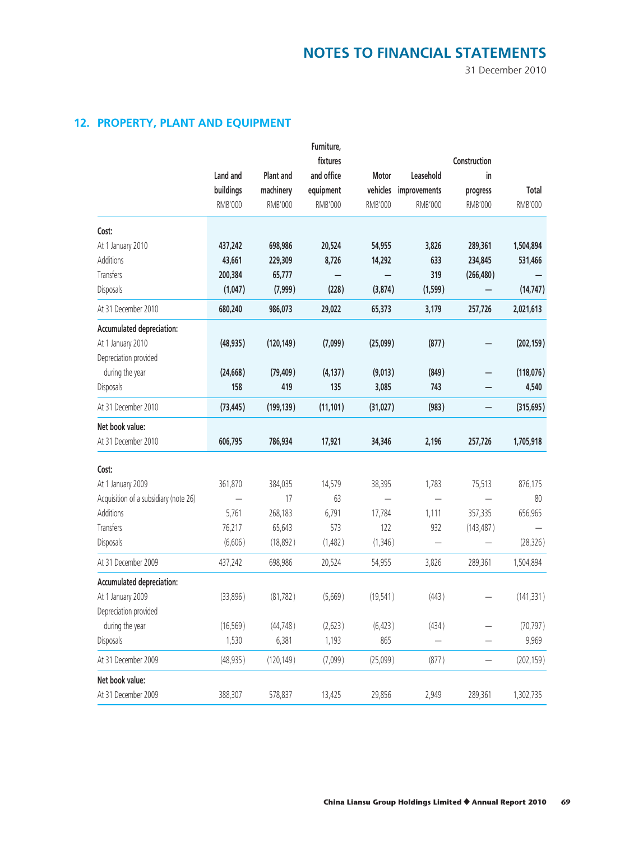31 December 2010

## **12. PROPERTY, PLANT AND EQUIPMENT**

|                                       |           |                | Furniture,             |                          |                |                    |                |
|---------------------------------------|-----------|----------------|------------------------|--------------------------|----------------|--------------------|----------------|
|                                       | Land and  | Plant and      | fixtures<br>and office | <b>Motor</b>             | Leasehold      | Construction<br>in |                |
|                                       | buildings | machinery      | equipment              | vehicles                 | improvements   | progress           | Total          |
|                                       | RMB'000   | <b>RMB'000</b> | RMB'000                | <b>RMB'000</b>           | <b>RMB'000</b> | <b>RMB'000</b>     | <b>RMB'000</b> |
| Cost:                                 |           |                |                        |                          |                |                    |                |
| At 1 January 2010                     | 437,242   | 698,986        | 20,524                 | 54,955                   | 3,826          | 289,361            | 1,504,894      |
| Additions                             | 43,661    | 229,309        | 8,726                  | 14,292                   | 633            | 234,845            | 531,466        |
| Transfers                             | 200,384   | 65,777         |                        |                          | 319            | (266, 480)         |                |
| Disposals                             | (1,047)   | (7,999)        | (228)                  | (3,874)                  | (1,599)        |                    | (14, 747)      |
| At 31 December 2010                   | 680,240   | 986,073        | 29,022                 | 65,373                   | 3,179          | 257,726            | 2,021,613      |
| <b>Accumulated depreciation:</b>      |           |                |                        |                          |                |                    |                |
| At 1 January 2010                     | (48, 935) | (120, 149)     | (7,099)                | (25,099)                 | (877)          |                    | (202, 159)     |
| Depreciation provided                 |           |                |                        |                          |                |                    |                |
| during the year                       | (24, 668) | (79, 409)      | (4, 137)               | (9,013)                  | (849)          |                    | (118,076)      |
| Disposals                             | 158       | 419            | 135                    | 3,085                    | 743            |                    | 4,540          |
| At 31 December 2010                   | (73, 445) | (199, 139)     | (11, 101)              | (31, 027)                | (983)          |                    | (315, 695)     |
| Net book value:                       |           |                |                        |                          |                |                    |                |
| At 31 December 2010                   | 606,795   | 786,934        | 17,921                 | 34,346                   | 2,196          | 257,726            | 1,705,918      |
| Cost:                                 |           |                |                        |                          |                |                    |                |
| At 1 January 2009                     | 361,870   | 384,035        | 14,579                 | 38,395                   | 1,783          | 75,513             | 876,175        |
| Acquisition of a subsidiary (note 26) |           | 17             | 63                     | $\overline{\phantom{0}}$ |                |                    | 80             |
| Additions                             | 5,761     | 268,183        | 6,791                  | 17,784                   | 1,111          | 357,335            | 656,965        |
| Transfers                             | 76,217    | 65,643         | 573                    | 122                      | 932            | (143, 487)         |                |
| Disposals                             | (6,606)   | (18, 892)      | (1,482)                | (1, 346)                 |                |                    | (28, 326)      |
| At 31 December 2009                   | 437,242   | 698,986        | 20,524                 | 54,955                   | 3,826          | 289,361            | 1,504,894      |
| <b>Accumulated depreciation:</b>      |           |                |                        |                          |                |                    |                |
| At 1 January 2009                     | (33,896)  | (81, 782)      | (5,669)                | (19, 541)                | (443)          |                    | (141, 331)     |
| Depreciation provided                 |           |                |                        |                          |                |                    |                |
| during the year                       | (16, 569) | (44, 748)      | (2,623)                | (6, 423)                 | (434)          |                    | (70, 797)      |
| <b>Disposals</b>                      | 1,530     | 6,381          | 1,193                  | 865                      |                |                    | 9,969          |
| At 31 December 2009                   | (48, 935) | (120, 149)     | (7,099)                | (25,099)                 | (877)          | -                  | (202, 159)     |
| Net book value:                       |           |                |                        |                          |                |                    |                |
| At 31 December 2009                   | 388,307   | 578,837        | 13,425                 | 29,856                   | 2,949          | 289,361            | 1,302,735      |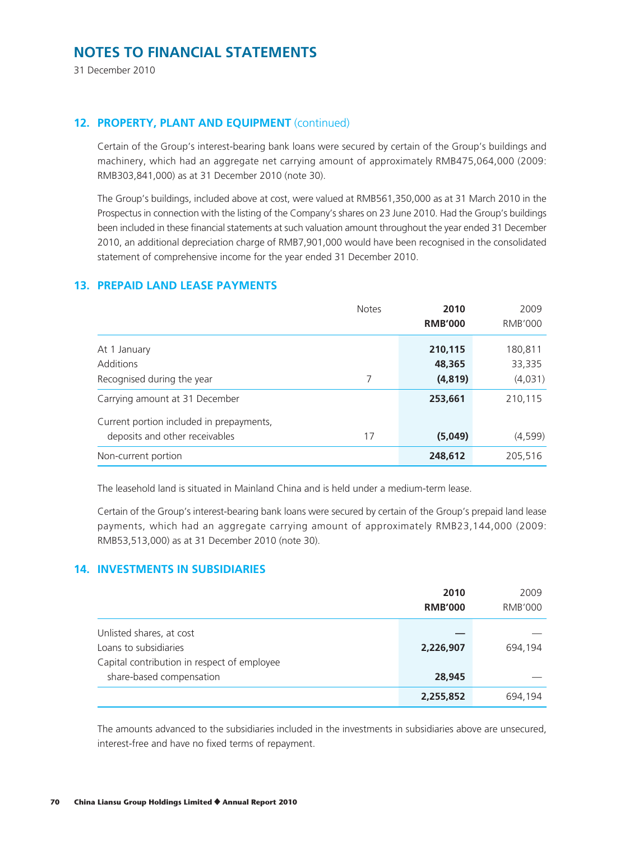31 December 2010

### **12. PROPERTY, PLANT AND EQUIPMENT** (continued)

Certain of the Group's interest-bearing bank loans were secured by certain of the Group's buildings and machinery, which had an aggregate net carrying amount of approximately RMB475,064,000 (2009: RMB303,841,000) as at 31 December 2010 (note 30).

The Group's buildings, included above at cost, were valued at RMB561,350,000 as at 31 March 2010 in the Prospectus in connection with the listing of the Company's shares on 23 June 2010. Had the Group's buildings been included in these financial statements at such valuation amount throughout the year ended 31 December 2010, an additional depreciation charge of RMB7,901,000 would have been recognised in the consolidated statement of comprehensive income for the year ended 31 December 2010.

### **13. PREPAID LAND LEASE PAYMENTS**

|                                          | <b>Notes</b> | 2010           | 2009           |
|------------------------------------------|--------------|----------------|----------------|
|                                          |              | <b>RMB'000</b> | <b>RMB'000</b> |
| At 1 January                             |              | 210,115        | 180,811        |
| Additions                                |              | 48,365         | 33,335         |
| Recognised during the year               | 7            | (4,819)        | (4,031)        |
| Carrying amount at 31 December           |              | 253,661        | 210,115        |
| Current portion included in prepayments, |              |                |                |
| deposits and other receivables           | 17           | (5,049)        | (4,599)        |
| Non-current portion                      |              | 248,612        | 205,516        |

The leasehold land is situated in Mainland China and is held under a medium-term lease.

Certain of the Group's interest-bearing bank loans were secured by certain of the Group's prepaid land lease payments, which had an aggregate carrying amount of approximately RMB23,144,000 (2009: RMB53,513,000) as at 31 December 2010 (note 30).

### **14. INVESTMENTS IN SUBSIDIARIES**

|                                             | 2010           | 2009           |
|---------------------------------------------|----------------|----------------|
|                                             | <b>RMB'000</b> | <b>RMB'000</b> |
| Unlisted shares, at cost                    |                |                |
| Loans to subsidiaries                       | 2,226,907      | 694,194        |
| Capital contribution in respect of employee |                |                |
| share-based compensation                    | 28,945         |                |
|                                             | 2,255,852      | 694,194        |

The amounts advanced to the subsidiaries included in the investments in subsidiaries above are unsecured, interest-free and have no fixed terms of repayment.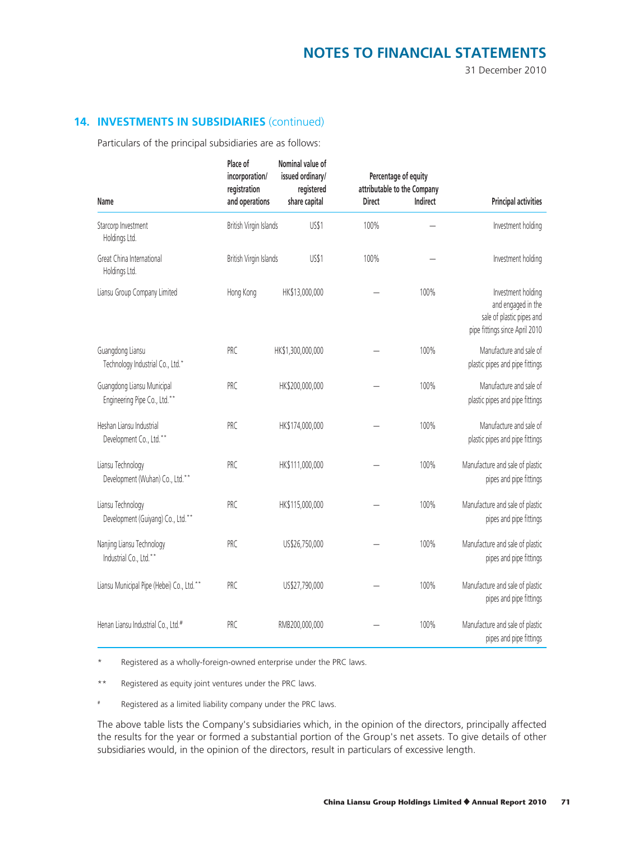## **14. INVESTMENTS IN SUBSIDIARIES** (continued)

Particulars of the principal subsidiaries are as follows:

|                                                            | Place of<br>incorporation/<br>registration | Nominal value of<br>issued ordinary/<br>registered |               | Percentage of equity<br>attributable to the Company |                                                                                                         |
|------------------------------------------------------------|--------------------------------------------|----------------------------------------------------|---------------|-----------------------------------------------------|---------------------------------------------------------------------------------------------------------|
| Name                                                       | and operations                             | share capital                                      | <b>Direct</b> | Indirect                                            | <b>Principal activities</b>                                                                             |
| Starcorp Investment<br>Holdings Ltd.                       | British Virgin Islands                     | <b>US\$1</b>                                       | 100%          |                                                     | Investment holding                                                                                      |
| Great China International<br>Holdings Ltd.                 | British Virgin Islands                     | <b>US\$1</b>                                       | 100%          |                                                     | Investment holding                                                                                      |
| Liansu Group Company Limited                               | Hong Kong                                  | HK\$13,000,000                                     |               | 100%                                                | Investment holding<br>and engaged in the<br>sale of plastic pipes and<br>pipe fittings since April 2010 |
| Guangdong Liansu<br>Technology Industrial Co., Ltd.*       | PRC                                        | HK\$1,300,000,000                                  |               | 100%                                                | Manufacture and sale of<br>plastic pipes and pipe fittings                                              |
| Guangdong Liansu Municipal<br>Engineering Pipe Co., Ltd.** | PRC                                        | HK\$200,000,000                                    |               | 100%                                                | Manufacture and sale of<br>plastic pipes and pipe fittings                                              |
| Heshan Liansu Industrial<br>Development Co., Ltd.**        | PRC                                        | HK\$174,000,000                                    |               | 100%                                                | Manufacture and sale of<br>plastic pipes and pipe fittings                                              |
| Liansu Technology<br>Development (Wuhan) Co., Ltd.**       | PRC                                        | HK\$111,000,000                                    |               | 100%                                                | Manufacture and sale of plastic<br>pipes and pipe fittings                                              |
| Liansu Technology<br>Development (Guiyang) Co., Ltd.**     | <b>PRC</b>                                 | HK\$115,000,000                                    |               | 100%                                                | Manufacture and sale of plastic<br>pipes and pipe fittings                                              |
| Nanjing Liansu Technology<br>Industrial Co., Ltd.**        | <b>PRC</b>                                 | US\$26,750,000                                     |               | 100%                                                | Manufacture and sale of plastic<br>pipes and pipe fittings                                              |
| Liansu Municipal Pipe (Hebei) Co., Ltd.**                  | PRC                                        | US\$27,790,000                                     |               | 100%                                                | Manufacture and sale of plastic<br>pipes and pipe fittings                                              |
| Henan Liansu Industrial Co., Ltd.#                         | PRC                                        | RMB200,000,000                                     |               | 100%                                                | Manufacture and sale of plastic<br>pipes and pipe fittings                                              |

\* Registered as a wholly-foreign-owned enterprise under the PRC laws.

\*\* Registered as equity joint ventures under the PRC laws.

# Registered as a limited liability company under the PRC laws.

The above table lists the Company's subsidiaries which, in the opinion of the directors, principally affected the results for the year or formed a substantial portion of the Group's net assets. To give details of other subsidiaries would, in the opinion of the directors, result in particulars of excessive length.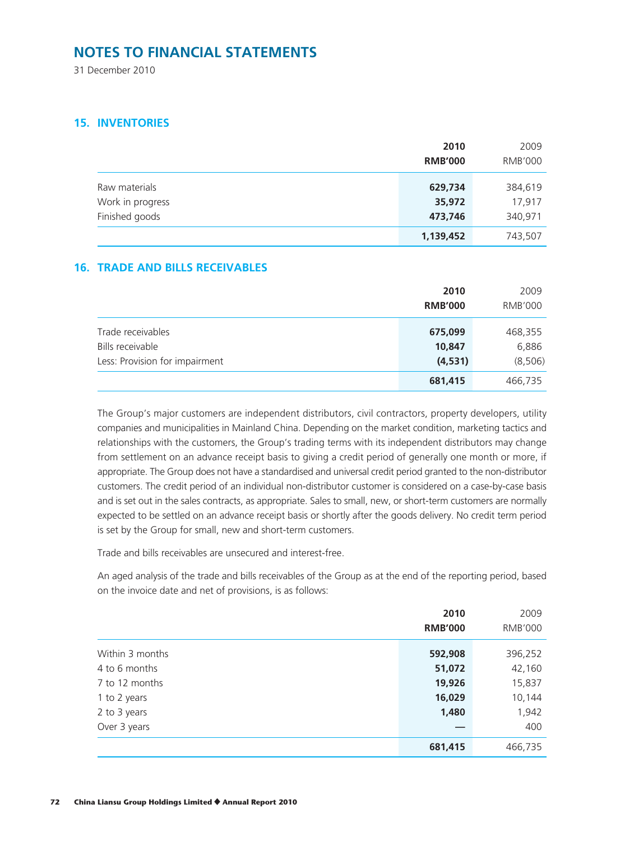31 December 2010

# **15. INVENTORIES**

|                                   | 2010              | 2009              |
|-----------------------------------|-------------------|-------------------|
|                                   | <b>RMB'000</b>    | <b>RMB'000</b>    |
| Raw materials<br>Work in progress | 629,734<br>35,972 | 384,619<br>17,917 |
| Finished goods                    | 473,746           | 340,971           |
|                                   | 1,139,452         | 743,507           |

## **16. TRADE AND BILLS RECEIVABLES**

|                                                                         | 2010<br><b>RMB'000</b>        | 2009<br><b>RMB'000</b>      |
|-------------------------------------------------------------------------|-------------------------------|-----------------------------|
| Trade receivables<br>Bills receivable<br>Less: Provision for impairment | 675,099<br>10,847<br>(4, 531) | 468,355<br>6,886<br>(8,506) |
|                                                                         | 681,415                       | 466,735                     |

The Group's major customers are independent distributors, civil contractors, property developers, utility companies and municipalities in Mainland China. Depending on the market condition, marketing tactics and relationships with the customers, the Group's trading terms with its independent distributors may change from settlement on an advance receipt basis to giving a credit period of generally one month or more, if appropriate. The Group does not have a standardised and universal credit period granted to the non-distributor customers. The credit period of an individual non-distributor customer is considered on a case-by-case basis and is set out in the sales contracts, as appropriate. Sales to small, new, or short-term customers are normally expected to be settled on an advance receipt basis or shortly after the goods delivery. No credit term period is set by the Group for small, new and short-term customers.

Trade and bills receivables are unsecured and interest-free.

An aged analysis of the trade and bills receivables of the Group as at the end of the reporting period, based on the invoice date and net of provisions, is as follows:

|                 | 2010<br><b>RMB'000</b> | 2009<br><b>RMB'000</b> |
|-----------------|------------------------|------------------------|
| Within 3 months | 592,908                | 396,252                |
| 4 to 6 months   | 51,072                 | 42,160                 |
| 7 to 12 months  | 19,926                 | 15,837                 |
| 1 to 2 years    | 16,029                 | 10,144                 |
| 2 to 3 years    | 1,480                  | 1,942                  |
| Over 3 years    |                        | 400                    |
|                 | 681,415                | 466,735                |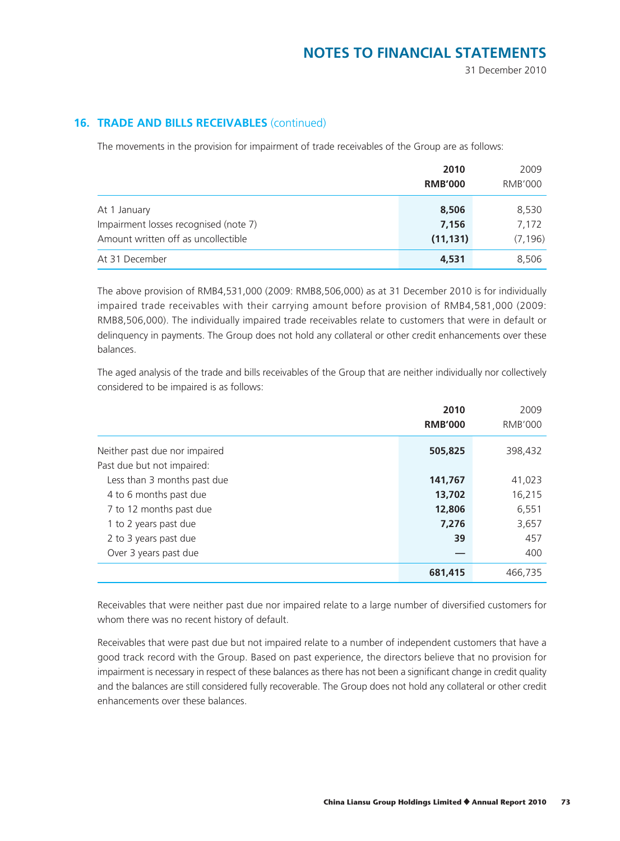## **16. TRADE AND BILLS RECEIVABLES** (continued)

The movements in the provision for impairment of trade receivables of the Group are as follows:

|                                       | 2010           | 2009           |
|---------------------------------------|----------------|----------------|
|                                       | <b>RMB'000</b> | <b>RMB'000</b> |
| At 1 January                          | 8,506          | 8,530          |
| Impairment losses recognised (note 7) | 7,156          | 7,172          |
| Amount written off as uncollectible   | (11, 131)      | (7, 196)       |
| At 31 December                        | 4,531          | 8,506          |

The above provision of RMB4,531,000 (2009: RMB8,506,000) as at 31 December 2010 is for individually impaired trade receivables with their carrying amount before provision of RMB4,581,000 (2009: RMB8,506,000). The individually impaired trade receivables relate to customers that were in default or delinquency in payments. The Group does not hold any collateral or other credit enhancements over these balances.

The aged analysis of the trade and bills receivables of the Group that are neither individually nor collectively considered to be impaired is as follows:

|                               | 2010<br><b>RMB'000</b> | 2009<br><b>RMB'000</b> |
|-------------------------------|------------------------|------------------------|
| Neither past due nor impaired | 505,825                | 398,432                |
| Past due but not impaired:    |                        |                        |
| Less than 3 months past due   | 141,767                | 41,023                 |
| 4 to 6 months past due        | 13,702                 | 16,215                 |
| 7 to 12 months past due       | 12,806                 | 6,551                  |
| 1 to 2 years past due         | 7.276                  | 3,657                  |
| 2 to 3 years past due         | 39                     | 457                    |
| Over 3 years past due         |                        | 400                    |
|                               | 681,415                | 466.735                |

Receivables that were neither past due nor impaired relate to a large number of diversified customers for whom there was no recent history of default.

Receivables that were past due but not impaired relate to a number of independent customers that have a good track record with the Group. Based on past experience, the directors believe that no provision for impairment is necessary in respect of these balances as there has not been a significant change in credit quality and the balances are still considered fully recoverable. The Group does not hold any collateral or other credit enhancements over these balances.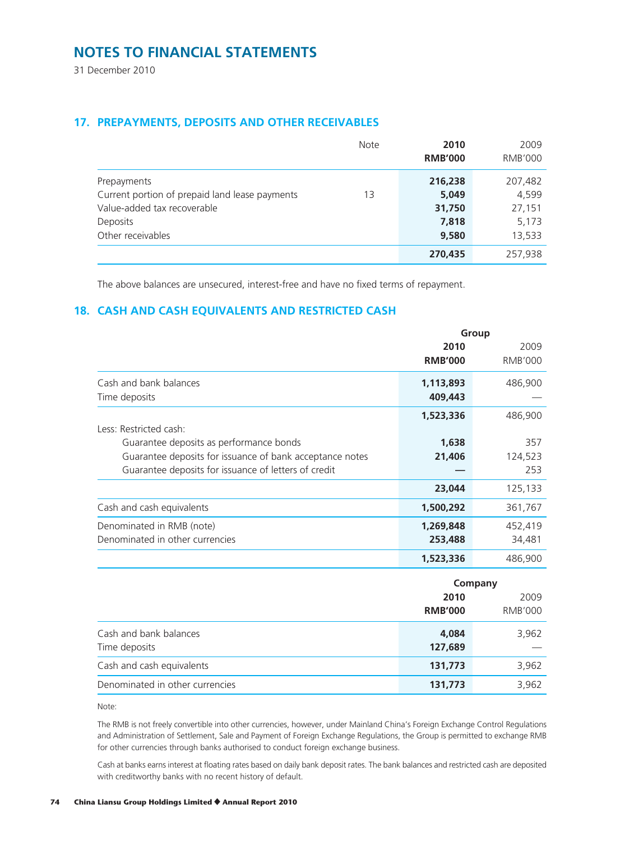31 December 2010

# **17. PREPAYMENTS, DEPOSITS AND OTHER RECEIVABLES**

|                                                | <b>Note</b> | 2010<br><b>RMB'000</b> | 2009<br><b>RMB'000</b> |
|------------------------------------------------|-------------|------------------------|------------------------|
| Prepayments                                    |             | 216,238                | 207,482                |
| Current portion of prepaid land lease payments | 13          | 5,049                  | 4,599                  |
| Value-added tax recoverable                    |             | 31,750                 | 27,151                 |
| Deposits                                       |             | 7,818                  | 5,173                  |
| Other receivables                              |             | 9,580                  | 13,533                 |
|                                                |             | 270,435                | 257.938                |

The above balances are unsecured, interest-free and have no fixed terms of repayment.

## **18. CASH AND CASH EQUIVALENTS AND RESTRICTED CASH**

|                                                          | Group          |                |
|----------------------------------------------------------|----------------|----------------|
|                                                          | 2010           | 2009           |
|                                                          | <b>RMB'000</b> | <b>RMB'000</b> |
| Cash and bank balances                                   | 1,113,893      | 486,900        |
| Time deposits                                            | 409,443        |                |
|                                                          | 1,523,336      | 486,900        |
| Less: Restricted cash:                                   |                |                |
| Guarantee deposits as performance bonds                  | 1,638          | 357            |
| Guarantee deposits for issuance of bank acceptance notes | 21,406         | 124,523        |
| Guarantee deposits for issuance of letters of credit     |                | 253            |
|                                                          | 23,044         | 125,133        |
| Cash and cash equivalents                                | 1,500,292      | 361,767        |
| Denominated in RMB (note)                                | 1,269,848      | 452,419        |
| Denominated in other currencies                          | 253,488        | 34,481         |
|                                                          | 1,523,336      | 486,900        |
|                                                          |                | Company        |
|                                                          | 2010           | 2009           |
|                                                          | <b>RMB'000</b> | <b>RMB'000</b> |
| Cash and bank balances                                   | 4,084          | 3,962          |
|                                                          |                |                |

Time deposits **127,689 127,689** Cash and cash equivalents **131,773** 3,962 Denominated in other currencies **131,773** 3,962

Note:

The RMB is not freely convertible into other currencies, however, under Mainland China's Foreign Exchange Control Regulations and Administration of Settlement, Sale and Payment of Foreign Exchange Regulations, the Group is permitted to exchange RMB for other currencies through banks authorised to conduct foreign exchange business.

Cash at banks earns interest at floating rates based on daily bank deposit rates. The bank balances and restricted cash are deposited with creditworthy banks with no recent history of default.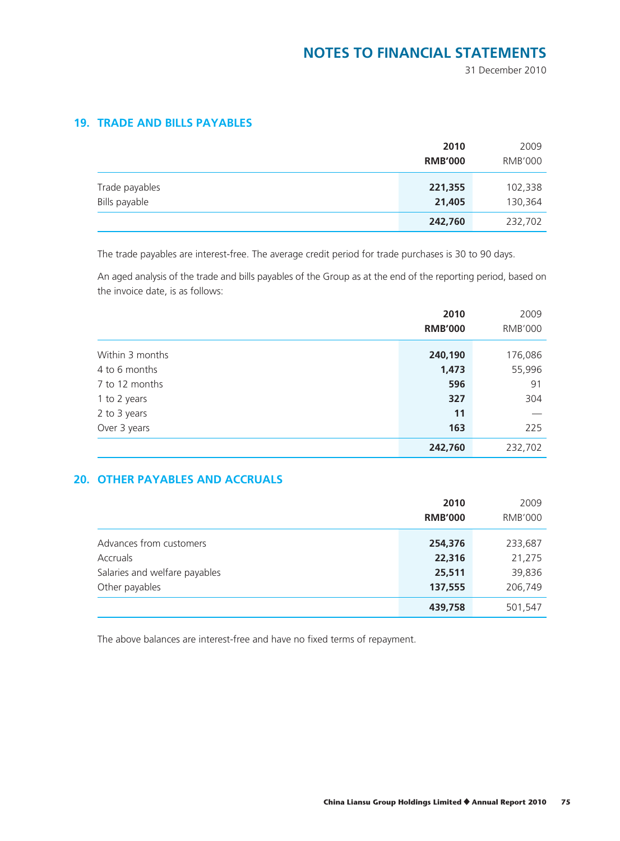## **19. TRADE AND BILLS PAYABLES**

|                | 2010<br><b>RMB'000</b> | 2009<br><b>RMB'000</b> |
|----------------|------------------------|------------------------|
| Trade payables | 221,355                | 102,338                |
| Bills payable  | 21,405                 | 130,364                |
|                | 242,760                | 232,702                |

The trade payables are interest-free. The average credit period for trade purchases is 30 to 90 days.

An aged analysis of the trade and bills payables of the Group as at the end of the reporting period, based on the invoice date, is as follows:

|                 | 2010           | 2009           |
|-----------------|----------------|----------------|
|                 | <b>RMB'000</b> | <b>RMB'000</b> |
| Within 3 months | 240,190        | 176,086        |
| 4 to 6 months   | 1,473          | 55,996         |
| 7 to 12 months  | 596            | 91             |
| 1 to 2 years    | 327            | 304            |
| 2 to 3 years    | 11             |                |
| Over 3 years    | 163            | 225            |
|                 | 242,760        | 232,702        |

## **20. OTHER PAYABLES AND ACCRUALS**

|                               | 2010<br><b>RMB'000</b> | 2009<br><b>RMB'000</b> |
|-------------------------------|------------------------|------------------------|
| Advances from customers       | 254,376                | 233,687                |
| Accruals                      | 22,316                 | 21,275                 |
| Salaries and welfare payables | 25,511                 | 39,836                 |
| Other payables                | 137,555                | 206,749                |
|                               | 439,758                | 501,547                |

The above balances are interest-free and have no fixed terms of repayment.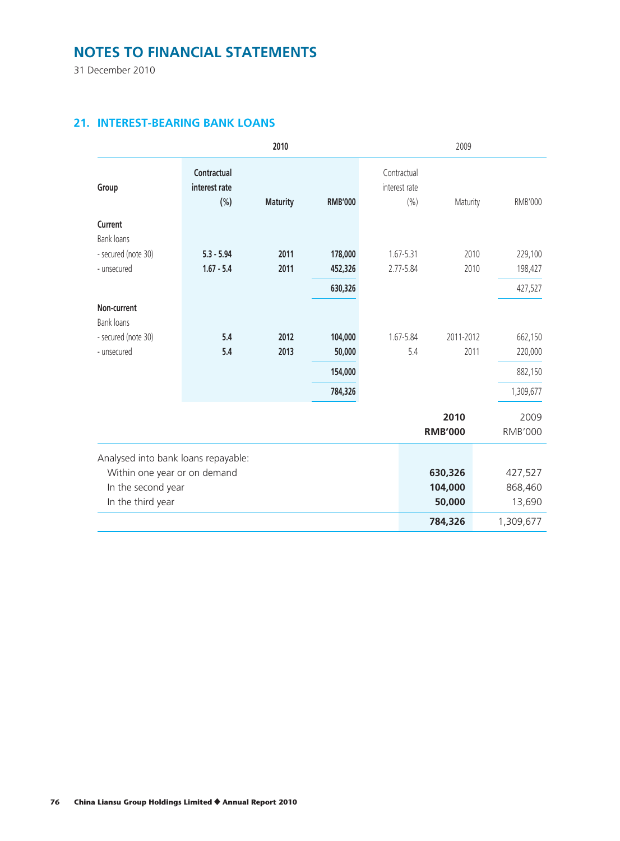31 December 2010

# **21. INTEREST-BEARING BANK LOANS**

|                                     |                                         | 2010            |                |                                      | 2009                   |                        |
|-------------------------------------|-----------------------------------------|-----------------|----------------|--------------------------------------|------------------------|------------------------|
| Group                               | Contractual<br>interest rate<br>$(\% )$ | <b>Maturity</b> | <b>RMB'000</b> | Contractual<br>interest rate<br>(% ) | Maturity               | <b>RMB'000</b>         |
| Current<br><b>Bank loans</b>        |                                         |                 |                |                                      |                        |                        |
| - secured (note 30)                 | $5.3 - 5.94$                            | 2011            | 178,000        | 1.67-5.31                            | 2010                   | 229,100                |
| - unsecured                         | $1.67 - 5.4$                            | 2011            | 452,326        | 2.77-5.84                            | 2010                   | 198,427                |
|                                     |                                         |                 | 630,326        |                                      |                        | 427,527                |
| Non-current<br>Bank loans           |                                         |                 |                |                                      |                        |                        |
| - secured (note 30)                 | 5.4                                     | 2012            | 104,000        | 1.67-5.84                            | 2011-2012              | 662,150                |
| - unsecured                         | 5.4                                     | 2013            | 50,000         | 5.4                                  | 2011                   | 220,000                |
|                                     |                                         |                 | 154,000        |                                      |                        | 882,150                |
|                                     |                                         |                 | 784,326        |                                      |                        | 1,309,677              |
|                                     |                                         |                 |                |                                      | 2010<br><b>RMB'000</b> | 2009<br><b>RMB'000</b> |
| Analysed into bank loans repayable: |                                         |                 |                |                                      |                        |                        |
| Within one year or on demand        |                                         |                 |                |                                      | 630,326                | 427,527                |
| In the second year                  |                                         |                 |                |                                      | 104,000                | 868,460                |
| In the third year                   |                                         |                 |                |                                      | 50,000                 | 13,690                 |
|                                     |                                         |                 |                |                                      | 784,326                | 1,309,677              |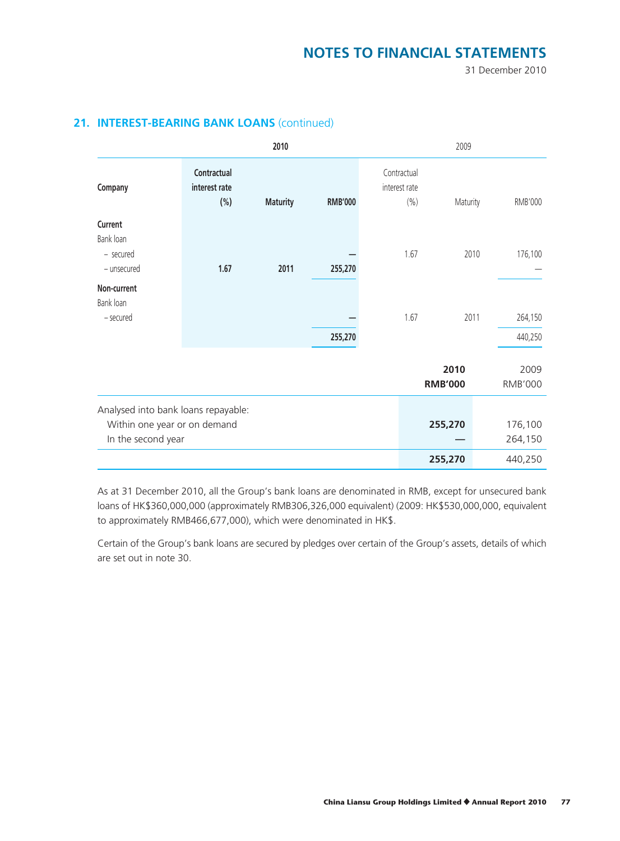31 December 2010

|                                                                                           |                                         | 2010            |                |                                      | 2009                   |                        |
|-------------------------------------------------------------------------------------------|-----------------------------------------|-----------------|----------------|--------------------------------------|------------------------|------------------------|
| Company                                                                                   | Contractual<br>interest rate<br>$(\% )$ | <b>Maturity</b> | <b>RMB'000</b> | Contractual<br>interest rate<br>(% ) | Maturity               | <b>RMB'000</b>         |
| Current<br>Bank loan<br>- secured<br>- unsecured                                          | 1.67                                    | 2011            | 255,270        | 1.67                                 | 2010                   | 176,100                |
| Non-current<br>Bank loan<br>- secured                                                     |                                         |                 | 255,270        | 1.67                                 | 2011                   | 264,150<br>440,250     |
|                                                                                           |                                         |                 |                |                                      | 2010<br><b>RMB'000</b> | 2009<br><b>RMB'000</b> |
| Analysed into bank loans repayable:<br>Within one year or on demand<br>In the second year |                                         |                 |                |                                      | 255,270                | 176,100<br>264,150     |
|                                                                                           |                                         |                 |                |                                      | 255,270                | 440,250                |

# **21. INTEREST-BEARING BANK LOANS** (continued)

As at 31 December 2010, all the Group's bank loans are denominated in RMB, except for unsecured bank loans of HK\$360,000,000 (approximately RMB306,326,000 equivalent) (2009: HK\$530,000,000, equivalent to approximately RMB466,677,000), which were denominated in HK\$.

Certain of the Group's bank loans are secured by pledges over certain of the Group's assets, details of which are set out in note 30.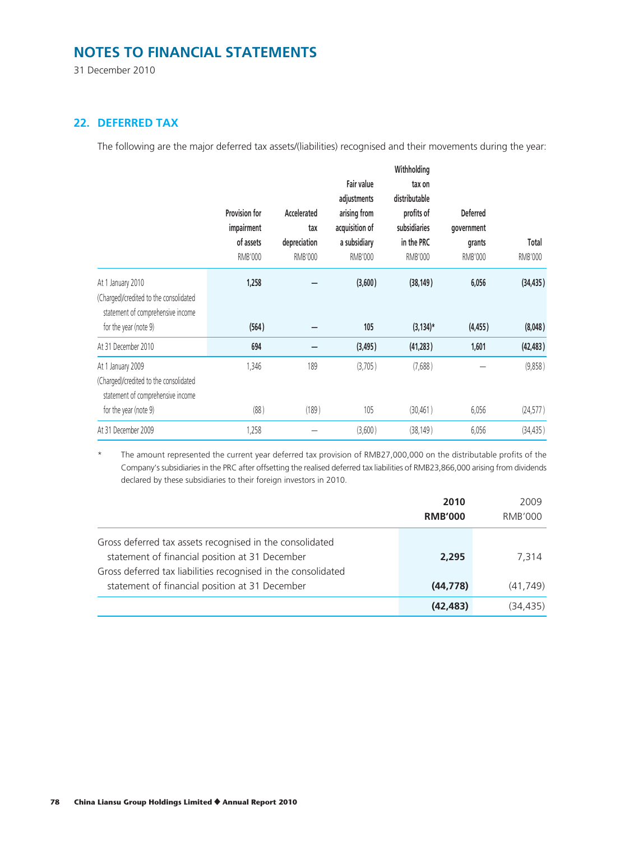31 December 2010

## **22. DEFERRED TAX**

The following are the major deferred tax assets/(liabilities) recognised and their movements during the year:

|                                                                                                  | <b>Provision for</b><br>impairment<br>of assets<br>RMB'000 | Accelerated<br>tax<br>depreciation<br><b>RMB'000</b> | Fair value<br>adjustments<br>arising from<br>acquisition of<br>a subsidiary<br><b>RMB'000</b> | Withholding<br>tax on<br>distributable<br>profits of<br>subsidiaries<br>in the PRC<br><b>RMB'000</b> | <b>Deferred</b><br>government<br>grants<br><b>RMB'000</b> | Total<br><b>RMB'000</b> |
|--------------------------------------------------------------------------------------------------|------------------------------------------------------------|------------------------------------------------------|-----------------------------------------------------------------------------------------------|------------------------------------------------------------------------------------------------------|-----------------------------------------------------------|-------------------------|
| At 1 January 2010                                                                                | 1,258                                                      |                                                      | (3,600)                                                                                       | (38, 149)                                                                                            | 6,056                                                     | (34, 435)               |
| (Charged)/credited to the consolidated<br>statement of comprehensive income                      |                                                            |                                                      |                                                                                               |                                                                                                      |                                                           |                         |
| for the year (note 9)                                                                            | (564)                                                      |                                                      | 105                                                                                           | $(3, 134)^*$                                                                                         | (4, 455)                                                  | (8,048)                 |
| At 31 December 2010                                                                              | 694                                                        |                                                      | (3, 495)                                                                                      | (41, 283)                                                                                            | 1,601                                                     | (42, 483)               |
| At 1 January 2009<br>(Charged)/credited to the consolidated<br>statement of comprehensive income | 1,346                                                      | 189                                                  | (3,705)                                                                                       | (7,688)                                                                                              |                                                           | (9,858)                 |
| for the year (note 9)                                                                            | (88)                                                       | (189)                                                | 105                                                                                           | (30, 461)                                                                                            | 6,056                                                     | (24, 577)               |
| At 31 December 2009                                                                              | 1,258                                                      |                                                      | (3,600)                                                                                       | (38, 149)                                                                                            | 6,056                                                     | (34, 435)               |

\* The amount represented the current year deferred tax provision of RMB27,000,000 on the distributable profits of the Company's subsidiaries in the PRC after offsetting the realised deferred tax liabilities of RMB23,866,000 arising from dividends declared by these subsidiaries to their foreign investors in 2010.

|                                                                                                                                                                             | 2010<br><b>RMB'000</b> | 2009<br><b>RMB'000</b> |
|-----------------------------------------------------------------------------------------------------------------------------------------------------------------------------|------------------------|------------------------|
| Gross deferred tax assets recognised in the consolidated<br>statement of financial position at 31 December<br>Gross deferred tax liabilities recognised in the consolidated | 2,295                  | 7.314                  |
| statement of financial position at 31 December                                                                                                                              | (44, 778)              | (41, 749)              |
|                                                                                                                                                                             | (42, 483)              | (34, 435)              |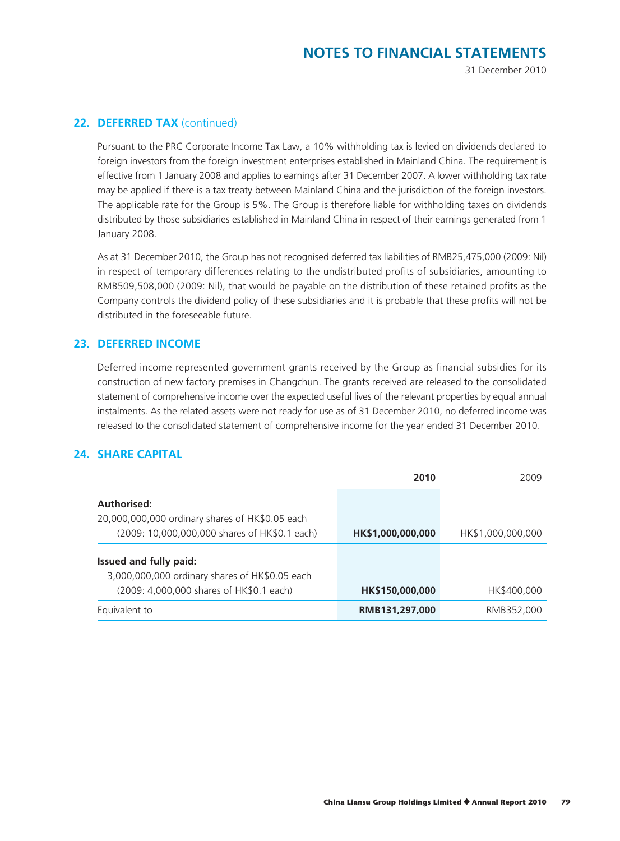31 December 2010

## **22. DEFERRED TAX** (continued)

Pursuant to the PRC Corporate Income Tax Law, a 10% withholding tax is levied on dividends declared to foreign investors from the foreign investment enterprises established in Mainland China. The requirement is effective from 1 January 2008 and applies to earnings after 31 December 2007. A lower withholding tax rate may be applied if there is a tax treaty between Mainland China and the jurisdiction of the foreign investors. The applicable rate for the Group is 5%. The Group is therefore liable for withholding taxes on dividends distributed by those subsidiaries established in Mainland China in respect of their earnings generated from 1 January 2008.

As at 31 December 2010, the Group has not recognised deferred tax liabilities of RMB25,475,000 (2009: Nil) in respect of temporary differences relating to the undistributed profits of subsidiaries, amounting to RMB509,508,000 (2009: Nil), that would be payable on the distribution of these retained profits as the Company controls the dividend policy of these subsidiaries and it is probable that these profits will not be distributed in the foreseeable future.

## **23. DEFERRED INCOME**

Deferred income represented government grants received by the Group as financial subsidies for its construction of new factory premises in Changchun. The grants received are released to the consolidated statement of comprehensive income over the expected useful lives of the relevant properties by equal annual instalments. As the related assets were not ready for use as of 31 December 2010, no deferred income was released to the consolidated statement of comprehensive income for the year ended 31 December 2010.

## **24. SHARE CAPITAL**

|                                                                                                                      | 2010              | 2009              |
|----------------------------------------------------------------------------------------------------------------------|-------------------|-------------------|
| Authorised:<br>20,000,000,000 ordinary shares of HK\$0.05 each<br>(2009: 10,000,000,000 shares of HK\$0.1 each)      | HK\$1,000,000,000 | HK\$1,000,000,000 |
| Issued and fully paid:<br>3,000,000,000 ordinary shares of HK\$0.05 each<br>(2009: 4,000,000 shares of HK\$0.1 each) | HK\$150,000,000   | HK\$400,000       |
| Equivalent to                                                                                                        | RMB131,297,000    | RMB352,000        |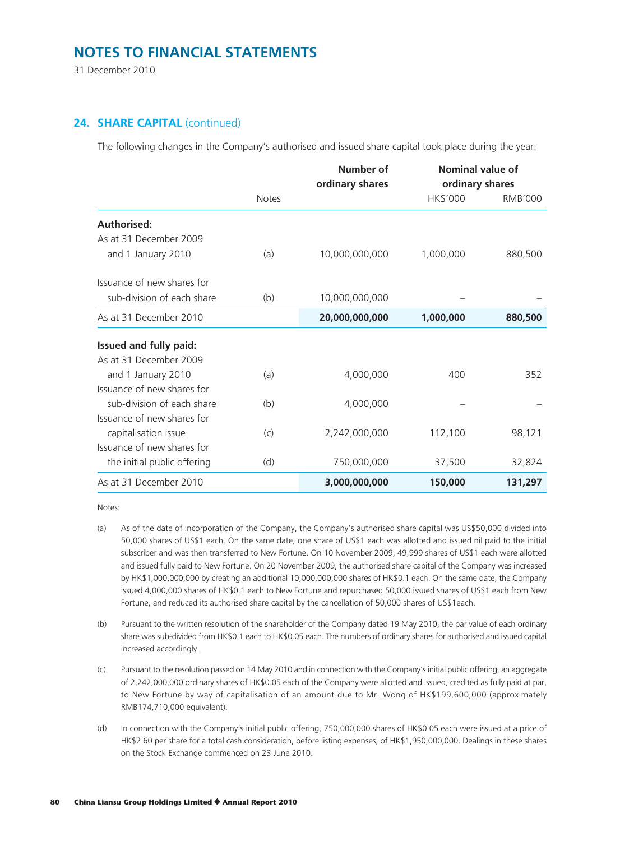31 December 2010

## **24. SHARE CAPITAL (continued)**

The following changes in the Company's authorised and issued share capital took place during the year:

|                               |              | Number of<br>ordinary shares | Nominal value of<br>ordinary shares |                |
|-------------------------------|--------------|------------------------------|-------------------------------------|----------------|
|                               | <b>Notes</b> |                              | HK\$'000                            | <b>RMB'000</b> |
| Authorised:                   |              |                              |                                     |                |
| As at 31 December 2009        |              |                              |                                     |                |
| and 1 January 2010            | (a)          | 10,000,000,000               | 1,000,000                           | 880,500        |
| Issuance of new shares for    |              |                              |                                     |                |
| sub-division of each share    | (b)          | 10,000,000,000               |                                     |                |
| As at 31 December 2010        |              | 20,000,000,000               | 1,000,000                           | 880,500        |
| <b>Issued and fully paid:</b> |              |                              |                                     |                |
| As at 31 December 2009        |              |                              |                                     |                |
| and 1 January 2010            | (a)          | 4,000,000                    | 400                                 | 352            |
| Issuance of new shares for    |              |                              |                                     |                |
| sub-division of each share    | (b)          | 4,000,000                    |                                     |                |
| Issuance of new shares for    |              |                              |                                     |                |
| capitalisation issue          | (c)          | 2,242,000,000                | 112,100                             | 98,121         |
| Issuance of new shares for    |              |                              |                                     |                |
| the initial public offering   | (d)          | 750,000,000                  | 37,500                              | 32,824         |
| As at 31 December 2010        |              | 3,000,000,000                | 150,000                             | 131,297        |

Notes:

- (a) As of the date of incorporation of the Company, the Company's authorised share capital was US\$50,000 divided into 50,000 shares of US\$1 each. On the same date, one share of US\$1 each was allotted and issued nil paid to the initial subscriber and was then transferred to New Fortune. On 10 November 2009, 49,999 shares of US\$1 each were allotted and issued fully paid to New Fortune. On 20 November 2009, the authorised share capital of the Company was increased by HK\$1,000,000,000 by creating an additional 10,000,000,000 shares of HK\$0.1 each. On the same date, the Company issued 4,000,000 shares of HK\$0.1 each to New Fortune and repurchased 50,000 issued shares of US\$1 each from New Fortune, and reduced its authorised share capital by the cancellation of 50,000 shares of US\$1each.
- (b) Pursuant to the written resolution of the shareholder of the Company dated 19 May 2010, the par value of each ordinary share was sub-divided from HK\$0.1 each to HK\$0.05 each. The numbers of ordinary shares for authorised and issued capital increased accordingly.
- (c) Pursuant to the resolution passed on 14 May 2010 and in connection with the Company's initial public offering, an aggregate of 2,242,000,000 ordinary shares of HK\$0.05 each of the Company were allotted and issued, credited as fully paid at par, to New Fortune by way of capitalisation of an amount due to Mr. Wong of HK\$199,600,000 (approximately RMB174,710,000 equivalent).
- (d) In connection with the Company's initial public offering, 750,000,000 shares of HK\$0.05 each were issued at a price of HK\$2.60 per share for a total cash consideration, before listing expenses, of HK\$1,950,000,000. Dealings in these shares on the Stock Exchange commenced on 23 June 2010.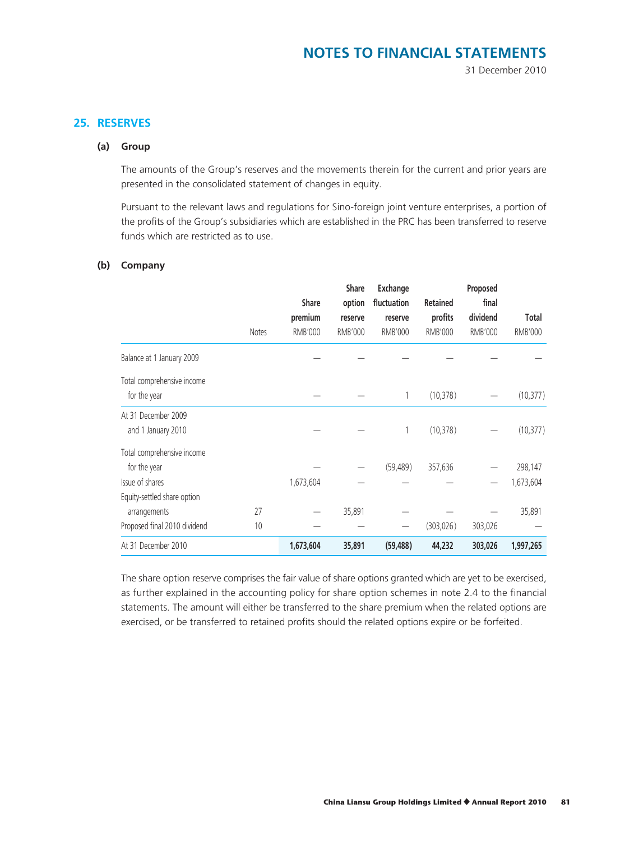31 December 2010

### **25. RESERVES**

### **(a) Group**

The amounts of the Group's reserves and the movements therein for the current and prior years are presented in the consolidated statement of changes in equity.

Pursuant to the relevant laws and regulations for Sino-foreign joint venture enterprises, a portion of the profits of the Group's subsidiaries which are established in the PRC has been transferred to reserve funds which are restricted as to use.

### **(b) Company**

|                              |              |                | <b>Share</b>   | Exchange       |                | Proposed       |                |
|------------------------------|--------------|----------------|----------------|----------------|----------------|----------------|----------------|
|                              |              | <b>Share</b>   | option         | fluctuation    | Retained       | final          |                |
|                              |              | premium        | reserve        | reserve        | profits        | dividend       | Total          |
|                              | <b>Notes</b> | <b>RMB'000</b> | <b>RMB'000</b> | <b>RMB'000</b> | <b>RMB'000</b> | <b>RMB'000</b> | <b>RMB'000</b> |
| Balance at 1 January 2009    |              |                |                |                |                |                |                |
| Total comprehensive income   |              |                |                |                |                |                |                |
| for the year                 |              |                |                | 1              | (10, 378)      |                | (10, 377)      |
| At 31 December 2009          |              |                |                |                |                |                |                |
| and 1 January 2010           |              |                |                | 1              | (10, 378)      |                | (10, 377)      |
| Total comprehensive income   |              |                |                |                |                |                |                |
| for the year                 |              |                |                | (59, 489)      | 357,636        |                | 298,147        |
| Issue of shares              |              | 1,673,604      |                |                |                |                | 1,673,604      |
| Equity-settled share option  |              |                |                |                |                |                |                |
| arrangements                 | 27           |                | 35,891         |                |                |                | 35,891         |
| Proposed final 2010 dividend | 10           |                |                |                | (303, 026)     | 303,026        |                |
| At 31 December 2010          |              | 1,673,604      | 35,891         | (59, 488)      | 44,232         | 303,026        | 1,997,265      |

The share option reserve comprises the fair value of share options granted which are yet to be exercised, as further explained in the accounting policy for share option schemes in note 2.4 to the financial statements. The amount will either be transferred to the share premium when the related options are exercised, or be transferred to retained profits should the related options expire or be forfeited.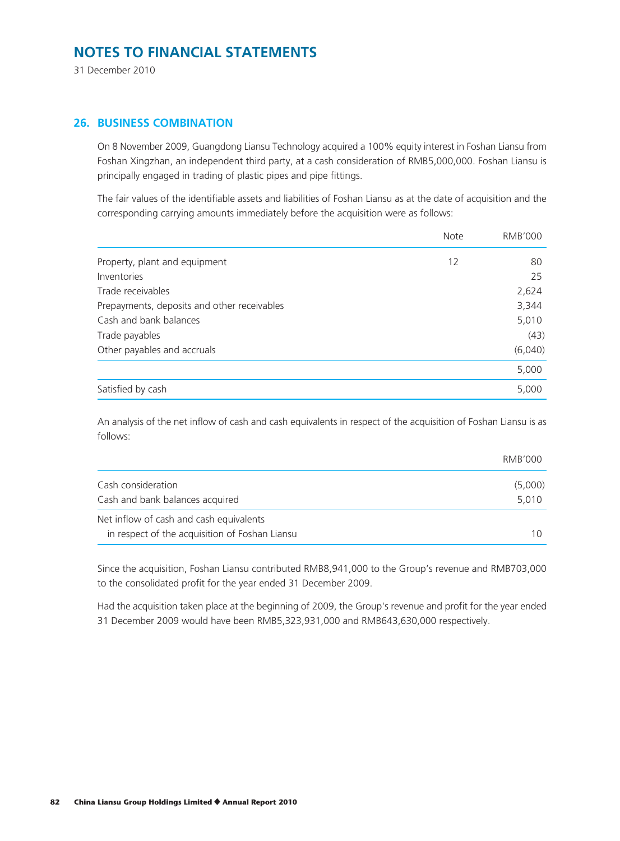31 December 2010

## **26. BUSINESS COMBINATION**

On 8 November 2009, Guangdong Liansu Technology acquired a 100% equity interest in Foshan Liansu from Foshan Xingzhan, an independent third party, at a cash consideration of RMB5,000,000. Foshan Liansu is principally engaged in trading of plastic pipes and pipe fittings.

The fair values of the identifiable assets and liabilities of Foshan Liansu as at the date of acquisition and the corresponding carrying amounts immediately before the acquisition were as follows:

|                                             | Note | <b>RMB'000</b> |
|---------------------------------------------|------|----------------|
| Property, plant and equipment               | 12   | 80             |
| Inventories                                 |      | 25             |
| Trade receivables                           |      | 2,624          |
| Prepayments, deposits and other receivables |      | 3,344          |
| Cash and bank balances                      |      | 5,010          |
| Trade payables                              |      | (43)           |
| Other payables and accruals                 |      | (6,040)        |
|                                             |      | 5,000          |
| Satisfied by cash                           |      | 5,000          |

An analysis of the net inflow of cash and cash equivalents in respect of the acquisition of Foshan Liansu is as follows:

|                                                       | <b>RMB'000</b>   |
|-------------------------------------------------------|------------------|
| Cash consideration<br>Cash and bank balances acquired | (5,000)<br>5.010 |
| Net inflow of cash and cash equivalents               |                  |
| in respect of the acquisition of Foshan Liansu        |                  |

Since the acquisition, Foshan Liansu contributed RMB8,941,000 to the Group's revenue and RMB703,000 to the consolidated profit for the year ended 31 December 2009.

Had the acquisition taken place at the beginning of 2009, the Group's revenue and profit for the year ended 31 December 2009 would have been RMB5,323,931,000 and RMB643,630,000 respectively.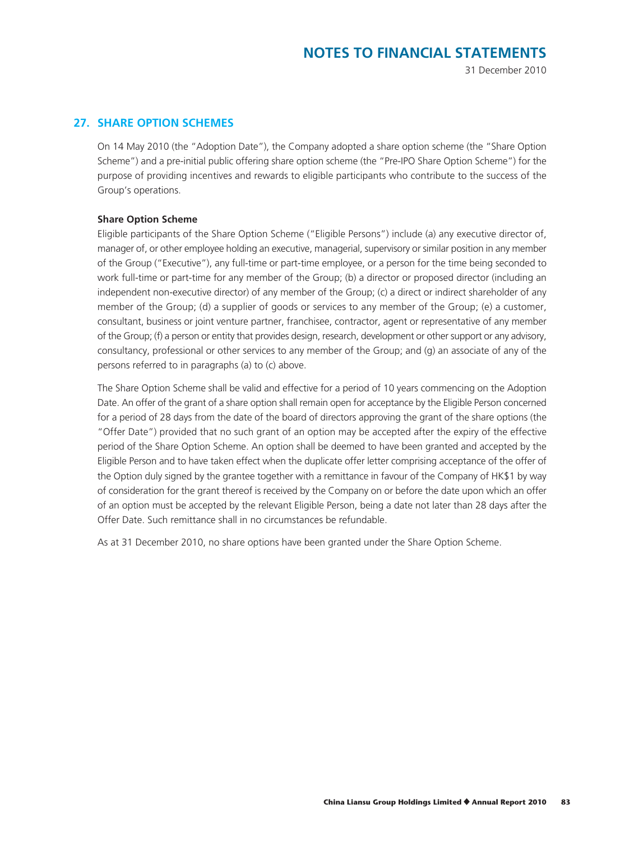31 December 2010

## **27. SHARE OPTION SCHEMES**

On 14 May 2010 (the "Adoption Date"), the Company adopted a share option scheme (the "Share Option Scheme") and a pre-initial public offering share option scheme (the "Pre-IPO Share Option Scheme") for the purpose of providing incentives and rewards to eligible participants who contribute to the success of the Group's operations.

### **Share Option Scheme**

Eligible participants of the Share Option Scheme ("Eligible Persons") include (a) any executive director of, manager of, or other employee holding an executive, managerial, supervisory or similar position in any member of the Group ("Executive"), any full-time or part-time employee, or a person for the time being seconded to work full-time or part-time for any member of the Group; (b) a director or proposed director (including an independent non-executive director) of any member of the Group; (c) a direct or indirect shareholder of any member of the Group; (d) a supplier of goods or services to any member of the Group; (e) a customer, consultant, business or joint venture partner, franchisee, contractor, agent or representative of any member of the Group; (f) a person or entity that provides design, research, development or other support or any advisory, consultancy, professional or other services to any member of the Group; and (g) an associate of any of the persons referred to in paragraphs (a) to (c) above.

The Share Option Scheme shall be valid and effective for a period of 10 years commencing on the Adoption Date. An offer of the grant of a share option shall remain open for acceptance by the Eligible Person concerned for a period of 28 days from the date of the board of directors approving the grant of the share options (the "Offer Date") provided that no such grant of an option may be accepted after the expiry of the effective period of the Share Option Scheme. An option shall be deemed to have been granted and accepted by the Eligible Person and to have taken effect when the duplicate offer letter comprising acceptance of the offer of the Option duly signed by the grantee together with a remittance in favour of the Company of HK\$1 by way of consideration for the grant thereof is received by the Company on or before the date upon which an offer of an option must be accepted by the relevant Eligible Person, being a date not later than 28 days after the Offer Date. Such remittance shall in no circumstances be refundable.

As at 31 December 2010, no share options have been granted under the Share Option Scheme.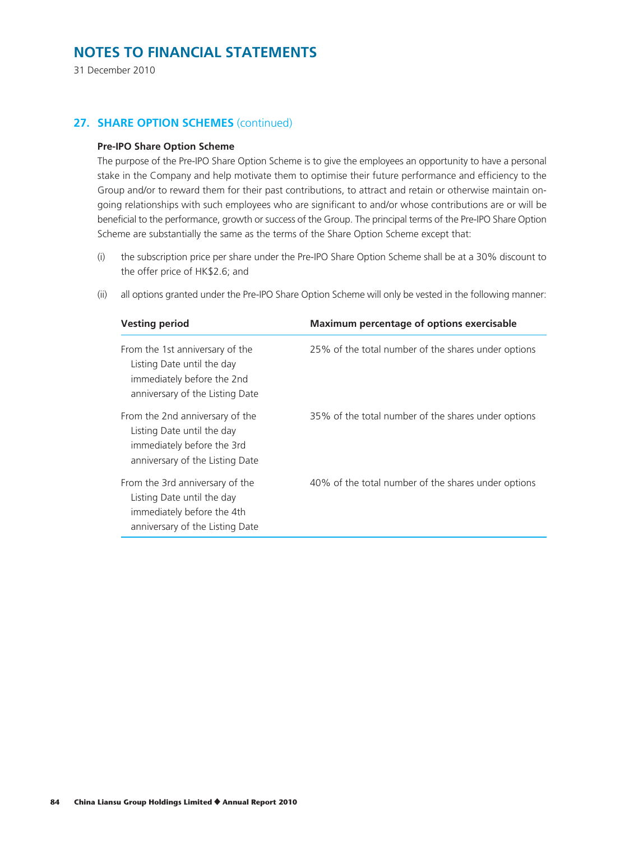31 December 2010

## 27. **SHARE OPTION SCHEMES** (continued)

#### **Pre-IPO Share Option Scheme**

The purpose of the Pre-IPO Share Option Scheme is to give the employees an opportunity to have a personal stake in the Company and help motivate them to optimise their future performance and efficiency to the Group and/or to reward them for their past contributions, to attract and retain or otherwise maintain ongoing relationships with such employees who are significant to and/or whose contributions are or will be beneficial to the performance, growth or success of the Group. The principal terms of the Pre-IPO Share Option Scheme are substantially the same as the terms of the Share Option Scheme except that:

(i) the subscription price per share under the Pre-IPO Share Option Scheme shall be at a 30% discount to the offer price of HK\$2.6; and

| <b>Vesting period</b>                                                                                                          | Maximum percentage of options exercisable           |
|--------------------------------------------------------------------------------------------------------------------------------|-----------------------------------------------------|
| From the 1st anniversary of the<br>Listing Date until the day<br>immediately before the 2nd<br>anniversary of the Listing Date | 25% of the total number of the shares under options |
| From the 2nd anniversary of the<br>Listing Date until the day<br>immediately before the 3rd<br>anniversary of the Listing Date | 35% of the total number of the shares under options |
| From the 3rd anniversary of the<br>Listing Date until the day<br>immediately before the 4th<br>anniversary of the Listing Date | 40% of the total number of the shares under options |

(ii) all options granted under the Pre-IPO Share Option Scheme will only be vested in the following manner: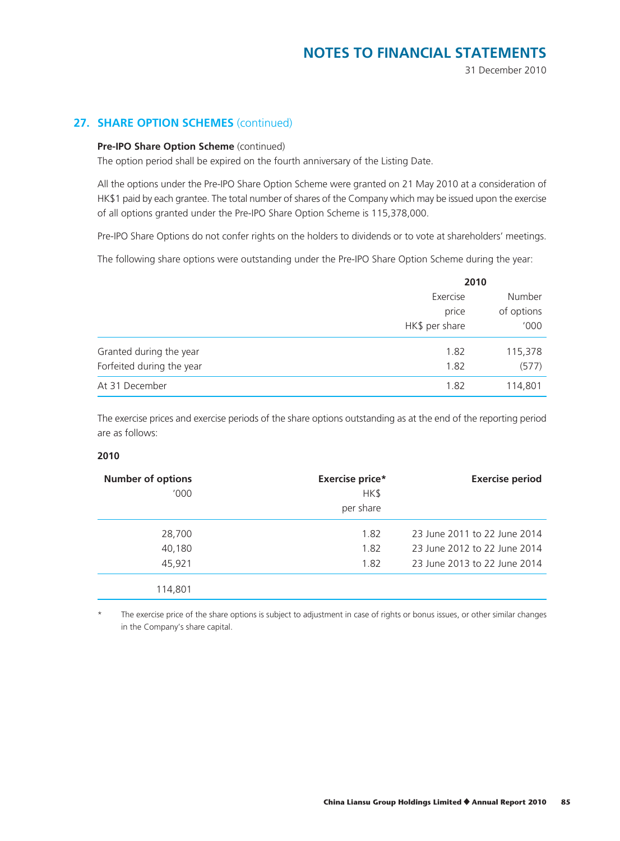## **27. SHARE OPTION SCHEMES** (continued)

### **Pre-IPO Share Option Scheme** (continued)

The option period shall be expired on the fourth anniversary of the Listing Date.

All the options under the Pre-IPO Share Option Scheme were granted on 21 May 2010 at a consideration of HK\$1 paid by each grantee. The total number of shares of the Company which may be issued upon the exercise of all options granted under the Pre-IPO Share Option Scheme is 115,378,000.

Pre-IPO Share Options do not confer rights on the holders to dividends or to vote at shareholders' meetings.

The following share options were outstanding under the Pre-IPO Share Option Scheme during the year:

|                           |                | 2010       |  |  |
|---------------------------|----------------|------------|--|--|
|                           | Exercise       | Number     |  |  |
|                           | price          | of options |  |  |
|                           | HK\$ per share | '000       |  |  |
| Granted during the year   | 1.82           | 115,378    |  |  |
| Forfeited during the year | 1.82           | (577)      |  |  |
| At 31 December            | 1.82           | 114,801    |  |  |

The exercise prices and exercise periods of the share options outstanding as at the end of the reporting period are as follows:

### **2010**

| <b>Number of options</b><br>'000' | Exercise price*<br>HK\$<br>per share | <b>Exercise period</b>       |
|-----------------------------------|--------------------------------------|------------------------------|
| 28,700                            | 1.82                                 | 23 June 2011 to 22 June 2014 |
| 40,180                            | 1.82                                 | 23 June 2012 to 22 June 2014 |
| 45.921                            | 1.82                                 | 23 June 2013 to 22 June 2014 |
| 114,801                           |                                      |                              |

The exercise price of the share options is subject to adjustment in case of rights or bonus issues, or other similar changes in the Company's share capital.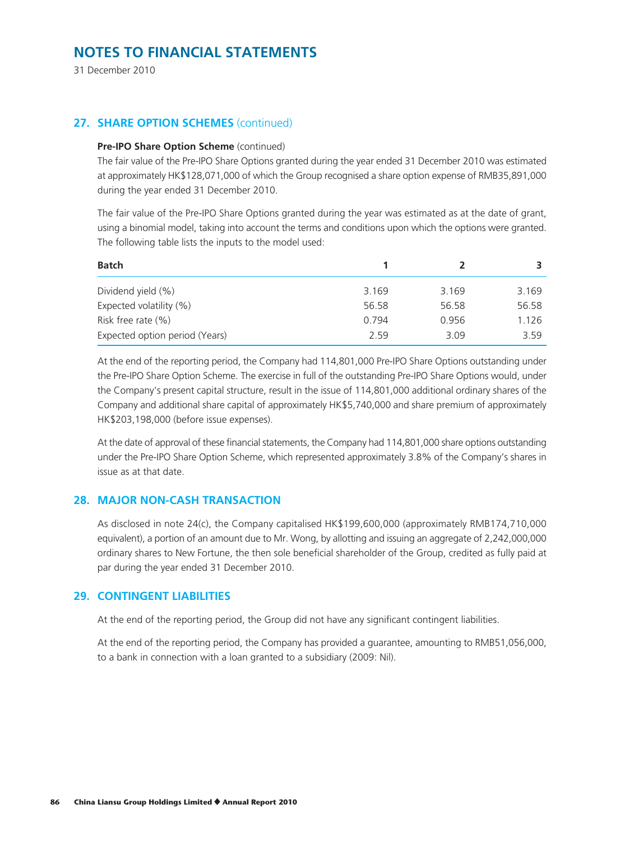31 December 2010

## **27. SHARE OPTION SCHEMES** (continued)

#### **Pre-IPO Share Option Scheme** (continued)

The fair value of the Pre-IPO Share Options granted during the year ended 31 December 2010 was estimated at approximately HK\$128,071,000 of which the Group recognised a share option expense of RMB35,891,000 during the year ended 31 December 2010.

The fair value of the Pre-IPO Share Options granted during the year was estimated as at the date of grant, using a binomial model, taking into account the terms and conditions upon which the options were granted. The following table lists the inputs to the model used:

| <b>Batch</b>                   |       |       |       |
|--------------------------------|-------|-------|-------|
| Dividend yield (%)             | 3.169 | 3.169 | 3.169 |
| Expected volatility (%)        | 56.58 | 56.58 | 56.58 |
| Risk free rate (%)             | 0.794 | 0.956 | 1.126 |
| Expected option period (Years) | 2.59  | 3.09  | 3.59  |

At the end of the reporting period, the Company had 114,801,000 Pre-IPO Share Options outstanding under the Pre-IPO Share Option Scheme. The exercise in full of the outstanding Pre-IPO Share Options would, under the Company's present capital structure, result in the issue of 114,801,000 additional ordinary shares of the Company and additional share capital of approximately HK\$5,740,000 and share premium of approximately HK\$203,198,000 (before issue expenses).

At the date of approval of these financial statements, the Company had 114,801,000 share options outstanding under the Pre-IPO Share Option Scheme, which represented approximately 3.8% of the Company's shares in issue as at that date.

## **28. MAJOR NON-CASH TRANSACTION**

As disclosed in note 24(c), the Company capitalised HK\$199,600,000 (approximately RMB174,710,000 equivalent), a portion of an amount due to Mr. Wong, by allotting and issuing an aggregate of 2,242,000,000 ordinary shares to New Fortune, the then sole beneficial shareholder of the Group, credited as fully paid at par during the year ended 31 December 2010.

### **29. CONTINGENT LIABILITIES**

At the end of the reporting period, the Group did not have any significant contingent liabilities.

At the end of the reporting period, the Company has provided a guarantee, amounting to RMB51,056,000, to a bank in connection with a loan granted to a subsidiary (2009: Nil).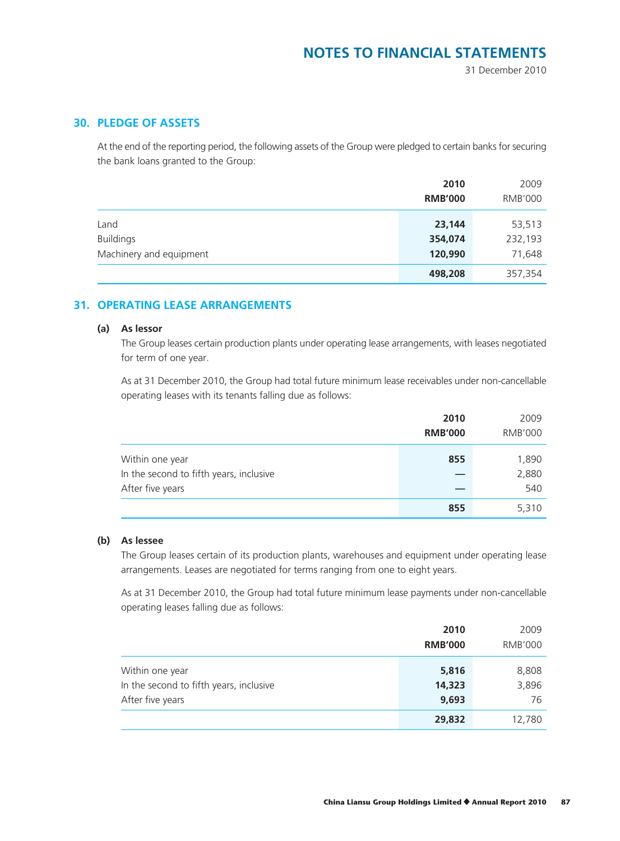## **30. PLEDGE OF ASSETS**

At the end of the reporting period, the following assets of the Group were pledged to certain banks for securing the bank loans granted to the Group:

|                         | 2010           | 2009           |
|-------------------------|----------------|----------------|
|                         | <b>RMB'000</b> | <b>RMB'000</b> |
| Land                    | 23,144         | 53,513         |
| <b>Buildings</b>        | 354,074        | 232,193        |
| Machinery and equipment | 120,990        | 71,648         |
|                         | 498,208        | 357,354        |

## **31. OPERATING LEASE ARRANGEMENTS**

### **(a) As lessor**

The Group leases certain production plants under operating lease arrangements, with leases negotiated for term of one year.

As at 31 December 2010, the Group had total future minimum lease receivables under non-cancellable operating leases with its tenants falling due as follows:

|                                         | 2010           | 2009           |
|-----------------------------------------|----------------|----------------|
|                                         | <b>RMB'000</b> | <b>RMB'000</b> |
| Within one year                         | 855            | 1,890          |
| In the second to fifth years, inclusive |                | 2,880          |
| After five years                        |                | 540            |
|                                         | 855            | 5,310          |

### **(b) As lessee**

The Group leases certain of its production plants, warehouses and equipment under operating lease arrangements. Leases are negotiated for terms ranging from one to eight years.

As at 31 December 2010, the Group had total future minimum lease payments under non-cancellable operating leases falling due as follows:

|                                                             | 2010            | 2009           |
|-------------------------------------------------------------|-----------------|----------------|
|                                                             | <b>RMB'000</b>  | <b>RMB'000</b> |
| Within one year                                             | 5,816           | 8,808          |
| In the second to fifth years, inclusive<br>After five years | 14,323<br>9,693 | 3,896<br>76    |
|                                                             | 29,832          | 12,780         |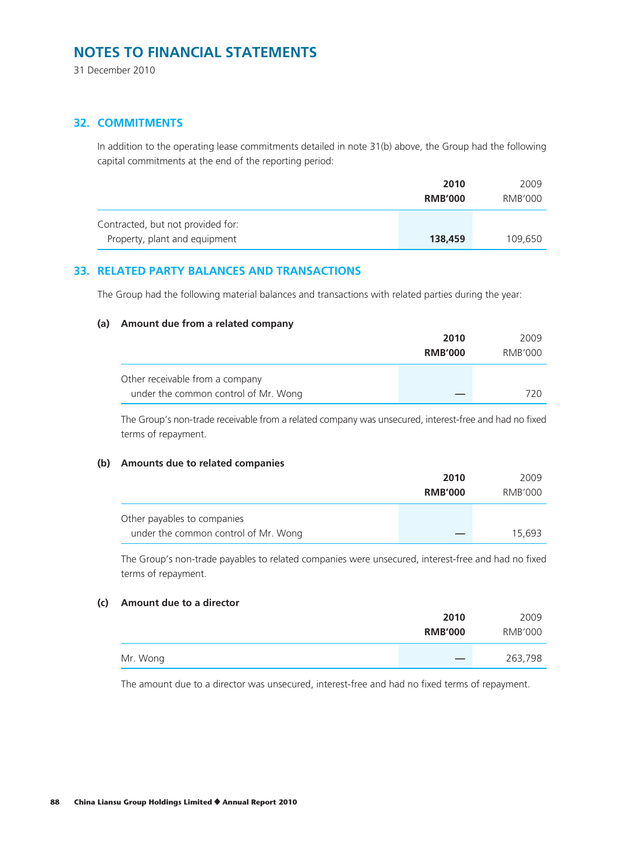31 December 2010

## **32. COMMITMENTS**

In addition to the operating lease commitments detailed in note 31(b) above, the Group had the following capital commitments at the end of the reporting period:

|                                   | 2010           | 2009    |
|-----------------------------------|----------------|---------|
|                                   | <b>RMB'000</b> | RMB'000 |
| Contracted, but not provided for: |                |         |
| Property, plant and equipment     | 138,459        | 109,650 |

# **33. RELATED PARTY BALANCES AND TRANSACTIONS**

The Group had the following material balances and transactions with related parties during the year:

#### **(a) Amount due from a related company**

|                                      | 2010           |         |
|--------------------------------------|----------------|---------|
|                                      | <b>RMB'000</b> | RMB'000 |
| Other receivable from a company      |                |         |
| under the common control of Mr. Wong |                | 72 N    |

The Group's non-trade receivable from a related company was unsecured, interest-free and had no fixed terms of repayment.

### **(b) Amounts due to related companies**

|                                      | 2010           | 2009    |
|--------------------------------------|----------------|---------|
|                                      | <b>RMB'000</b> | RMB'000 |
| Other payables to companies          |                |         |
| under the common control of Mr. Wong |                | 15,693  |

The Group's non-trade payables to related companies were unsecured, interest-free and had no fixed terms of repayment.

### **(c) Amount due to a director**

|          | 2010           | 2009    |
|----------|----------------|---------|
|          | <b>RMB'000</b> | RMB'000 |
| Mr. Wong |                | 263,798 |

The amount due to a director was unsecured, interest-free and had no fixed terms of repayment.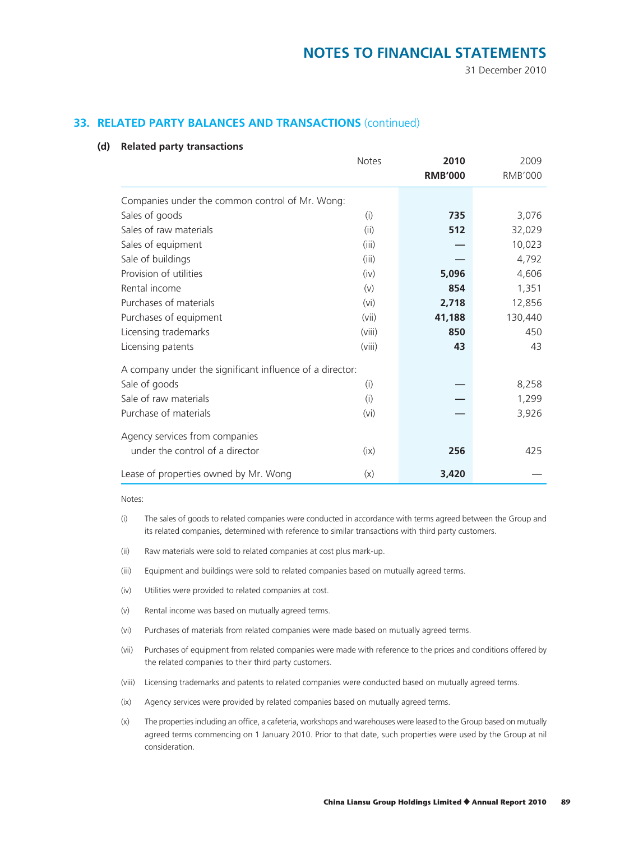## **33. RELATED PARTY BALANCES AND TRANSACTIONS** (continued)

#### **(d) Related party transactions**

|                                                          | <b>Notes</b>      | 2010           | 2009           |
|----------------------------------------------------------|-------------------|----------------|----------------|
|                                                          |                   | <b>RMB'000</b> | <b>RMB'000</b> |
| Companies under the common control of Mr. Wong:          |                   |                |                |
| Sales of goods                                           | (i)               | 735            | 3,076          |
| Sales of raw materials                                   | (ii)              | 512            | 32,029         |
| Sales of equipment                                       | (iii)             |                | 10,023         |
| Sale of buildings                                        | (iii)             |                | 4,792          |
| Provision of utilities                                   | (iv)              | 5,096          | 4,606          |
| Rental income                                            | (v)               | 854            | 1,351          |
| Purchases of materials                                   | (v <sub>i</sub> ) | 2,718          | 12,856         |
| Purchases of equipment                                   | (vii)             | 41,188         | 130,440        |
| Licensing trademarks                                     | (viii)            | 850            | 450            |
| Licensing patents                                        | (viii)            | 43             | 43             |
| A company under the significant influence of a director: |                   |                |                |
| Sale of goods                                            | (i)               |                | 8,258          |
| Sale of raw materials                                    | (i)               |                | 1,299          |
| Purchase of materials                                    | (v <sub>i</sub> ) |                | 3,926          |
| Agency services from companies                           |                   |                |                |
| under the control of a director                          | (ix)              | 256            | 425            |
| Lease of properties owned by Mr. Wong                    | (x)               | 3,420          |                |

Notes:

- (i) The sales of goods to related companies were conducted in accordance with terms agreed between the Group and its related companies, determined with reference to similar transactions with third party customers.
- (ii) Raw materials were sold to related companies at cost plus mark-up.
- (iii) Equipment and buildings were sold to related companies based on mutually agreed terms.
- (iv) Utilities were provided to related companies at cost.
- (v) Rental income was based on mutually agreed terms.
- (vi) Purchases of materials from related companies were made based on mutually agreed terms.
- (vii) Purchases of equipment from related companies were made with reference to the prices and conditions offered by the related companies to their third party customers.
- (viii) Licensing trademarks and patents to related companies were conducted based on mutually agreed terms.
- (ix) Agency services were provided by related companies based on mutually agreed terms.
- (x) The properties including an office, a cafeteria, workshops and warehouses were leased to the Group based on mutually agreed terms commencing on 1 January 2010. Prior to that date, such properties were used by the Group at nil consideration.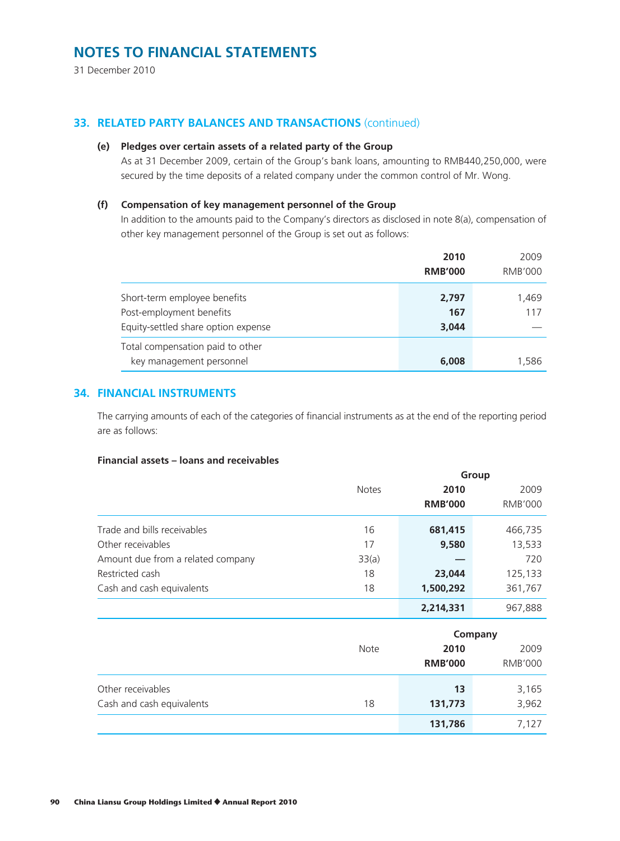31 December 2010

## **33. RELATED PARTY BALANCES AND TRANSACTIONS** (continued)

### **(e) Pledges over certain assets of a related party of the Group**

As at 31 December 2009, certain of the Group's bank loans, amounting to RMB440,250,000, were secured by the time deposits of a related company under the common control of Mr. Wong.

#### **(f) Compensation of key management personnel of the Group**

In addition to the amounts paid to the Company's directors as disclosed in note 8(a), compensation of other key management personnel of the Group is set out as follows:

|                                                                                                 | 2010<br><b>RMB'000</b> | 2009<br><b>RMB'000</b> |
|-------------------------------------------------------------------------------------------------|------------------------|------------------------|
| Short-term employee benefits<br>Post-employment benefits<br>Equity-settled share option expense | 2,797<br>167<br>3,044  | 1,469<br>117           |
| Total compensation paid to other<br>key management personnel                                    | 6,008                  | 1,586                  |

## **34. FINANCIAL INSTRUMENTS**

The carrying amounts of each of the categories of financial instruments as at the end of the reporting period are as follows:

### **Financial assets – loans and receivables**

|                                   | Group        |                |                |
|-----------------------------------|--------------|----------------|----------------|
|                                   | <b>Notes</b> | 2010           | 2009           |
|                                   |              | <b>RMB'000</b> | <b>RMB'000</b> |
| Trade and bills receivables       | 16           | 681,415        | 466,735        |
| Other receivables                 | 17           | 9,580          | 13,533         |
| Amount due from a related company | 33(a)        |                | 720            |
| Restricted cash                   | 18           | 23,044         | 125,133        |
| Cash and cash equivalents         | 18           | 1,500,292      | 361,767        |
|                                   |              | 2,214,331      | 967.888        |

|                           |             | Company        |                |
|---------------------------|-------------|----------------|----------------|
|                           | <b>Note</b> | 2010           | 2009           |
|                           |             | <b>RMB'000</b> | <b>RMB'000</b> |
| Other receivables         |             | 13             | 3,165          |
| Cash and cash equivalents | 18          | 131,773        | 3,962          |
|                           |             | 131,786        | 7,127          |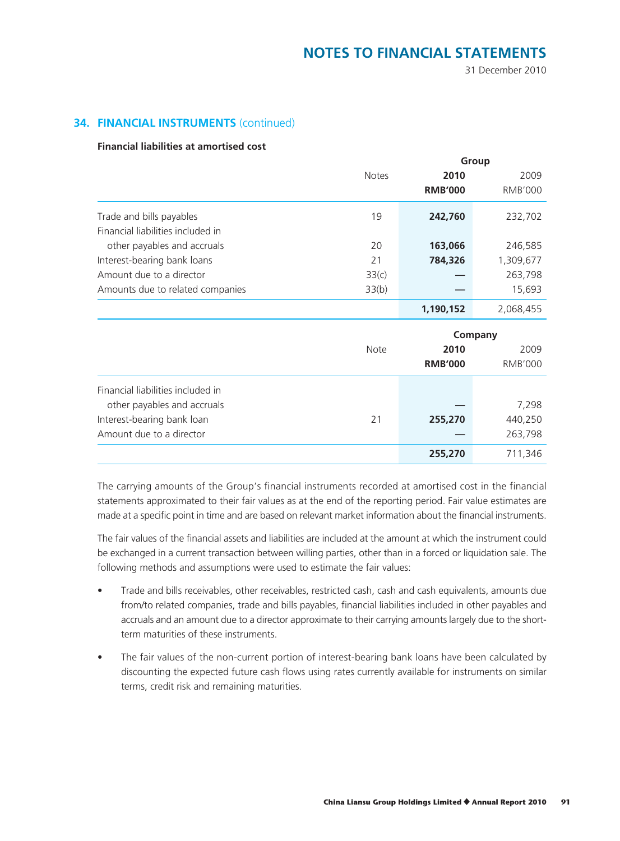**Group**

## **34. FINANCIAL INSTRUMENTS** (continued)

#### **Financial liabilities at amortised cost**

|                                   | aroup        |                |                |
|-----------------------------------|--------------|----------------|----------------|
|                                   | <b>Notes</b> | 2010           | 2009           |
|                                   |              | <b>RMB'000</b> | <b>RMB'000</b> |
| Trade and bills payables          | 19           | 242,760        | 232,702        |
| Financial liabilities included in |              |                |                |
| other payables and accruals       | 20           | 163,066        | 246,585        |
| Interest-bearing bank loans       | 21           | 784,326        | 1,309,677      |
| Amount due to a director          | 33(c)        |                | 263,798        |
| Amounts due to related companies  | 33(b)        |                | 15,693         |
|                                   |              | 1,190,152      | 2,068,455      |

|                                   | Company     |                |                |
|-----------------------------------|-------------|----------------|----------------|
|                                   | <b>Note</b> | 2010           | 2009           |
|                                   |             | <b>RMB'000</b> | <b>RMB'000</b> |
| Financial liabilities included in |             |                |                |
| other payables and accruals       |             |                | 7,298          |
| Interest-bearing bank loan        | 21          | 255,270        | 440,250        |
| Amount due to a director          |             |                | 263,798        |
|                                   |             | 255,270        | 711,346        |

The carrying amounts of the Group's financial instruments recorded at amortised cost in the financial statements approximated to their fair values as at the end of the reporting period. Fair value estimates are made at a specific point in time and are based on relevant market information about the financial instruments.

The fair values of the financial assets and liabilities are included at the amount at which the instrument could be exchanged in a current transaction between willing parties, other than in a forced or liquidation sale. The following methods and assumptions were used to estimate the fair values:

- Trade and bills receivables, other receivables, restricted cash, cash and cash equivalents, amounts due from/to related companies, trade and bills payables, financial liabilities included in other payables and accruals and an amount due to a director approximate to their carrying amounts largely due to the shortterm maturities of these instruments.
- The fair values of the non-current portion of interest-bearing bank loans have been calculated by discounting the expected future cash flows using rates currently available for instruments on similar terms, credit risk and remaining maturities.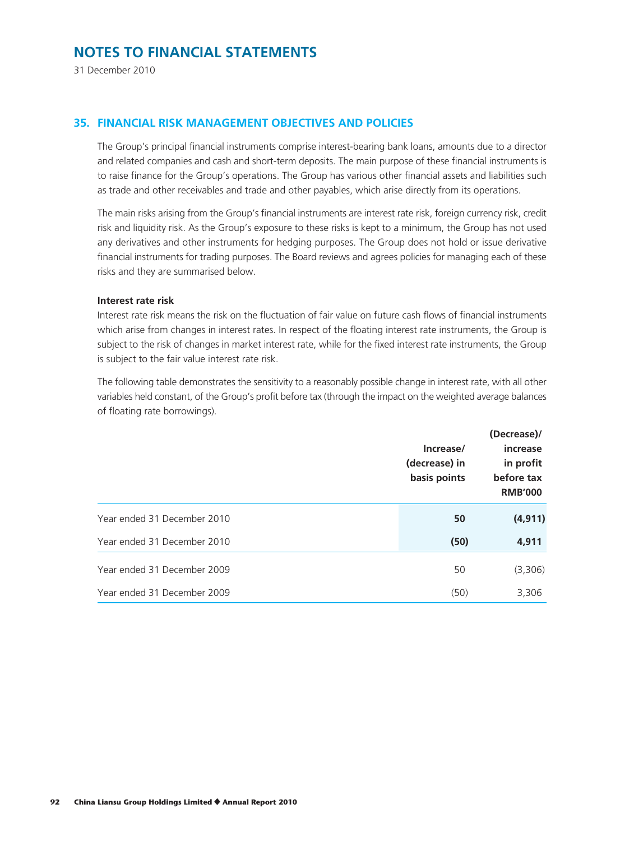31 December 2010

## **35. FINANCIAL RISK MANAGEMENT OBJECTIVES AND POLICIES**

The Group's principal financial instruments comprise interest-bearing bank loans, amounts due to a director and related companies and cash and short-term deposits. The main purpose of these financial instruments is to raise finance for the Group's operations. The Group has various other financial assets and liabilities such as trade and other receivables and trade and other payables, which arise directly from its operations.

The main risks arising from the Group's financial instruments are interest rate risk, foreign currency risk, credit risk and liquidity risk. As the Group's exposure to these risks is kept to a minimum, the Group has not used any derivatives and other instruments for hedging purposes. The Group does not hold or issue derivative financial instruments for trading purposes. The Board reviews and agrees policies for managing each of these risks and they are summarised below.

#### **Interest rate risk**

Interest rate risk means the risk on the fluctuation of fair value on future cash flows of financial instruments which arise from changes in interest rates. In respect of the floating interest rate instruments, the Group is subject to the risk of changes in market interest rate, while for the fixed interest rate instruments, the Group is subject to the fair value interest rate risk.

The following table demonstrates the sensitivity to a reasonably possible change in interest rate, with all other variables held constant, of the Group's profit before tax (through the impact on the weighted average balances of floating rate borrowings).

|                             | Increase/<br>(decrease) in<br>basis points | (Decrease)/<br>increase<br>in profit<br>before tax<br><b>RMB'000</b> |
|-----------------------------|--------------------------------------------|----------------------------------------------------------------------|
| Year ended 31 December 2010 | 50                                         | (4, 911)                                                             |
| Year ended 31 December 2010 | (50)                                       | 4,911                                                                |
| Year ended 31 December 2009 | 50                                         | (3,306)                                                              |
| Year ended 31 December 2009 | (50)                                       | 3,306                                                                |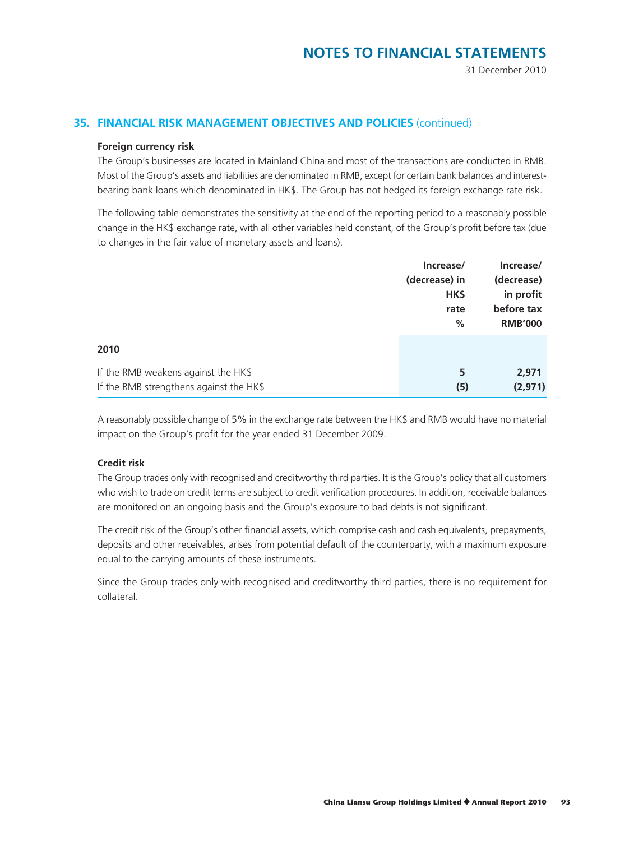31 December 2010

## **35. FINANCIAL RISK MANAGEMENT OBJECTIVES AND POLICIES** (continued)

#### **Foreign currency risk**

The Group's businesses are located in Mainland China and most of the transactions are conducted in RMB. Most of the Group's assets and liabilities are denominated in RMB, except for certain bank balances and interestbearing bank loans which denominated in HK\$. The Group has not hedged its foreign exchange rate risk.

The following table demonstrates the sensitivity at the end of the reporting period to a reasonably possible change in the HK\$ exchange rate, with all other variables held constant, of the Group's profit before tax (due to changes in the fair value of monetary assets and loans).

|                                         | Increase/         | Increase/                                 |
|-----------------------------------------|-------------------|-------------------------------------------|
|                                         | (decrease) in     | (decrease)                                |
|                                         | HK\$<br>rate<br>% | in profit<br>before tax<br><b>RMB'000</b> |
|                                         |                   |                                           |
|                                         |                   |                                           |
| 2010                                    |                   |                                           |
| If the RMB weakens against the HK\$     | 5                 | 2,971                                     |
| If the RMB strengthens against the HK\$ | (5)               | (2,971)                                   |

A reasonably possible change of 5% in the exchange rate between the HK\$ and RMB would have no material impact on the Group's profit for the year ended 31 December 2009.

#### **Credit risk**

The Group trades only with recognised and creditworthy third parties. It is the Group's policy that all customers who wish to trade on credit terms are subject to credit verification procedures. In addition, receivable balances are monitored on an ongoing basis and the Group's exposure to bad debts is not significant.

The credit risk of the Group's other financial assets, which comprise cash and cash equivalents, prepayments, deposits and other receivables, arises from potential default of the counterparty, with a maximum exposure equal to the carrying amounts of these instruments.

Since the Group trades only with recognised and creditworthy third parties, there is no requirement for collateral.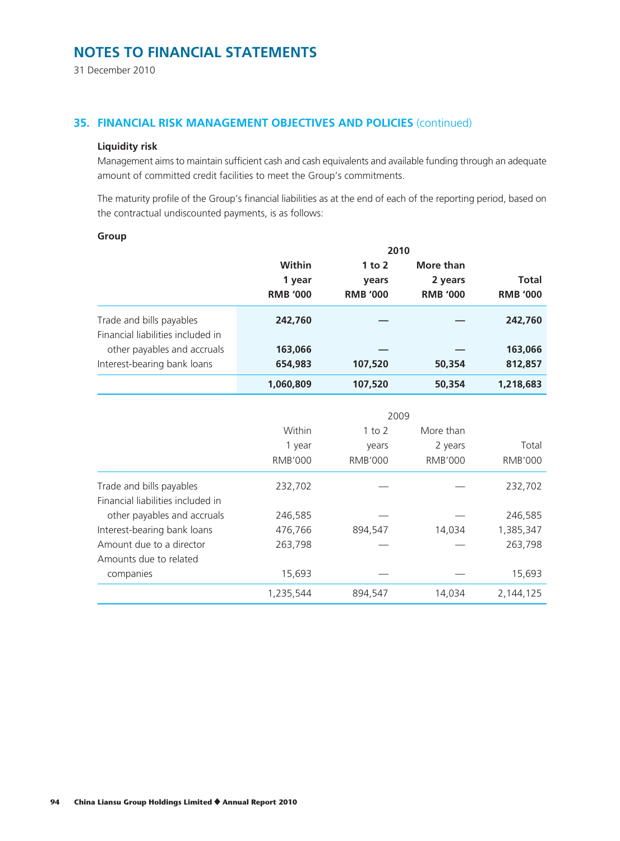31 December 2010

## **35. FINANCIAL RISK MANAGEMENT OBJECTIVES AND POLICIES** (continued)

#### **Liquidity risk**

Management aims to maintain sufficient cash and cash equivalents and available funding through an adequate amount of committed credit facilities to meet the Group's commitments.

The maturity profile of the Group's financial liabilities as at the end of each of the reporting period, based on the contractual undiscounted payments, is as follows:

### **Group**

|                                                               | 2010             |                     |                             |                 |
|---------------------------------------------------------------|------------------|---------------------|-----------------------------|-----------------|
|                                                               | Within<br>1 year | $1$ to $2$<br>years | <b>More than</b><br>2 years | <b>Total</b>    |
|                                                               | <b>RMB '000</b>  | <b>RMB '000</b>     | <b>RMB '000</b>             | <b>RMB '000</b> |
| Trade and bills payables<br>Financial liabilities included in | 242,760          |                     |                             | 242,760         |
| other payables and accruals                                   | 163,066          |                     |                             | 163,066         |
| Interest-bearing bank loans                                   | 654,983          | 107,520             | 50,354                      | 812,857         |
|                                                               | 1,060,809        | 107,520             | 50,354                      | 1,218,683       |
|                                                               |                  |                     |                             |                 |
|                                                               |                  | 2009                |                             |                 |
|                                                               | Within           | $1$ to $2$          | More than                   |                 |
|                                                               | 1 year           | years               | 2 years                     | Total           |
|                                                               | <b>RMB'000</b>   | <b>RMB'000</b>      | <b>RMB'000</b>              | <b>RMB'000</b>  |
| Trade and bills payables                                      | 232,702          |                     |                             | 232,702         |
| Financial liabilities included in                             |                  |                     |                             |                 |
| other payables and accruals                                   | 246,585          |                     |                             | 246,585         |
| Interest-bearing bank loans                                   | 476,766          | 894,547             | 14,034                      | 1,385,347       |
| Amount due to a director                                      | 263,798          |                     |                             | 263,798         |
| Amounts due to related                                        |                  |                     |                             |                 |
| companies                                                     | 15,693           |                     |                             | 15,693          |
|                                                               | 1,235,544        | 894,547             | 14,034                      | 2,144,125       |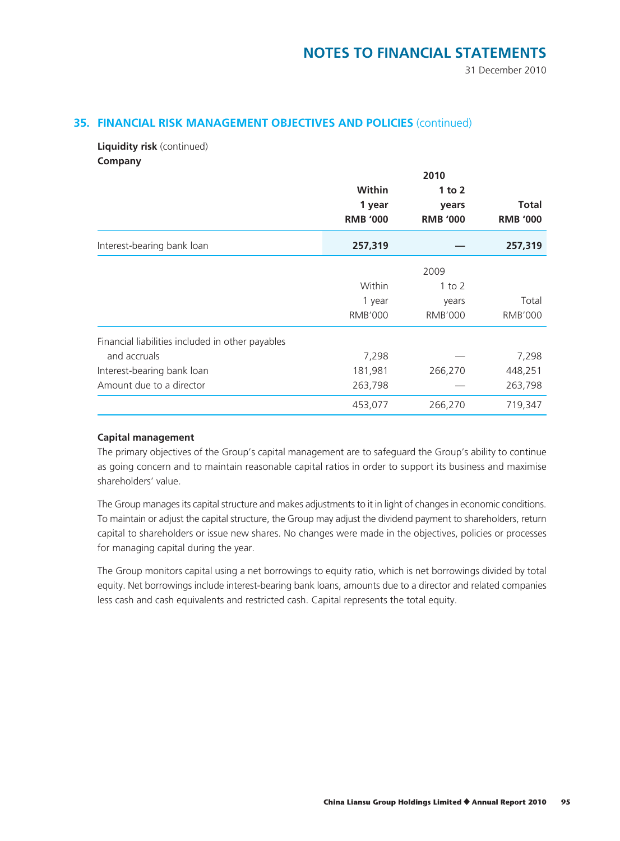## **35. FINANCIAL RISK MANAGEMENT OBJECTIVES AND POLICIES** (continued)

**Liquidity risk** (continued) **Company**

|                                                  | Within<br>1 year<br><b>RMB '000</b> | 2010<br>1 to $2$<br>years<br><b>RMB '000</b> | Total<br><b>RMB '000</b> |
|--------------------------------------------------|-------------------------------------|----------------------------------------------|--------------------------|
| Interest-bearing bank loan                       | 257,319                             |                                              | 257,319                  |
|                                                  |                                     | 2009                                         |                          |
|                                                  | Within                              | 1 to $2$                                     |                          |
|                                                  | 1 year                              | years                                        | Total                    |
|                                                  | <b>RMB'000</b>                      | <b>RMB'000</b>                               | <b>RMB'000</b>           |
| Financial liabilities included in other payables |                                     |                                              |                          |
| and accruals                                     | 7,298                               |                                              | 7,298                    |
| Interest-bearing bank loan                       | 181,981                             | 266,270                                      | 448,251                  |
| Amount due to a director                         | 263,798                             |                                              | 263,798                  |
|                                                  | 453,077                             | 266,270                                      | 719,347                  |

#### **Capital management**

The primary objectives of the Group's capital management are to safeguard the Group's ability to continue as going concern and to maintain reasonable capital ratios in order to support its business and maximise shareholders' value.

The Group manages its capital structure and makes adjustments to it in light of changes in economic conditions. To maintain or adjust the capital structure, the Group may adjust the dividend payment to shareholders, return capital to shareholders or issue new shares. No changes were made in the objectives, policies or processes for managing capital during the year.

The Group monitors capital using a net borrowings to equity ratio, which is net borrowings divided by total equity. Net borrowings include interest-bearing bank loans, amounts due to a director and related companies less cash and cash equivalents and restricted cash. Capital represents the total equity.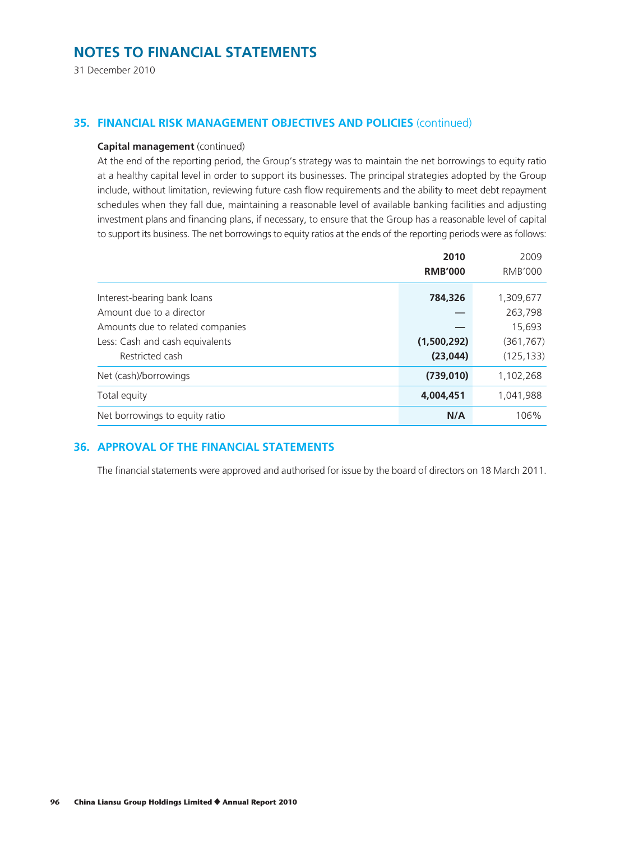31 December 2010

## **35. FINANCIAL RISK MANAGEMENT OBJECTIVES AND POLICIES** (continued)

### **Capital management** (continued)

At the end of the reporting period, the Group's strategy was to maintain the net borrowings to equity ratio at a healthy capital level in order to support its businesses. The principal strategies adopted by the Group include, without limitation, reviewing future cash flow requirements and the ability to meet debt repayment schedules when they fall due, maintaining a reasonable level of available banking facilities and adjusting investment plans and financing plans, if necessary, to ensure that the Group has a reasonable level of capital to support its business. The net borrowings to equity ratios at the ends of the reporting periods were as follows:

|                                                                                                                                                   | 2010<br><b>RMB'000</b>              | 2009<br><b>RMB'000</b>                                     |
|---------------------------------------------------------------------------------------------------------------------------------------------------|-------------------------------------|------------------------------------------------------------|
| Interest-bearing bank loans<br>Amount due to a director<br>Amounts due to related companies<br>Less: Cash and cash equivalents<br>Restricted cash | 784,326<br>(1,500,292)<br>(23, 044) | 1,309,677<br>263,798<br>15,693<br>(361, 767)<br>(125, 133) |
| Net (cash)/borrowings                                                                                                                             | (739,010)                           | 1,102,268                                                  |
| Total equity                                                                                                                                      | 4,004,451                           | 1.041.988                                                  |
| Net borrowings to equity ratio                                                                                                                    | N/A                                 | 106%                                                       |

# **36. APPROVAL OF THE FINANCIAL STATEMENTS**

The financial statements were approved and authorised for issue by the board of directors on 18 March 2011.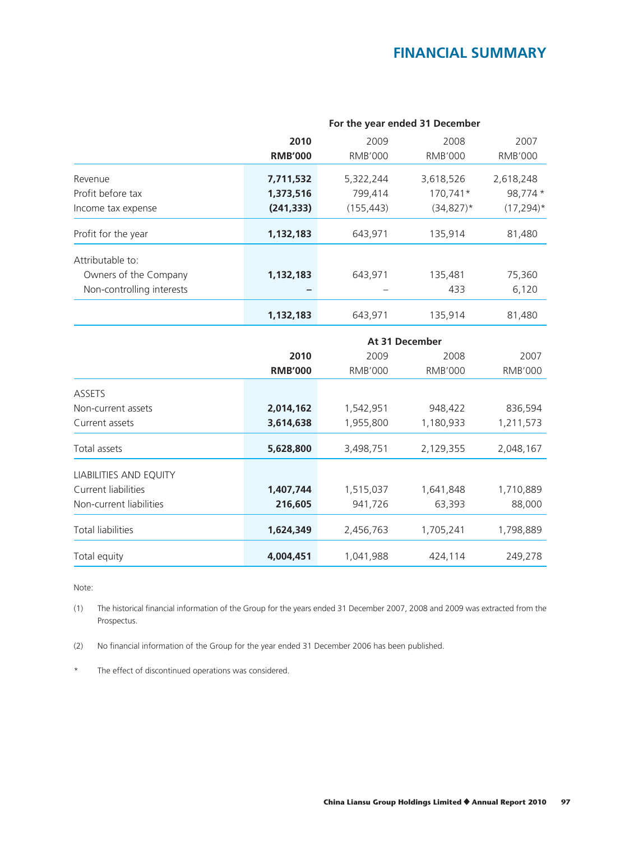# **FINANCIAL SUMMARY**

|                           | For the year ended 31 December |                |                |                |
|---------------------------|--------------------------------|----------------|----------------|----------------|
|                           | 2010                           | 2009           | 2008           | 2007           |
|                           | <b>RMB'000</b>                 | <b>RMB'000</b> | <b>RMB'000</b> | <b>RMB'000</b> |
| Revenue                   | 7,711,532                      | 5,322,244      | 3,618,526      | 2,618,248      |
| Profit before tax         | 1,373,516                      | 799,414        | 170,741*       | 98,774 *       |
| Income tax expense        | (241, 333)                     | (155, 443)     | $(34, 827)^*$  | $(17, 294)^*$  |
| Profit for the year       | 1,132,183                      | 643,971        | 135,914        | 81,480         |
| Attributable to:          |                                |                |                |                |
| Owners of the Company     | 1,132,183                      | 643,971        | 135,481        | 75,360         |
| Non-controlling interests |                                |                | 433            | 6,120          |
|                           | 1,132,183                      | 643,971        | 135,914        | 81,480         |
|                           | At 31 December                 |                |                |                |
|                           | 2010                           | 2009           | 2008           | 2007           |
|                           | <b>RMB'000</b>                 | <b>RMB'000</b> | <b>RMB'000</b> | <b>RMB'000</b> |
| <b>ASSETS</b>             |                                |                |                |                |
| Non-current assets        | 2,014,162                      | 1,542,951      | 948,422        | 836,594        |
| Current assets            | 3,614,638                      | 1,955,800      | 1,180,933      | 1,211,573      |
| Total assets              | 5,628,800                      | 3,498,751      | 2,129,355      | 2,048,167      |
| LIABILITIES AND EQUITY    |                                |                |                |                |
| Current liabilities       | 1,407,744                      | 1,515,037      | 1,641,848      | 1,710,889      |
| Non-current liabilities   | 216,605                        | 941,726        | 63,393         | 88,000         |
| <b>Total liabilities</b>  | 1,624,349                      | 2,456,763      | 1,705,241      | 1,798,889      |
| Total equity              | 4,004,451                      | 1,041,988      | 424,114        | 249,278        |

Note:

(1) The historical financial information of the Group for the years ended 31 December 2007, 2008 and 2009 was extracted from the Prospectus.

(2) No financial information of the Group for the year ended 31 December 2006 has been published.

\* The effect of discontinued operations was considered.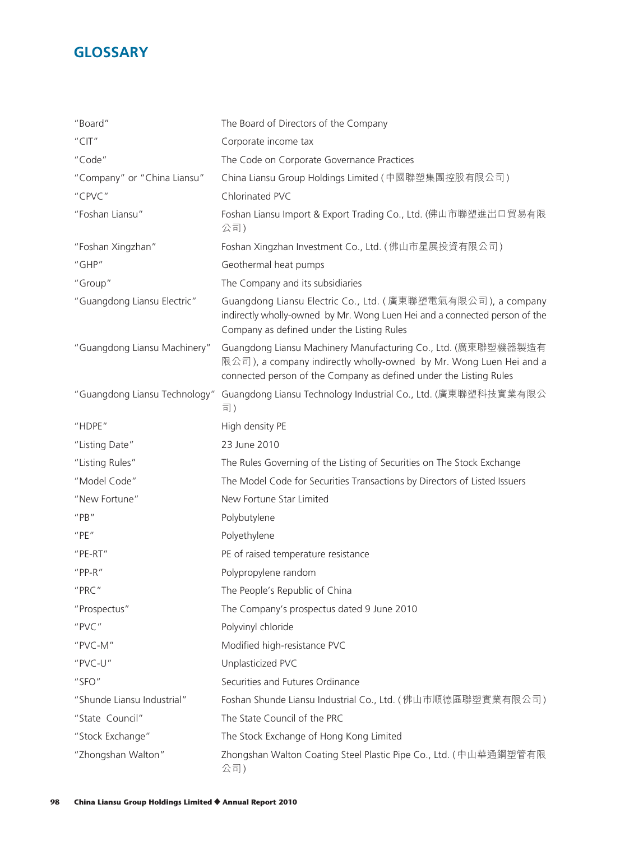# **GLOSSARY**

| "Board"                       | The Board of Directors of the Company                                                                                                                                                                     |
|-------------------------------|-----------------------------------------------------------------------------------------------------------------------------------------------------------------------------------------------------------|
| "CIT"                         | Corporate income tax                                                                                                                                                                                      |
| "Code"                        | The Code on Corporate Governance Practices                                                                                                                                                                |
| "Company" or "China Liansu"   | China Liansu Group Holdings Limited (中國聯塑集團控股有限公司)                                                                                                                                                        |
| "CPVC"                        | Chlorinated PVC                                                                                                                                                                                           |
| "Foshan Liansu"               | Foshan Liansu Import & Export Trading Co., Ltd. (佛山市聯塑進出口貿易有限<br>公司)                                                                                                                                      |
| "Foshan Xingzhan"             | Foshan Xingzhan Investment Co., Ltd. (佛山市星展投資有限公司)                                                                                                                                                        |
| "GHP"                         | Geothermal heat pumps                                                                                                                                                                                     |
| "Group"                       | The Company and its subsidiaries                                                                                                                                                                          |
| "Guangdong Liansu Electric"   | Guangdong Liansu Electric Co., Ltd. (廣東聯塑電氣有限公司), a company<br>indirectly wholly-owned by Mr. Wong Luen Hei and a connected person of the<br>Company as defined under the Listing Rules                   |
| "Guangdong Liansu Machinery"  | Guangdong Liansu Machinery Manufacturing Co., Ltd. (廣東聯塑機器製造有<br>限公司), a company indirectly wholly-owned by Mr. Wong Luen Hei and a<br>connected person of the Company as defined under the Listing Rules |
| "Guangdong Liansu Technology" | Guangdong Liansu Technology Industrial Co., Ltd. (廣東聯塑科技實業有限公<br>司)                                                                                                                                       |
| "HDPE"                        | High density PE                                                                                                                                                                                           |
| "Listing Date"                | 23 June 2010                                                                                                                                                                                              |
| "Listing Rules"               | The Rules Governing of the Listing of Securities on The Stock Exchange                                                                                                                                    |
| "Model Code"                  | The Model Code for Securities Transactions by Directors of Listed Issuers                                                                                                                                 |
| "New Fortune"                 | New Fortune Star Limited                                                                                                                                                                                  |
| $''$ PB $''$                  | Polybutylene                                                                                                                                                                                              |
| "PE"                          | Polyethylene                                                                                                                                                                                              |
| "PE-RT"                       | PE of raised temperature resistance                                                                                                                                                                       |
| $"PP-R"$                      | Polypropylene random                                                                                                                                                                                      |
| "PRC"                         | The People's Republic of China                                                                                                                                                                            |
| "Prospectus"                  | The Company's prospectus dated 9 June 2010                                                                                                                                                                |
| "PVC"                         | Polyvinyl chloride                                                                                                                                                                                        |
| "PVC-M"                       | Modified high-resistance PVC                                                                                                                                                                              |
| "PVC-U"                       | Unplasticized PVC                                                                                                                                                                                         |
| "SFO"                         | Securities and Futures Ordinance                                                                                                                                                                          |
| "Shunde Liansu Industrial"    | Foshan Shunde Liansu Industrial Co., Ltd. (佛山市順德區聯塑實業有限公司)                                                                                                                                                |
| "State Council"               | The State Council of the PRC                                                                                                                                                                              |
| "Stock Exchange"              | The Stock Exchange of Hong Kong Limited                                                                                                                                                                   |
| "Zhongshan Walton"            | Zhongshan Walton Coating Steel Plastic Pipe Co., Ltd. (中山華通鋼塑管有限<br>公司)                                                                                                                                   |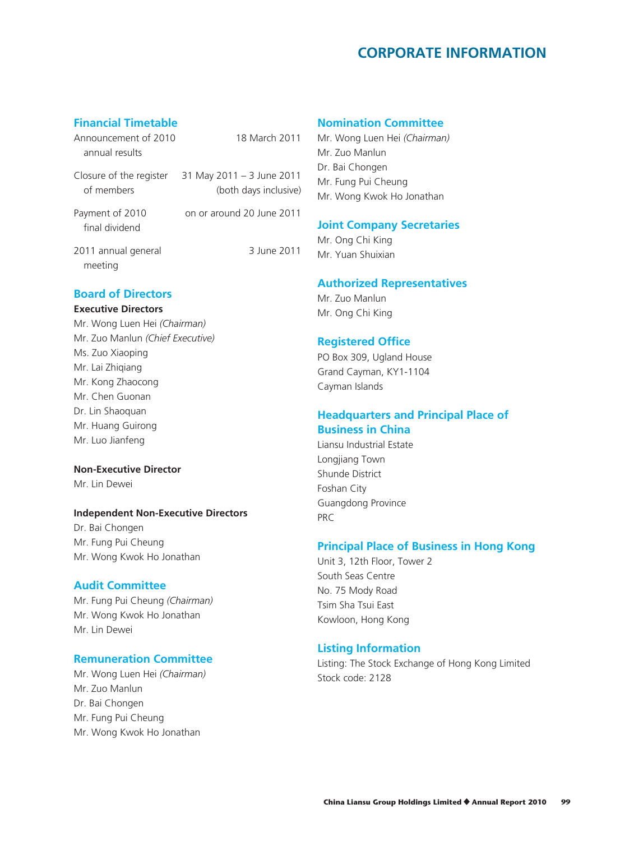# **CORPORATE INFORMATION**

# **Financial Timetable**

| Announcement of 2010<br>annual results | 18 March 2011                                                                 |
|----------------------------------------|-------------------------------------------------------------------------------|
| of members                             | Closure of the register $-31$ May 2011 – 3 June 2011<br>(both days inclusive) |
| Payment of 2010<br>final dividend      | on or around 20 June 2011                                                     |
| 2011 annual general<br>meeting         | 3 June 2011                                                                   |

## **Board of Directors**

### **Executive Directors**

Mr. Wong Luen Hei *(Chairman)* Mr. Zuo Manlun *(Chief Executive)* Ms. Zuo Xiaoping Mr. Lai Zhiqiang Mr. Kong Zhaocong Mr. Chen Guonan Dr. Lin Shaoquan Mr. Huang Guirong Mr. Luo Jianfeng

## **Non-Executive Director**

Mr. Lin Dewei

## **Independent Non-Executive Directors**

Dr. Bai Chongen Mr. Fung Pui Cheung Mr. Wong Kwok Ho Jonathan

### **Audit Committee**

Mr. Fung Pui Cheung *(Chairman)* Mr. Wong Kwok Ho Jonathan Mr. Lin Dewei

### **Remuneration Committee**

Mr. Wong Luen Hei *(Chairman)* Mr. Zuo Manlun Dr. Bai Chongen Mr. Fung Pui Cheung Mr. Wong Kwok Ho Jonathan

### **Nomination Committee**

Mr. Wong Luen Hei *(Chairman)* Mr. Zuo Manlun Dr. Bai Chongen Mr. Fung Pui Cheung Mr. Wong Kwok Ho Jonathan

## **Joint Company Secretaries**

Mr. Ong Chi King Mr. Yuan Shuixian

## **Authorized Representatives**

Mr. Zuo Manlun Mr. Ong Chi King

## **Registered Office**

PO Box 309, Ugland House Grand Cayman, KY1-1104 Cayman Islands

## **Headquarters and Principal Place of Business in China**

Liansu Industrial Estate Longjiang Town Shunde District Foshan City Guangdong Province PRC

## **Principal Place of Business in Hong Kong**

Unit 3, 12th Floor, Tower 2 South Seas Centre No. 75 Mody Road Tsim Sha Tsui East Kowloon, Hong Kong

### **Listing Information**

Listing: The Stock Exchange of Hong Kong Limited Stock code: 2128